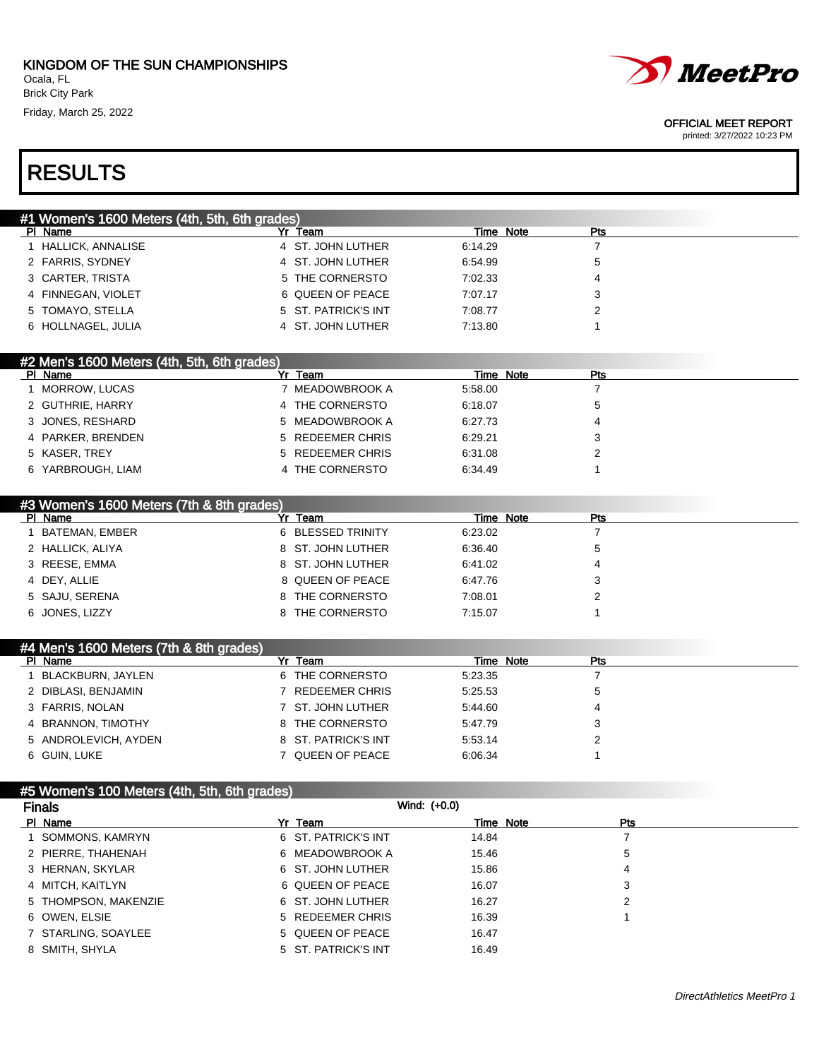

printed: 3/27/2022 10:23 PM

# RESULTS

| #1 Women's 1600 Meters (4th, 5th, 6th grades) |                     |           |            |  |
|-----------------------------------------------|---------------------|-----------|------------|--|
| PI Name                                       | Yr Team             | Time Note | <b>Pts</b> |  |
| 1 HALLICK, ANNALISE                           | 4 ST. JOHN LUTHER   | 6:14.29   |            |  |
| 2 FARRIS, SYDNEY                              | 4 ST. JOHN LUTHER   | 6:54.99   | 5          |  |
| 3 CARTER, TRISTA                              | 5 THE CORNERSTO     | 7:02.33   | 4          |  |
| 4 FINNEGAN, VIOLET                            | 6 QUEEN OF PEACE    | 7:07.17   | 3          |  |
| 5 TOMAYO, STELLA                              | 5 ST. PATRICK'S INT | 7:08.77   |            |  |
| 6 HOLLNAGEL, JULIA                            | 4 ST. JOHN LUTHER   | 7:13.80   |            |  |

#### #2 Men's 1600 Meters (4th, 5th, 6th grades)<br>Pl Name Time Note Pts 1 MORROW, LUCAS 7 MEADOWBROOK A 5:58.00 7 2 GUTHRIE, HARRY **4 THE CORNERSTO** 6:18.07 5 3 JONES, RESHARD 5 MEADOWBROOK A 6:27.73 4 4 PARKER, BRENDEN 5 REDEEMER CHRIS 6:29.21 3 5 KASER, TREY 5 REDEEMER CHRIS 6:31.08 2 6 YARBROUGH, LIAM 4 THE CORNERSTO 6:34.49 1

|                  | #3 Women's 1600 Meters (7th & 8th grades) |                   |           |     |
|------------------|-------------------------------------------|-------------------|-----------|-----|
| PI Name          |                                           | Team              | Time Note | Pts |
|                  | BATEMAN, EMBER                            | 6 BLESSED TRINITY | 6:23.02   |     |
| 2 HALLICK, ALIYA |                                           | 8 ST. JOHN LUTHER | 6:36.40   | 5   |
| 3 REESE, EMMA    |                                           | 8 ST. JOHN LUTHER | 6:41.02   | 4   |
| 4 DEY, ALLIE     |                                           | 8 QUEEN OF PEACE  | 6:47.76   | 3   |
| 5 SAJU, SERENA   |                                           | 8 THE CORNERSTO   | 7:08.01   | ົ   |
| 6 JONES, LIZZY   |                                           | 8 THE CORNERSTO   | 7:15.07   |     |

| #4 Men's 1600 Meters (7th & 8th grades) |                     |           |     |
|-----------------------------------------|---------------------|-----------|-----|
| PI Name                                 | Yr Team             | Time Note | Pts |
| BLACKBURN, JAYLEN                       | 6 THE CORNERSTO     | 5:23.35   |     |
| 2 DIBLASI, BENJAMIN                     | REDEEMER CHRIS      | 5:25.53   | 5   |
| 3 FARRIS, NOLAN                         | 7 ST. JOHN LUTHER   | 5:44.60   | 4   |
| 4 BRANNON, TIMOTHY                      | 8 THE CORNERSTO     | 5:47.79   | 3   |
| 5 ANDROLEVICH, AYDEN                    | 8 ST. PATRICK'S INT | 5:53.14   |     |
| 6 GUIN, LUKE                            | 7 QUEEN OF PEACE    | 6:06.34   |     |

| #5 Women's 100 Meters (4th, 5th, 6th grades) |                     |       |           |            |
|----------------------------------------------|---------------------|-------|-----------|------------|
| <b>Finals</b>                                | Wind: (+0.0)        |       |           |            |
| PI Name                                      | Yr Team             |       | Time Note | <b>Pts</b> |
| SOMMONS, KAMRYN                              | 6 ST. PATRICK'S INT | 14.84 |           |            |
| 2 PIERRE, THAHENAH                           | 6 MEADOWBROOK A     | 15.46 |           | 5          |
| 3 HERNAN, SKYLAR                             | 6 ST. JOHN LUTHER   | 15.86 |           | 4          |
| 4 MITCH, KAITLYN                             | 6 QUEEN OF PEACE    | 16.07 |           | 3          |
| 5 THOMPSON, MAKENZIE                         | 6 ST. JOHN LUTHER   | 16.27 |           | 2          |
| 6 OWEN, ELSIE                                | 5 REDEEMER CHRIS    | 16.39 |           |            |
| 7 STARLING, SOAYLEE                          | 5 QUEEN OF PEACE    | 16.47 |           |            |
| 8 SMITH, SHYLA                               | 5 ST. PATRICK'S INT | 16.49 |           |            |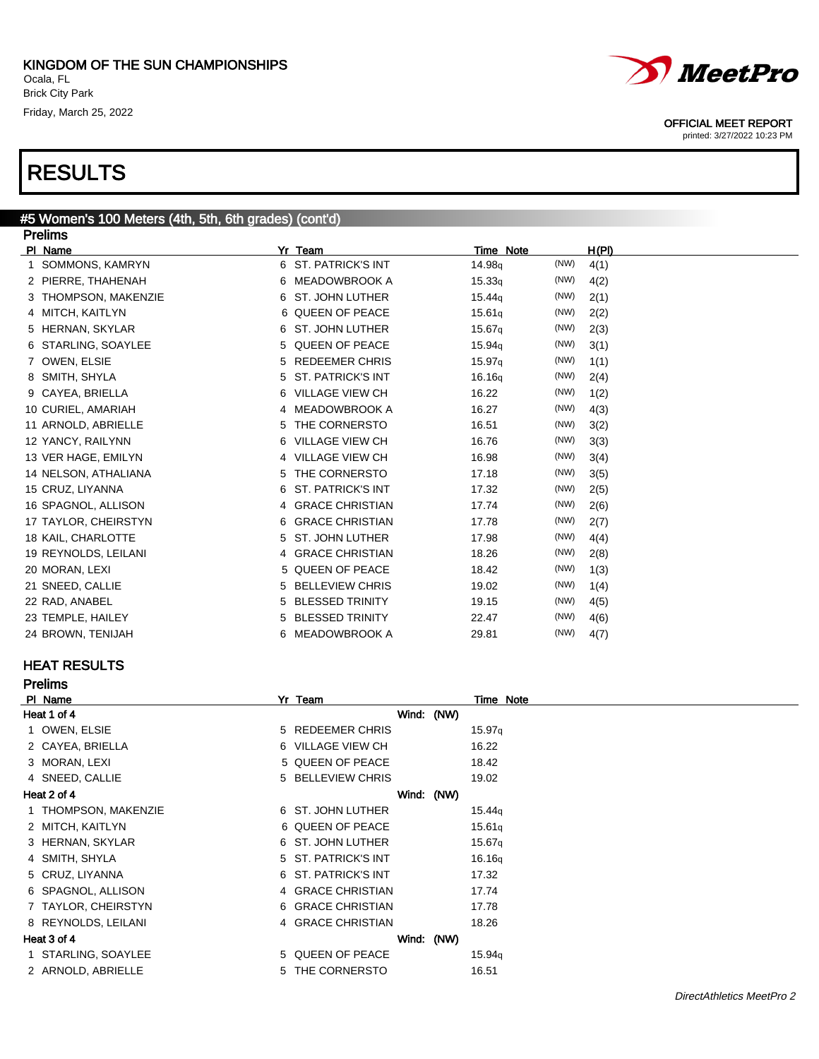

OFFICIAL MEET REPORT

printed: 3/27/2022 10:23 PM

| #5 Women's 100 Meters (4th, 5th, 6th grades) (cont'd) |                                |                            |       |  |  |
|-------------------------------------------------------|--------------------------------|----------------------------|-------|--|--|
| <b>Prelims</b>                                        |                                |                            |       |  |  |
| PI Name                                               | Yr Team                        | Time Note                  | H(PI) |  |  |
| SOMMONS, KAMRYN                                       | 6 ST. PATRICK'S INT            | (NW)<br>14.98 <sub>q</sub> | 4(1)  |  |  |
| 2 PIERRE, THAHENAH                                    | <b>MEADOWBROOK A</b><br>6      | (NW)<br>15.33q             | 4(2)  |  |  |
| 3 THOMPSON, MAKENZIE                                  | <b>ST. JOHN LUTHER</b><br>6    | (NW)<br>15.44 <sub>q</sub> | 2(1)  |  |  |
| 4 MITCH, KAITLYN                                      | 6 QUEEN OF PEACE               | (NW)<br>15.61q             | 2(2)  |  |  |
| 5 HERNAN, SKYLAR                                      | <b>ST. JOHN LUTHER</b><br>6    | (NW)<br>15.67 <sub>q</sub> | 2(3)  |  |  |
| 6 STARLING, SOAYLEE                                   | <b>QUEEN OF PEACE</b><br>5     | (NW)<br>15.94q             | 3(1)  |  |  |
| 7 OWEN, ELSIE                                         | <b>REDEEMER CHRIS</b><br>5     | (NW)<br>15.97q             | 1(1)  |  |  |
| 8 SMITH, SHYLA                                        | <b>ST. PATRICK'S INT</b><br>5. | (NW)<br>16.16q             | 2(4)  |  |  |
| CAYEA, BRIELLA                                        | <b>VILLAGE VIEW CH</b><br>6    | (NW)<br>16.22              | 1(2)  |  |  |
| 10 CURIEL, AMARIAH                                    | 4 MEADOWBROOK A                | (NW)<br>16.27              | 4(3)  |  |  |
| 11 ARNOLD, ABRIELLE                                   | THE CORNERSTO<br>5             | (NW)<br>16.51              | 3(2)  |  |  |
| 12 YANCY, RAILYNN                                     | <b>VILLAGE VIEW CH</b><br>6    | (NW)<br>16.76              | 3(3)  |  |  |
| 13 VER HAGE, EMILYN                                   | 4 VILLAGE VIEW CH              | (NW)<br>16.98              | 3(4)  |  |  |
| 14 NELSON, ATHALIANA                                  | THE CORNERSTO<br>5             | (NW)<br>17.18              | 3(5)  |  |  |
| 15 CRUZ, LIYANNA                                      | <b>ST. PATRICK'S INT</b><br>6  | (NW)<br>17.32              | 2(5)  |  |  |
| 16 SPAGNOL, ALLISON                                   | 4 GRACE CHRISTIAN              | (NW)<br>17.74              | 2(6)  |  |  |
| 17 TAYLOR, CHEIRSTYN                                  | <b>GRACE CHRISTIAN</b><br>6    | (NW)<br>17.78              | 2(7)  |  |  |
| 18 KAIL, CHARLOTTE                                    | <b>ST. JOHN LUTHER</b><br>5.   | (NW)<br>17.98              | 4(4)  |  |  |
| 19 REYNOLDS, LEILANI                                  | 4 GRACE CHRISTIAN              | (NW)<br>18.26              | 2(8)  |  |  |
| 20 MORAN, LEXI                                        | 5 QUEEN OF PEACE               | (NW)<br>18.42              | 1(3)  |  |  |
| 21 SNEED, CALLIE                                      | <b>BELLEVIEW CHRIS</b><br>5.   | (NW)<br>19.02              | 1(4)  |  |  |
| 22 RAD, ANABEL                                        | <b>BLESSED TRINITY</b><br>5    | (NW)<br>19.15              | 4(5)  |  |  |
| 23 TEMPLE, HAILEY                                     | <b>BLESSED TRINITY</b><br>5    | (NW)<br>22.47              | 4(6)  |  |  |
| 24 BROWN, TENIJAH                                     | <b>MEADOWBROOK A</b><br>6      | (NW)<br>29.81              | 4(7)  |  |  |

#### HEAT RESULTS

| <b>Prelims</b>       |                     |                    |
|----------------------|---------------------|--------------------|
| PI Name              | Yr Team             | Time Note          |
| Heat 1 of 4          | Wind: (NW)          |                    |
| 1 OWEN, ELSIE        | 5 REDEEMER CHRIS    | 15.97q             |
| 2 CAYEA, BRIELLA     | 6 VILLAGE VIEW CH   | 16.22              |
| 3 MORAN, LEXI        | 5 QUEEN OF PEACE    | 18.42              |
| 4 SNEED, CALLIE      | 5 BELLEVIEW CHRIS   | 19.02              |
| Heat 2 of 4          | Wind: (NW)          |                    |
| 1 THOMPSON, MAKENZIE | 6 ST. JOHN LUTHER   | 15.44q             |
| 2 MITCH, KAITLYN     | 6 QUEEN OF PEACE    | 15.61q             |
| 3 HERNAN, SKYLAR     | 6 ST. JOHN LUTHER   | 15.67q             |
| 4 SMITH, SHYLA       | 5 ST. PATRICK'S INT | 16.16 <sub>g</sub> |
| 5 CRUZ, LIYANNA      | 6 ST. PATRICK'S INT | 17.32              |
| 6 SPAGNOL, ALLISON   | 4 GRACE CHRISTIAN   | 17.74              |
| 7 TAYLOR, CHEIRSTYN  | 6 GRACE CHRISTIAN   | 17.78              |
| 8 REYNOLDS, LEILANI  | 4 GRACE CHRISTIAN   | 18.26              |
| Heat 3 of 4          | Wind: (NW)          |                    |
| 1 STARLING, SOAYLEE  | 5 QUEEN OF PEACE    | 15.94q             |
| 2 ARNOLD, ABRIELLE   | 5 THE CORNERSTO     | 16.51              |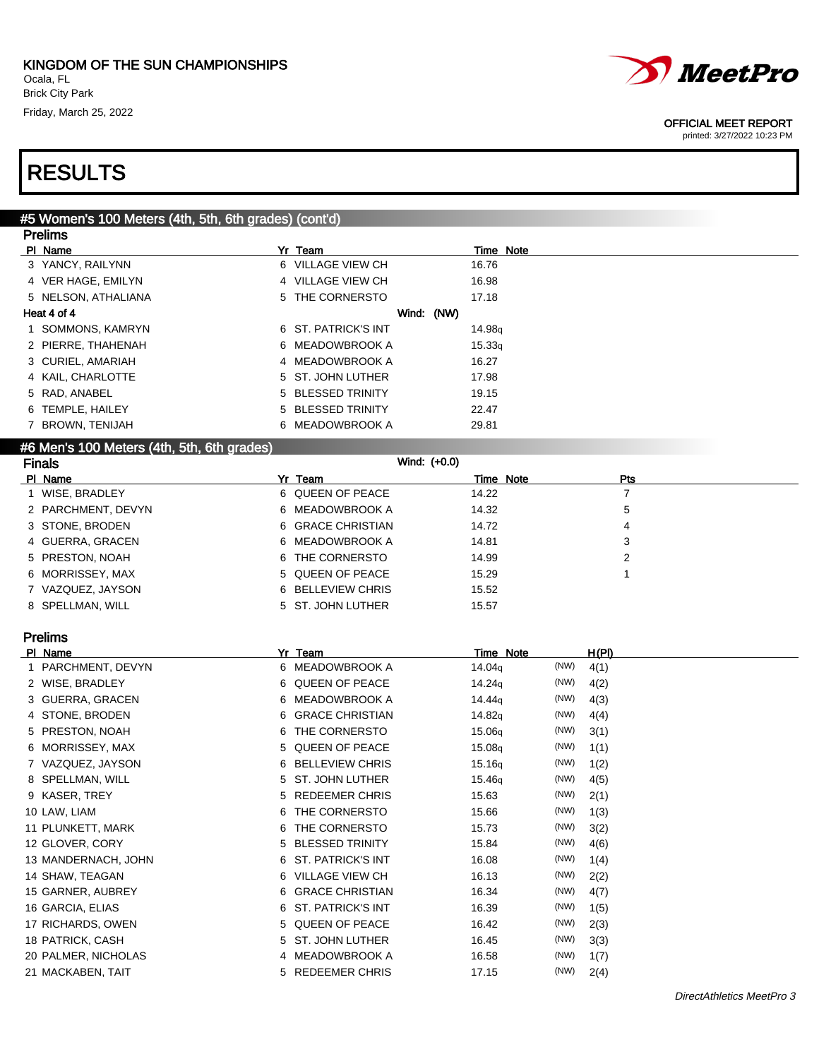

printed: 3/27/2022 10:23 PM

## RESULTS

#### #5 Women's 100 Meters (4th, 5th, 6th grades) (cont'd) **Dralims**

| <u>Figilis</u>      |                     |                    |
|---------------------|---------------------|--------------------|
| PI Name             | Yr Team             | Time Note          |
| 3 YANCY, RAILYNN    | 6 VILLAGE VIEW CH   | 16.76              |
| 4 VER HAGE, EMILYN  | 4 VILLAGE VIEW CH   | 16.98              |
| 5 NELSON, ATHALIANA | 5 THE CORNERSTO     | 17.18              |
| Heat 4 of 4         | Wind: (NW)          |                    |
| 1 SOMMONS, KAMRYN   | 6 ST. PATRICK'S INT | 14.98 <sub>g</sub> |
| 2 PIERRE, THAHENAH  | 6 MEADOWBROOK A     | 15.33q             |
| 3 CURIEL, AMARIAH   | 4 MEADOWBROOK A     | 16.27              |
| 4 KAIL, CHARLOTTE   | 5 ST. JOHN LUTHER   | 17.98              |
| 5 RAD, ANABEL       | 5 BLESSED TRINITY   | 19.15              |
| 6 TEMPLE, HAILEY    | 5 BLESSED TRINITY   | 22.47              |
| 7 BROWN, TENIJAH    | 6 MEADOWBROOK A     | 29.81              |
|                     |                     |                    |

#### #6 Men's 100 Meters (4th, 5th, 6th grades)

| <b>Finals</b>      | Wind: (+0.0)      |                  |  |
|--------------------|-------------------|------------------|--|
| PI Name            | Yr Team           | Time Note<br>Pts |  |
| WISE, BRADLEY      | 6 QUEEN OF PEACE  | 14.22            |  |
| 2 PARCHMENT, DEVYN | 6 MEADOWBROOK A   | 14.32<br>5       |  |
| 3 STONE, BRODEN    | 6 GRACE CHRISTIAN | 14.72<br>4       |  |
| 4 GUERRA, GRACEN   | 6 MEADOWBROOK A   | 3<br>14.81       |  |
| 5 PRESTON, NOAH    | 6 THE CORNERSTO   | 14.99            |  |
| 6 MORRISSEY, MAX   | 5 QUEEN OF PEACE  | 15.29            |  |
| 7 VAZQUEZ, JAYSON  | 6 BELLEVIEW CHRIS | 15.52            |  |
| 8 SPELLMAN, WILL   | 5 ST. JOHN LUTHER | 15.57            |  |

### Prelims

| PI Name             | Yr Team                   | Time Note                  | H(PI) |
|---------------------|---------------------------|----------------------------|-------|
| 1 PARCHMENT, DEVYN  | 6 MEADOWBROOK A           | (NW)<br>14.04g             | 4(1)  |
| 2 WISE, BRADLEY     | QUEEN OF PEACE<br>6       | (NW)<br>14.24 <sub>g</sub> | 4(2)  |
| 3 GUERRA, GRACEN    | <b>MEADOWBROOK A</b><br>6 | (NW)<br>14.44 <sub>g</sub> | 4(3)  |
| 4 STONE, BRODEN     | 6 GRACE CHRISTIAN         | (NW)<br>14.82q             | 4(4)  |
| 5 PRESTON, NOAH     | 6 THE CORNERSTO           | (NW)<br>15.06 <sub>g</sub> | 3(1)  |
| 6 MORRISSEY, MAX    | 5 QUEEN OF PEACE          | (NW)<br>15.08 <sub>g</sub> | 1(1)  |
| 7 VAZQUEZ, JAYSON   | 6 BELLEVIEW CHRIS         | (NW)<br>15.16q             | 1(2)  |
| 8 SPELLMAN, WILL    | 5 ST. JOHN LUTHER         | (NW)<br>15.46 <sub>g</sub> | 4(5)  |
| 9 KASER, TREY       | 5 REDEEMER CHRIS          | (NW)<br>15.63              | 2(1)  |
| 10 LAW, LIAM        | 6 THE CORNERSTO           | (NW)<br>15.66              | 1(3)  |
| 11 PLUNKETT, MARK   | THE CORNERSTO<br>6        | (NW)<br>15.73              | 3(2)  |
| 12 GLOVER, CORY     | 5 BLESSED TRINITY         | (NW)<br>15.84              | 4(6)  |
| 13 MANDERNACH, JOHN | 6 ST. PATRICK'S INT       | (NW)<br>16.08              | 1(4)  |
| 14 SHAW, TEAGAN     | 6 VILLAGE VIEW CH         | (NW)<br>16.13              | 2(2)  |
| 15 GARNER, AUBREY   | 6 GRACE CHRISTIAN         | (NW)<br>16.34              | 4(7)  |
| 16 GARCIA, ELIAS    | 6 ST. PATRICK'S INT       | (NW)<br>16.39              | 1(5)  |
| 17 RICHARDS, OWEN   | 5 QUEEN OF PEACE          | (NW)<br>16.42              | 2(3)  |
| 18 PATRICK, CASH    | 5 ST. JOHN LUTHER         | (NW)<br>16.45              | 3(3)  |
| 20 PALMER, NICHOLAS | 4 MEADOWBROOK A           | (NW)<br>16.58              | 1(7)  |
| 21 MACKABEN, TAIT   | 5 REDEEMER CHRIS          | (NW)<br>17.15              | 2(4)  |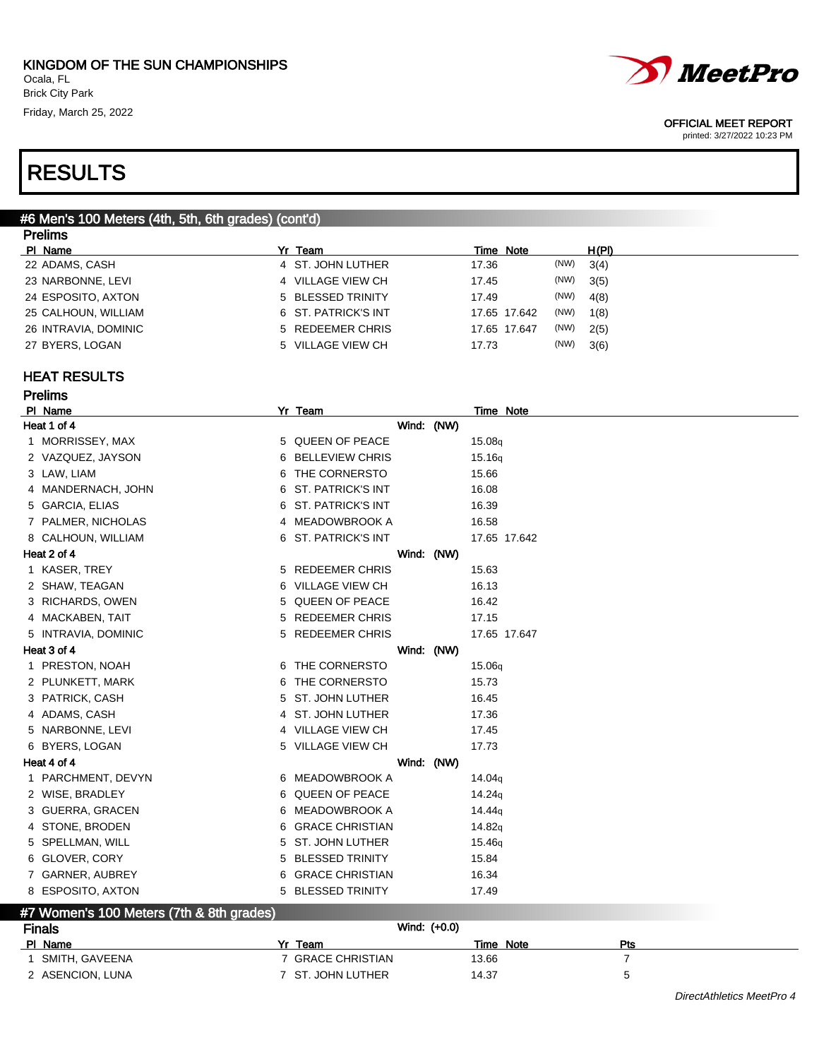

printed: 3/27/2022 10:23 PM

### RESULTS

#### #6 Men's 100 Meters (4th, 5th, 6th grades) (cont'd) **Dralims**

| гтыны                |                     |                      |       |
|----------------------|---------------------|----------------------|-------|
| PI Name              | Yr Team             | Time Note            | H(PI) |
| 22 ADAMS, CASH       | 4 ST. JOHN LUTHER   | (NW)<br>17.36        | 3(4)  |
| 23 NARBONNE, LEVI    | 4 VILLAGE VIEW CH   | (NW)<br>17.45        | 3(5)  |
| 24 ESPOSITO, AXTON   | 5 BLESSED TRINITY   | (NW)<br>17.49        | 4(8)  |
| 25 CALHOUN, WILLIAM  | 6 ST. PATRICK'S INT | (NW)<br>17.65 17.642 | 1(8)  |
| 26 INTRAVIA, DOMINIC | 5 REDEEMER CHRIS    | (NW)<br>17.65 17.647 | 2(5)  |
| 27 BYERS, LOGAN      | 5 VILLAGE VIEW CH   | (NW)<br>17.73        | 3(6)  |
|                      |                     |                      |       |

### HEAT RESULTS

|             | <b>Prelims</b>                                                |    |                          |  |                    |
|-------------|---------------------------------------------------------------|----|--------------------------|--|--------------------|
| PI Name     |                                                               |    | Yr Team                  |  | <b>Time Note</b>   |
|             | Heat 1 of 4                                                   |    | Wind: (NW)               |  |                    |
|             | 1 MORRISSEY, MAX                                              |    | 5 QUEEN OF PEACE         |  | 15.08g             |
|             | 2 VAZQUEZ, JAYSON                                             | 6  | <b>BELLEVIEW CHRIS</b>   |  | 15.16q             |
|             | 3 LAW, LIAM                                                   | 6  | THE CORNERSTO            |  | 15.66              |
|             | 4 MANDERNACH, JOHN                                            | 6  | <b>ST. PATRICK'S INT</b> |  | 16.08              |
|             | 5 GARCIA, ELIAS                                               |    | 6 ST. PATRICK'S INT      |  | 16.39              |
|             | 7 PALMER, NICHOLAS                                            |    | 4 MEADOWBROOK A          |  | 16.58              |
|             | 8 CALHOUN, WILLIAM                                            |    | 6 ST. PATRICK'S INT      |  | 17.65 17.642       |
|             | Heat 2 of 4                                                   |    | Wind: (NW)               |  |                    |
|             | 1 KASER, TREY                                                 |    | 5 REDEEMER CHRIS         |  | 15.63              |
|             | 2 SHAW, TEAGAN                                                |    | 6 VILLAGE VIEW CH        |  | 16.13              |
|             | 3 RICHARDS, OWEN                                              | 5. | QUEEN OF PEACE           |  | 16.42              |
|             | 4 MACKABEN, TAIT                                              |    | 5 REDEEMER CHRIS         |  | 17.15              |
|             | 5 INTRAVIA, DOMINIC                                           |    | 5 REDEEMER CHRIS         |  | 17.65 17.647       |
|             | Heat 3 of 4                                                   |    | Wind: (NW)               |  |                    |
|             | 1 PRESTON, NOAH                                               |    | 6 THE CORNERSTO          |  | 15.06g             |
|             | 2 PLUNKETT, MARK                                              | 6  | THE CORNERSTO            |  | 15.73              |
|             | 3 PATRICK, CASH                                               | 5. | <b>ST. JOHN LUTHER</b>   |  | 16.45              |
|             | 4 ADAMS, CASH                                                 |    | 4 ST. JOHN LUTHER        |  | 17.36              |
|             | 5 NARBONNE, LEVI                                              |    | 4 VILLAGE VIEW CH        |  | 17.45              |
|             | 6 BYERS, LOGAN                                                |    | 5 VILLAGE VIEW CH        |  | 17.73              |
| Heat 4 of 4 |                                                               |    | Wind: (NW)               |  |                    |
|             | 1 PARCHMENT, DEVYN                                            |    | 6 MEADOWBROOK A          |  | 14.04g             |
|             | 2 WISE, BRADLEY                                               |    | 6 QUEEN OF PEACE         |  | 14.24g             |
|             | 3 GUERRA, GRACEN                                              | 6  | MEADOWBROOK A            |  | 14.44 <sub>g</sub> |
|             | 4 STONE, BRODEN                                               | 6  | <b>GRACE CHRISTIAN</b>   |  | 14.82g             |
|             | 5 SPELLMAN, WILL                                              |    | 5 ST. JOHN LUTHER        |  | 15.46g             |
|             | 6 GLOVER, CORY                                                | 5. | <b>BLESSED TRINITY</b>   |  | 15.84              |
|             | 7 GARNER, AUBREY                                              | 6  | <b>GRACE CHRISTIAN</b>   |  | 16.34              |
|             | 8 ESPOSITO, AXTON<br>47 Waman's 100 Matars (7th & 8th aradas) |    | 5 BLESSED TRINITY        |  | 17.49              |

### #7 Women's 100 Meters (7th & 8th grades)

| <b>Finals</b>    | Wind: (+0.0)      |           |            |
|------------------|-------------------|-----------|------------|
| PI Name          | v.<br>Team        | Time Note | <b>Pts</b> |
| SMITH. GAVEENA   | 7 GRACE CHRISTIAN | 13.66     |            |
| 2 ASENCION, LUNA | 7 ST. JOHN LUTHER | 14.37     |            |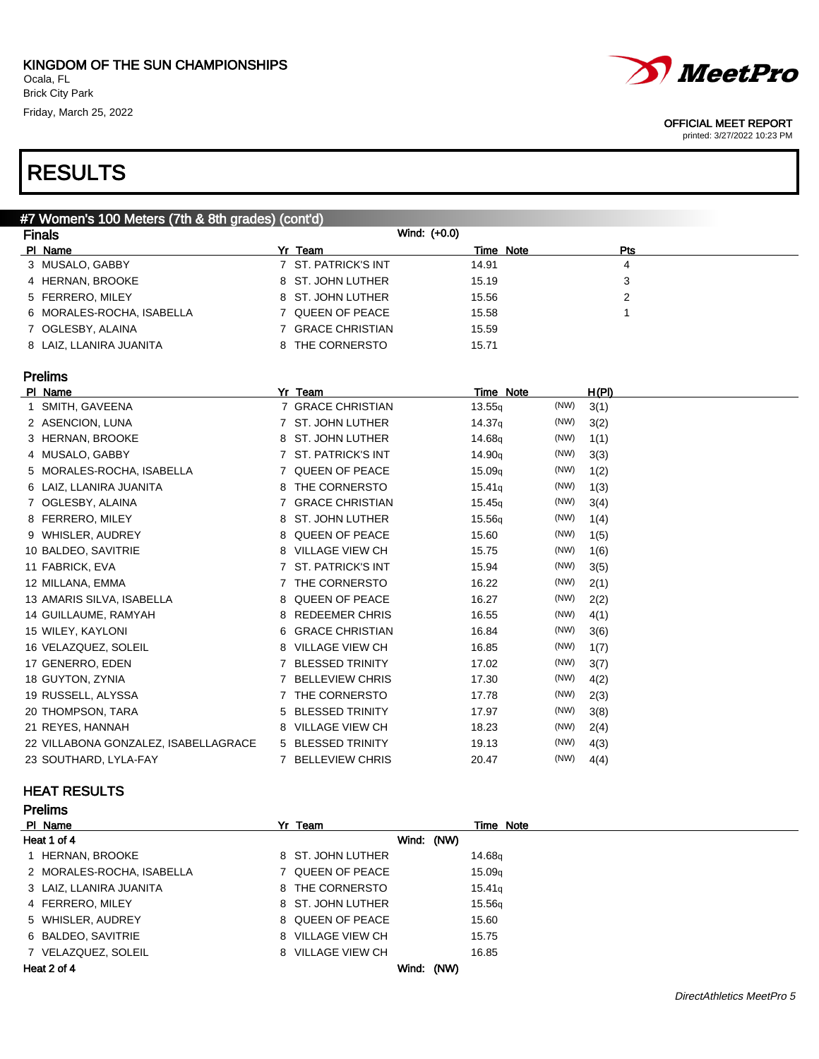

#### OFFICIAL MEET REPORT

printed: 3/27/2022 10:23 PM

| #7 Women's 100 Meters (7th & 8th grades) (cont'd) |                           |  |                     |              |           |     |  |
|---------------------------------------------------|---------------------------|--|---------------------|--------------|-----------|-----|--|
| <b>Finals</b>                                     |                           |  |                     | Wind: (+0.0) |           |     |  |
| PI Name                                           |                           |  | Yr Team             |              | Time Note | Pts |  |
|                                                   | 3 MUSALO, GABBY           |  | 7 ST. PATRICK'S INT | 14.91        |           | 4   |  |
|                                                   | 4 HERNAN, BROOKE          |  | 8 ST. JOHN LUTHER   | 15.19        |           | 3   |  |
|                                                   | 5 FERRERO, MILEY          |  | 8 ST. JOHN LUTHER   | 15.56        |           | 2   |  |
|                                                   | 6 MORALES-ROCHA, ISABELLA |  | 7 QUEEN OF PEACE    | 15.58        |           |     |  |
|                                                   | 7 OGLESBY, ALAINA         |  | 7 GRACE CHRISTIAN   | 15.59        |           |     |  |
|                                                   | 8 LAIZ, LLANIRA JUANITA   |  | 8 THE CORNERSTO     | 15.71        |           |     |  |

### Prelims

| PI Name                              |             | Yr Team                | Time Note          |      | <u>H(PI)</u> |
|--------------------------------------|-------------|------------------------|--------------------|------|--------------|
| 1 SMITH, GAVEENA                     |             | 7 GRACE CHRISTIAN      | 13.55q             | (NW) | 3(1)         |
| 2 ASENCION, LUNA                     |             | 7 ST. JOHN LUTHER      | 14.37q             | (NW) | 3(2)         |
| 3 HERNAN, BROOKE                     |             | 8 ST. JOHN LUTHER      | 14.68q             | (NW) | 1(1)         |
| 4 MUSALO, GABBY                      |             | 7 ST. PATRICK'S INT    | 14.90 <sub>g</sub> | (NW) | 3(3)         |
| 5 MORALES-ROCHA, ISABELLA            |             | 7 QUEEN OF PEACE       | 15.09 <sub>q</sub> | (NW) | 1(2)         |
| 6 LAIZ, LLANIRA JUANITA              | 8.          | THE CORNERSTO          | 15.41 <sub>g</sub> | (NW) | 1(3)         |
| 7 OGLESBY, ALAINA                    |             | 7 GRACE CHRISTIAN      | 15.45 <sub>g</sub> | (NW) | 3(4)         |
| 8 FERRERO, MILEY                     | 8           | ST. JOHN LUTHER        | 15.56g             | (NW) | 1(4)         |
| 9 WHISLER, AUDREY                    |             | 8 QUEEN OF PEACE       | 15.60              | (NW) | 1(5)         |
| 10 BALDEO, SAVITRIE                  |             | 8 VILLAGE VIEW CH      | 15.75              | (NW) | 1(6)         |
| 11 FABRICK, EVA                      |             | 7 ST. PATRICK'S INT    | 15.94              | (NW) | 3(5)         |
| 12 MILLANA, EMMA                     |             | 7 THE CORNERSTO        | 16.22              | (NW) | 2(1)         |
| 13 AMARIS SILVA, ISABELLA            | 8           | QUEEN OF PEACE         | 16.27              | (NW) | 2(2)         |
| 14 GUILLAUME, RAMYAH                 |             | 8 REDEEMER CHRIS       | 16.55              | (NW) | 4(1)         |
| 15 WILEY, KAYLONI                    |             | 6 GRACE CHRISTIAN      | 16.84              | (NW) | 3(6)         |
| 16 VELAZQUEZ, SOLEIL                 |             | 8 VILLAGE VIEW CH      | 16.85              | (NW) | 1(7)         |
| 17 GENERRO, EDEN                     |             | 7 BLESSED TRINITY      | 17.02              | (NW) | 3(7)         |
| 18 GUYTON, ZYNIA                     |             | 7 BELLEVIEW CHRIS      | 17.30              | (NW) | 4(2)         |
| 19 RUSSELL, ALYSSA                   |             | 7 THE CORNERSTO        | 17.78              | (NW) | 2(3)         |
| 20 THOMPSON, TARA                    | 5.          | <b>BLESSED TRINITY</b> | 17.97              | (NW) | 3(8)         |
| 21 REYES, HANNAH                     |             | 8 VILLAGE VIEW CH      | 18.23              | (NW) | 2(4)         |
| 22 VILLABONA GONZALEZ, ISABELLAGRACE |             | 5 BLESSED TRINITY      | 19.13              | (NW) | 4(3)         |
| 23 SOUTHARD, LYLA-FAY                | $7^{\circ}$ | <b>BELLEVIEW CHRIS</b> | 20.47              | (NW) | 4(4)         |

### HEAT RESULTS

| <b>Prelims</b>            |                   |                    |
|---------------------------|-------------------|--------------------|
| PI Name                   | Yr Team           | Time Note          |
| Heat 1 of 4               | Wind: (NW)        |                    |
| 1 HERNAN, BROOKE          | 8 ST. JOHN LUTHER | 14.68a             |
| 2 MORALES-ROCHA, ISABELLA | 7 QUEEN OF PEACE  | 15.09 <sub>q</sub> |
| 3 LAIZ, LLANIRA JUANITA   | 8 THE CORNERSTO   | 15.41q             |
| 4 FERRERO, MILEY          | 8 ST. JOHN LUTHER | 15.56q             |
| 5 WHISLER, AUDREY         | 8 QUEEN OF PEACE  | 15.60              |
| 6 BALDEO, SAVITRIE        | 8 VILLAGE VIEW CH | 15.75              |
| 7 VELAZQUEZ, SOLEIL       | 8 VILLAGE VIEW CH | 16.85              |
| Heat 2 of 4               | Wind: (NW)        |                    |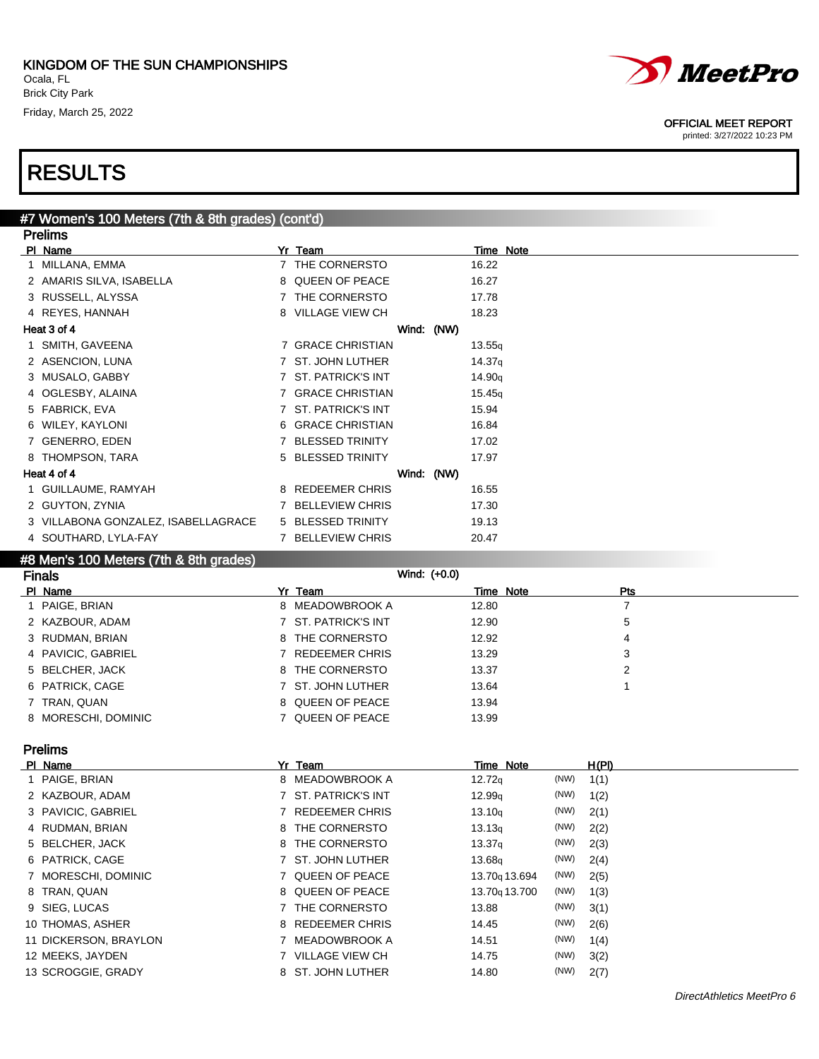

printed: 3/27/2022 10:23 PM

## RESULTS

### #7 Women's 100 Meters (7th & 8th grades) (cont'd) Prelims PI Name Time Note<br>1 MILLANA EMMA 7 THE CORNERSTO 16.22

| 1  | MILLANA, EMMA                       |              | 7 THE CORNERSTO          |            | 16.22              |
|----|-------------------------------------|--------------|--------------------------|------------|--------------------|
|    | 2 AMARIS SILVA, ISABELLA            | 8            | <b>QUEEN OF PEACE</b>    |            | 16.27              |
|    | 3 RUSSELL, ALYSSA                   | $7^{\circ}$  | THE CORNERSTO            |            | 17.78              |
|    | 4 REYES, HANNAH                     |              | 8 VILLAGE VIEW CH        |            | 18.23              |
|    | Heat 3 of 4                         |              |                          | Wind: (NW) |                    |
|    | 1 SMITH, GAVEENA                    |              | 7 GRACE CHRISTIAN        |            | 13.55q             |
|    | 2 ASENCION, LUNA                    |              | 7 ST. JOHN LUTHER        |            | 14.37q             |
|    | 3 MUSALO, GABBY                     |              | 7 ST. PATRICK'S INT      |            | 14.90 <sub>q</sub> |
|    | 4 OGLESBY, ALAINA                   | $7^{\circ}$  | <b>GRACE CHRISTIAN</b>   |            | 15.45q             |
|    | 5 FABRICK, EVA                      | $7^{\circ}$  | <b>ST. PATRICK'S INT</b> |            | 15.94              |
| 6. | WILEY, KAYLONI                      |              | 6 GRACE CHRISTIAN        |            | 16.84              |
|    | 7 GENERRO, EDEN                     | $\mathbf{7}$ | <b>BLESSED TRINITY</b>   |            | 17.02              |
| 8  | THOMPSON, TARA                      |              | 5 BLESSED TRINITY        |            | 17.97              |
|    | Heat 4 of 4                         |              |                          | Wind: (NW) |                    |
|    | 1 GUILLAUME, RAMYAH                 | 8            | <b>REDEEMER CHRIS</b>    |            | 16.55              |
|    | 2 GUYTON, ZYNIA                     | 7            | <b>BELLEVIEW CHRIS</b>   |            | 17.30              |
|    | 3 VILLABONA GONZALEZ, ISABELLAGRACE |              | 5 BLESSED TRINITY        |            | 19.13              |
|    | 4 SOUTHARD, LYLA-FAY                |              | <b>BELLEVIEW CHRIS</b>   |            | 20.47              |
|    |                                     |              |                          |            |                    |

### #8 Men's 100 Meters (7th & 8th grades)

| <b>Finals</b>       | Wind: (+0.0)        |       |                  |  |
|---------------------|---------------------|-------|------------------|--|
| PI Name             | Yr Team             |       | Time Note<br>Pts |  |
| 1 PAIGE, BRIAN      | 8 MEADOWBROOK A     | 12.80 |                  |  |
| 2 KAZBOUR, ADAM     | 7 ST. PATRICK'S INT | 12.90 | 5                |  |
| 3 RUDMAN, BRIAN     | 8 THE CORNERSTO     | 12.92 | 4                |  |
| 4 PAVICIC, GABRIEL  | 7 REDEEMER CHRIS    | 13.29 | 3                |  |
| 5 BELCHER, JACK     | 8 THE CORNERSTO     | 13.37 | 2                |  |
| 6 PATRICK, CAGE     | 7 ST. JOHN LUTHER   | 13.64 |                  |  |
| 7 TRAN, QUAN        | 8 QUEEN OF PEACE    | 13.94 |                  |  |
| 8 MORESCHI, DOMINIC | 7 QUEEN OF PEACE    | 13.99 |                  |  |

### Prelims

| PI Name               | Yr Team             | Time Note                 |      | H(PI) |
|-----------------------|---------------------|---------------------------|------|-------|
| 1 PAIGE, BRIAN        | 8 MEADOWBROOK A     | 12.72q                    | (NW) | 1(1)  |
| 2 KAZBOUR, ADAM       | 7 ST. PATRICK'S INT | 12.99q                    | (NW) | 1(2)  |
| 3 PAVICIC, GABRIEL    | 7 REDEEMER CHRIS    | 13.10q                    | (NW) | 2(1)  |
| 4 RUDMAN, BRIAN       | 8 THE CORNERSTO     | 13.13q                    | (NW) | 2(2)  |
| 5 BELCHER, JACK       | 8 THE CORNERSTO     | 13.37 <sub>q</sub>        | (NW) | 2(3)  |
| 6 PATRICK, CAGE       | 7 ST. JOHN LUTHER   | 13.68 <sub>g</sub>        | (NW) | 2(4)  |
| 7 MORESCHI, DOMINIC   | 7 QUEEN OF PEACE    | 13.70g 13.694             | (NW) | 2(5)  |
| 8 TRAN, QUAN          | 8 QUEEN OF PEACE    | 13.70 <sub>9</sub> 13.700 | (NW) | 1(3)  |
| 9 SIEG, LUCAS         | 7 THE CORNERSTO     | 13.88                     | (NW) | 3(1)  |
| 10 THOMAS, ASHER      | 8 REDEEMER CHRIS    | 14.45                     | (NW) | 2(6)  |
| 11 DICKERSON, BRAYLON | 7 MEADOWBROOK A     | 14.51                     | (NW) | 1(4)  |
| 12 MEEKS, JAYDEN      | 7 VILLAGE VIEW CH   | 14.75                     | (NW) | 3(2)  |
| 13 SCROGGIE, GRADY    | 8 ST. JOHN LUTHER   | 14.80                     | (NW) | 2(7)  |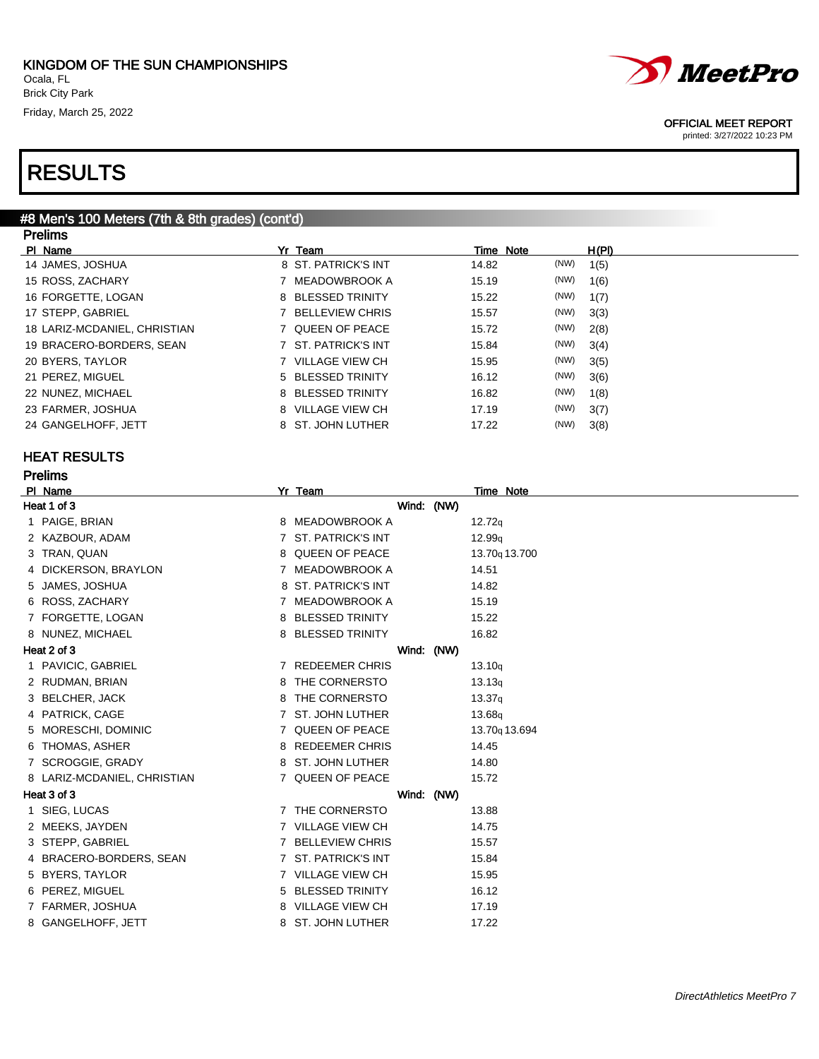#### #8 Men's 100 Meters (7th & 8th grades) (cont'd) Prelims

| .                            |                     |               |       |
|------------------------------|---------------------|---------------|-------|
| PI Name                      | Yr Team             | Time Note     | H(PI) |
| 14 JAMES, JOSHUA             | 8 ST. PATRICK'S INT | (NW)<br>14.82 | 1(5)  |
| 15 ROSS, ZACHARY             | 7 MEADOWBROOK A     | (NW)<br>15.19 | 1(6)  |
| 16 FORGETTE, LOGAN           | 8 BLESSED TRINITY   | (NW)<br>15.22 | 1(7)  |
| 17 STEPP, GABRIEL            | 7 BELLEVIEW CHRIS   | (NW)<br>15.57 | 3(3)  |
| 18 LARIZ-MCDANIEL, CHRISTIAN | 7 QUEEN OF PEACE    | (NW)<br>15.72 | 2(8)  |
| 19 BRACERO-BORDERS, SEAN     | 7 ST. PATRICK'S INT | (NW)<br>15.84 | 3(4)  |
| 20 BYERS, TAYLOR             | 7 VILLAGE VIEW CH   | (NW)<br>15.95 | 3(5)  |
| 21 PEREZ, MIGUEL             | 5 BLESSED TRINITY   | (NW)<br>16.12 | 3(6)  |
| 22 NUNEZ, MICHAEL            | 8 BLESSED TRINITY   | (NW)<br>16.82 | 1(8)  |
| 23 FARMER, JOSHUA            | 8 VILLAGE VIEW CH   | (NW)<br>17.19 | 3(7)  |
| 24 GANGELHOFF, JETT          | 8 ST. JOHN LUTHER   | (NW)<br>17.22 | 3(8)  |
|                              |                     |               |       |

### HEAT RESULTS

Prelims

|                                                                                                                                                                                                                                                                                                                                                                                                                                                                                                                                                                  |                                                                                                                                                                                                                                                                                                                                                                                                                                                                                                                      | <b>Time Note</b>                       |
|------------------------------------------------------------------------------------------------------------------------------------------------------------------------------------------------------------------------------------------------------------------------------------------------------------------------------------------------------------------------------------------------------------------------------------------------------------------------------------------------------------------------------------------------------------------|----------------------------------------------------------------------------------------------------------------------------------------------------------------------------------------------------------------------------------------------------------------------------------------------------------------------------------------------------------------------------------------------------------------------------------------------------------------------------------------------------------------------|----------------------------------------|
|                                                                                                                                                                                                                                                                                                                                                                                                                                                                                                                                                                  |                                                                                                                                                                                                                                                                                                                                                                                                                                                                                                                      |                                        |
|                                                                                                                                                                                                                                                                                                                                                                                                                                                                                                                                                                  |                                                                                                                                                                                                                                                                                                                                                                                                                                                                                                                      | 12.72q                                 |
|                                                                                                                                                                                                                                                                                                                                                                                                                                                                                                                                                                  |                                                                                                                                                                                                                                                                                                                                                                                                                                                                                                                      | 12.99q                                 |
|                                                                                                                                                                                                                                                                                                                                                                                                                                                                                                                                                                  |                                                                                                                                                                                                                                                                                                                                                                                                                                                                                                                      | 13.70 <sub>9</sub> 13.700              |
|                                                                                                                                                                                                                                                                                                                                                                                                                                                                                                                                                                  |                                                                                                                                                                                                                                                                                                                                                                                                                                                                                                                      | 14.51                                  |
|                                                                                                                                                                                                                                                                                                                                                                                                                                                                                                                                                                  |                                                                                                                                                                                                                                                                                                                                                                                                                                                                                                                      | 14.82                                  |
|                                                                                                                                                                                                                                                                                                                                                                                                                                                                                                                                                                  |                                                                                                                                                                                                                                                                                                                                                                                                                                                                                                                      | 15.19                                  |
|                                                                                                                                                                                                                                                                                                                                                                                                                                                                                                                                                                  |                                                                                                                                                                                                                                                                                                                                                                                                                                                                                                                      | 15.22                                  |
|                                                                                                                                                                                                                                                                                                                                                                                                                                                                                                                                                                  |                                                                                                                                                                                                                                                                                                                                                                                                                                                                                                                      | 16.82                                  |
|                                                                                                                                                                                                                                                                                                                                                                                                                                                                                                                                                                  |                                                                                                                                                                                                                                                                                                                                                                                                                                                                                                                      |                                        |
|                                                                                                                                                                                                                                                                                                                                                                                                                                                                                                                                                                  |                                                                                                                                                                                                                                                                                                                                                                                                                                                                                                                      | 13.10q                                 |
|                                                                                                                                                                                                                                                                                                                                                                                                                                                                                                                                                                  |                                                                                                                                                                                                                                                                                                                                                                                                                                                                                                                      | 13.13q                                 |
|                                                                                                                                                                                                                                                                                                                                                                                                                                                                                                                                                                  |                                                                                                                                                                                                                                                                                                                                                                                                                                                                                                                      | 13.37 <sub>q</sub>                     |
|                                                                                                                                                                                                                                                                                                                                                                                                                                                                                                                                                                  |                                                                                                                                                                                                                                                                                                                                                                                                                                                                                                                      | 13.68q                                 |
|                                                                                                                                                                                                                                                                                                                                                                                                                                                                                                                                                                  |                                                                                                                                                                                                                                                                                                                                                                                                                                                                                                                      | 13.70g 13.694                          |
|                                                                                                                                                                                                                                                                                                                                                                                                                                                                                                                                                                  |                                                                                                                                                                                                                                                                                                                                                                                                                                                                                                                      | 14.45                                  |
|                                                                                                                                                                                                                                                                                                                                                                                                                                                                                                                                                                  |                                                                                                                                                                                                                                                                                                                                                                                                                                                                                                                      | 14.80                                  |
|                                                                                                                                                                                                                                                                                                                                                                                                                                                                                                                                                                  |                                                                                                                                                                                                                                                                                                                                                                                                                                                                                                                      | 15.72                                  |
|                                                                                                                                                                                                                                                                                                                                                                                                                                                                                                                                                                  |                                                                                                                                                                                                                                                                                                                                                                                                                                                                                                                      |                                        |
|                                                                                                                                                                                                                                                                                                                                                                                                                                                                                                                                                                  |                                                                                                                                                                                                                                                                                                                                                                                                                                                                                                                      | 13.88                                  |
|                                                                                                                                                                                                                                                                                                                                                                                                                                                                                                                                                                  |                                                                                                                                                                                                                                                                                                                                                                                                                                                                                                                      | 14.75                                  |
|                                                                                                                                                                                                                                                                                                                                                                                                                                                                                                                                                                  |                                                                                                                                                                                                                                                                                                                                                                                                                                                                                                                      | 15.57                                  |
|                                                                                                                                                                                                                                                                                                                                                                                                                                                                                                                                                                  |                                                                                                                                                                                                                                                                                                                                                                                                                                                                                                                      | 15.84                                  |
|                                                                                                                                                                                                                                                                                                                                                                                                                                                                                                                                                                  |                                                                                                                                                                                                                                                                                                                                                                                                                                                                                                                      | 15.95                                  |
|                                                                                                                                                                                                                                                                                                                                                                                                                                                                                                                                                                  |                                                                                                                                                                                                                                                                                                                                                                                                                                                                                                                      | 16.12                                  |
|                                                                                                                                                                                                                                                                                                                                                                                                                                                                                                                                                                  |                                                                                                                                                                                                                                                                                                                                                                                                                                                                                                                      | 17.19                                  |
|                                                                                                                                                                                                                                                                                                                                                                                                                                                                                                                                                                  |                                                                                                                                                                                                                                                                                                                                                                                                                                                                                                                      | 17.22                                  |
| PI Name<br>Heat 1 of 3<br>1 PAIGE, BRIAN<br>2 KAZBOUR, ADAM<br>3 TRAN, QUAN<br>4 DICKERSON, BRAYLON<br>5 JAMES, JOSHUA<br>6 ROSS, ZACHARY<br>7 FORGETTE, LOGAN<br>8 NUNEZ, MICHAEL<br>Heat 2 of 3<br>1 PAVICIC, GABRIEL<br>2 RUDMAN, BRIAN<br>3 BELCHER, JACK<br>4 PATRICK, CAGE<br>5 MORESCHI, DOMINIC<br>6 THOMAS, ASHER<br>7 SCROGGIE, GRADY<br>8 LARIZ-MCDANIEL, CHRISTIAN<br>Heat 3 of 3<br>1 SIEG, LUCAS<br>2 MEEKS, JAYDEN<br>3 STEPP, GABRIEL<br>4 BRACERO-BORDERS, SEAN<br>5 BYERS, TAYLOR<br>6 PEREZ, MIGUEL<br>7 FARMER, JOSHUA<br>8 GANGELHOFF, JETT | Yr Team<br>8 MEADOWBROOK A<br>7 ST. PATRICK'S INT<br>8 QUEEN OF PEACE<br>7 MEADOWBROOK A<br>8 ST. PATRICK'S INT<br>7 MEADOWBROOK A<br>8 BLESSED TRINITY<br>8 BLESSED TRINITY<br>7 REDEEMER CHRIS<br>8 THE CORNERSTO<br>8 THE CORNERSTO<br>7 ST. JOHN LUTHER<br>7 QUEEN OF PEACE<br>8 REDEEMER CHRIS<br>8 ST. JOHN LUTHER<br>7 QUEEN OF PEACE<br>7 THE CORNERSTO<br>7 VILLAGE VIEW CH<br>7 BELLEVIEW CHRIS<br>7 ST. PATRICK'S INT<br>7 VILLAGE VIEW CH<br>5 BLESSED TRINITY<br>8 VILLAGE VIEW CH<br>8 ST. JOHN LUTHER | Wind: (NW)<br>Wind: (NW)<br>Wind: (NW) |



### OFFICIAL MEET REPORT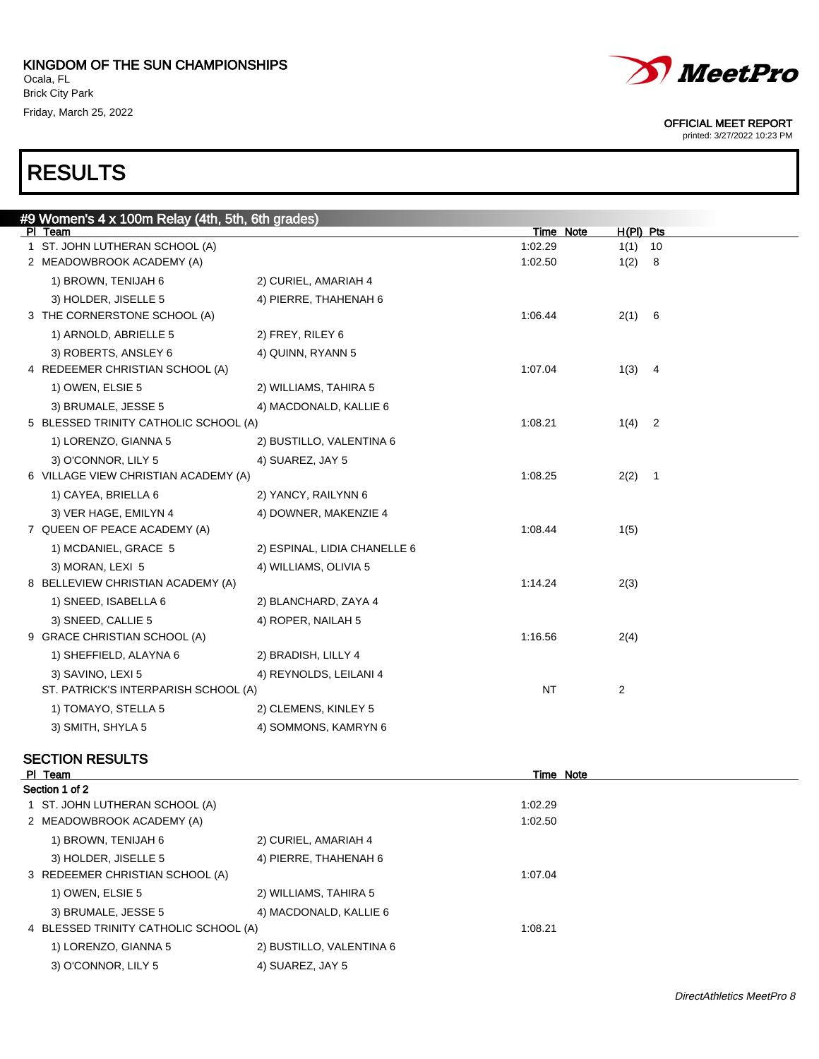

printed: 3/27/2022 10:23 PM

# RESULTS

| #9 Women's 4 x 100m Relay (4th, 5th, 6th grades) |                              |           |                                  |  |
|--------------------------------------------------|------------------------------|-----------|----------------------------------|--|
| PI Team                                          |                              | Time Note | $H(PI)$ Pts                      |  |
| 1 ST. JOHN LUTHERAN SCHOOL (A)                   |                              | 1:02.29   | 1(1)<br>10                       |  |
| 2 MEADOWBROOK ACADEMY (A)                        |                              | 1:02.50   | 1(2)<br>-8                       |  |
| 1) BROWN, TENIJAH 6                              | 2) CURIEL, AMARIAH 4         |           |                                  |  |
| 3) HOLDER, JISELLE 5                             | 4) PIERRE, THAHENAH 6        |           |                                  |  |
| 3 THE CORNERSTONE SCHOOL (A)                     |                              | 1:06.44   | 2(1) 6                           |  |
| 1) ARNOLD, ABRIELLE 5                            | 2) FREY, RILEY 6             |           |                                  |  |
| 3) ROBERTS, ANSLEY 6                             | 4) QUINN, RYANN 5            |           |                                  |  |
| 4 REDEEMER CHRISTIAN SCHOOL (A)                  |                              | 1:07.04   | 1(3)<br>$\overline{4}$           |  |
| 1) OWEN, ELSIE 5                                 | 2) WILLIAMS, TAHIRA 5        |           |                                  |  |
| 3) BRUMALE, JESSE 5                              | 4) MACDONALD, KALLIE 6       |           |                                  |  |
| 5 BLESSED TRINITY CATHOLIC SCHOOL (A)            |                              | 1:08.21   | 1(4)<br>$\overline{2}$           |  |
| 1) LORENZO, GIANNA 5                             | 2) BUSTILLO, VALENTINA 6     |           |                                  |  |
| 3) O'CONNOR, LILY 5                              | 4) SUAREZ, JAY 5             |           |                                  |  |
| 6 VILLAGE VIEW CHRISTIAN ACADEMY (A)             |                              | 1:08.25   | 2(2)<br>$\overline{\phantom{1}}$ |  |
| 1) CAYEA, BRIELLA 6                              | 2) YANCY, RAILYNN 6          |           |                                  |  |
| 3) VER HAGE, EMILYN 4                            | 4) DOWNER, MAKENZIE 4        |           |                                  |  |
| 7 QUEEN OF PEACE ACADEMY (A)                     |                              | 1:08.44   | 1(5)                             |  |
| 1) MCDANIEL, GRACE 5                             | 2) ESPINAL, LIDIA CHANELLE 6 |           |                                  |  |
| 3) MORAN, LEXI 5                                 | 4) WILLIAMS, OLIVIA 5        |           |                                  |  |
| 8 BELLEVIEW CHRISTIAN ACADEMY (A)                |                              | 1:14.24   | 2(3)                             |  |
| 1) SNEED, ISABELLA 6                             | 2) BLANCHARD, ZAYA 4         |           |                                  |  |
| 3) SNEED, CALLIE 5                               | 4) ROPER, NAILAH 5           |           |                                  |  |
| 9 GRACE CHRISTIAN SCHOOL (A)                     |                              | 1:16.56   | 2(4)                             |  |
| 1) SHEFFIELD, ALAYNA 6                           | 2) BRADISH, LILLY 4          |           |                                  |  |
| 3) SAVINO, LEXI 5                                | 4) REYNOLDS, LEILANI 4       |           |                                  |  |
| ST. PATRICK'S INTERPARISH SCHOOL (A)             |                              | <b>NT</b> | $\overline{c}$                   |  |
| 1) TOMAYO, STELLA 5                              | 2) CLEMENS, KINLEY 5         |           |                                  |  |
| 3) SMITH, SHYLA 5                                | 4) SOMMONS, KAMRYN 6         |           |                                  |  |
|                                                  |                              |           |                                  |  |

### SECTION RESULTS

| PI Team                               |                          | Time Note |  |
|---------------------------------------|--------------------------|-----------|--|
| Section 1 of 2                        |                          |           |  |
| 1 ST. JOHN LUTHERAN SCHOOL (A)        |                          | 1:02.29   |  |
| 2 MEADOWBROOK ACADEMY (A)             |                          | 1:02.50   |  |
| 1) BROWN, TENIJAH 6                   | 2) CURIEL, AMARIAH 4     |           |  |
| 3) HOLDER, JISELLE 5                  | 4) PIERRE, THAHENAH 6    |           |  |
| 3 REDEEMER CHRISTIAN SCHOOL (A)       |                          | 1:07.04   |  |
| 1) OWEN, ELSIE 5                      | 2) WILLIAMS, TAHIRA 5    |           |  |
| 3) BRUMALE, JESSE 5                   | 4) MACDONALD, KALLIE 6   |           |  |
| 4 BLESSED TRINITY CATHOLIC SCHOOL (A) |                          | 1:08.21   |  |
| 1) LORENZO, GIANNA 5                  | 2) BUSTILLO, VALENTINA 6 |           |  |
| 3) O'CONNOR, LILY 5                   | 4) SUAREZ, JAY 5         |           |  |
|                                       |                          |           |  |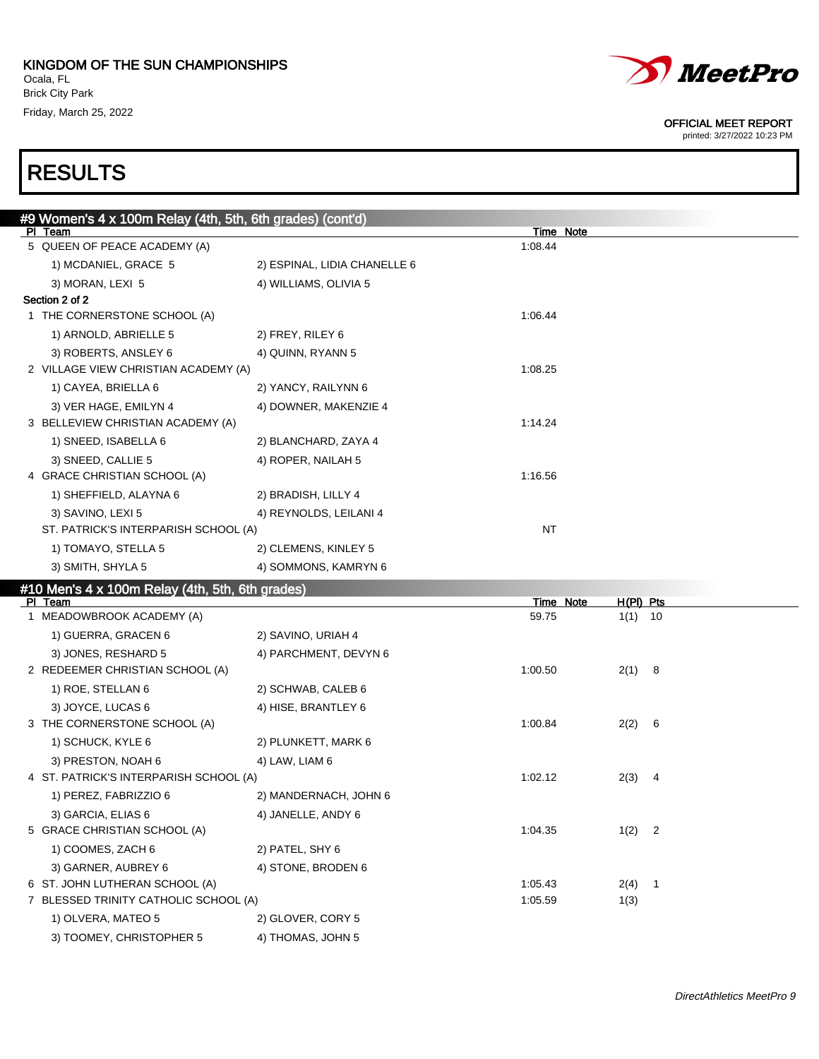

printed: 3/27/2022 10:23 PM

# RESULTS

| #9 Women's 4 x 100m Relay (4th, 5th, 6th grades) (cont'd)    |                              |           |             |
|--------------------------------------------------------------|------------------------------|-----------|-------------|
| PI Team                                                      |                              | Time Note |             |
| 5 QUEEN OF PEACE ACADEMY (A)                                 |                              | 1:08.44   |             |
| 1) MCDANIEL, GRACE 5                                         | 2) ESPINAL, LIDIA CHANELLE 6 |           |             |
| 3) MORAN, LEXI 5<br>Section 2 of 2                           | 4) WILLIAMS, OLIVIA 5        |           |             |
| 1 THE CORNERSTONE SCHOOL (A)                                 |                              | 1:06.44   |             |
|                                                              |                              |           |             |
| 1) ARNOLD, ABRIELLE 5                                        | 2) FREY, RILEY 6             |           |             |
| 3) ROBERTS, ANSLEY 6<br>2 VILLAGE VIEW CHRISTIAN ACADEMY (A) | 4) QUINN, RYANN 5            | 1:08.25   |             |
| 1) CAYEA, BRIELLA 6                                          | 2) YANCY, RAILYNN 6          |           |             |
|                                                              |                              |           |             |
| 3) VER HAGE, EMILYN 4<br>3 BELLEVIEW CHRISTIAN ACADEMY (A)   | 4) DOWNER, MAKENZIE 4        | 1:14.24   |             |
| 1) SNEED, ISABELLA 6                                         | 2) BLANCHARD, ZAYA 4         |           |             |
| 3) SNEED, CALLIE 5                                           | 4) ROPER, NAILAH 5           |           |             |
| 4 GRACE CHRISTIAN SCHOOL (A)                                 |                              | 1:16.56   |             |
| 1) SHEFFIELD, ALAYNA 6                                       | 2) BRADISH, LILLY 4          |           |             |
| 3) SAVINO, LEXI 5                                            | 4) REYNOLDS, LEILANI 4       |           |             |
| ST. PATRICK'S INTERPARISH SCHOOL (A)                         |                              | NT        |             |
| 1) TOMAYO, STELLA 5                                          | 2) CLEMENS, KINLEY 5         |           |             |
| 3) SMITH, SHYLA 5                                            | 4) SOMMONS, KAMRYN 6         |           |             |
|                                                              |                              |           |             |
|                                                              |                              |           |             |
| #10 Men's 4 x 100m Relay (4th, 5th, 6th grades)<br>PI Team   |                              | Time Note | $H(PI)$ Pts |
| 1 MEADOWBROOK ACADEMY (A)                                    |                              | 59.75     | $1(1)$ 10   |
| 1) GUERRA, GRACEN 6                                          | 2) SAVINO, URIAH 4           |           |             |
| 3) JONES, RESHARD 5                                          | 4) PARCHMENT, DEVYN 6        |           |             |
| 2 REDEEMER CHRISTIAN SCHOOL (A)                              |                              | 1:00.50   | 2(1) 8      |
| 1) ROE, STELLAN 6                                            | 2) SCHWAB, CALEB 6           |           |             |
| 3) JOYCE, LUCAS 6                                            | 4) HISE, BRANTLEY 6          |           |             |
| 3 THE CORNERSTONE SCHOOL (A)                                 |                              | 1:00.84   | 2(2)<br>- 6 |
| 1) SCHUCK, KYLE 6                                            | 2) PLUNKETT, MARK 6          |           |             |
| 3) PRESTON, NOAH 6                                           | 4) LAW, LIAM 6               |           |             |
| 4 ST. PATRICK'S INTERPARISH SCHOOL (A)                       |                              | 1:02.12   | 2(3)<br>- 4 |
| 1) PEREZ, FABRIZZIO 6                                        | 2) MANDERNACH, JOHN 6        |           |             |
| 3) GARCIA, ELIAS 6                                           | 4) JANELLE, ANDY 6           |           |             |
| 5 GRACE CHRISTIAN SCHOOL (A)                                 |                              | 1:04.35   | $1(2)$ 2    |
| 1) COOMES, ZACH 6                                            | 2) PATEL, SHY 6              |           |             |
| 3) GARNER, AUBREY 6                                          | 4) STONE, BRODEN 6           |           |             |
| 6 ST. JOHN LUTHERAN SCHOOL (A)                               |                              | 1:05.43   | $2(4)$ 1    |
| 7 BLESSED TRINITY CATHOLIC SCHOOL (A)                        |                              | 1:05.59   | 1(3)        |

3) TOOMEY, CHRISTOPHER 5 4) THOMAS, JOHN 5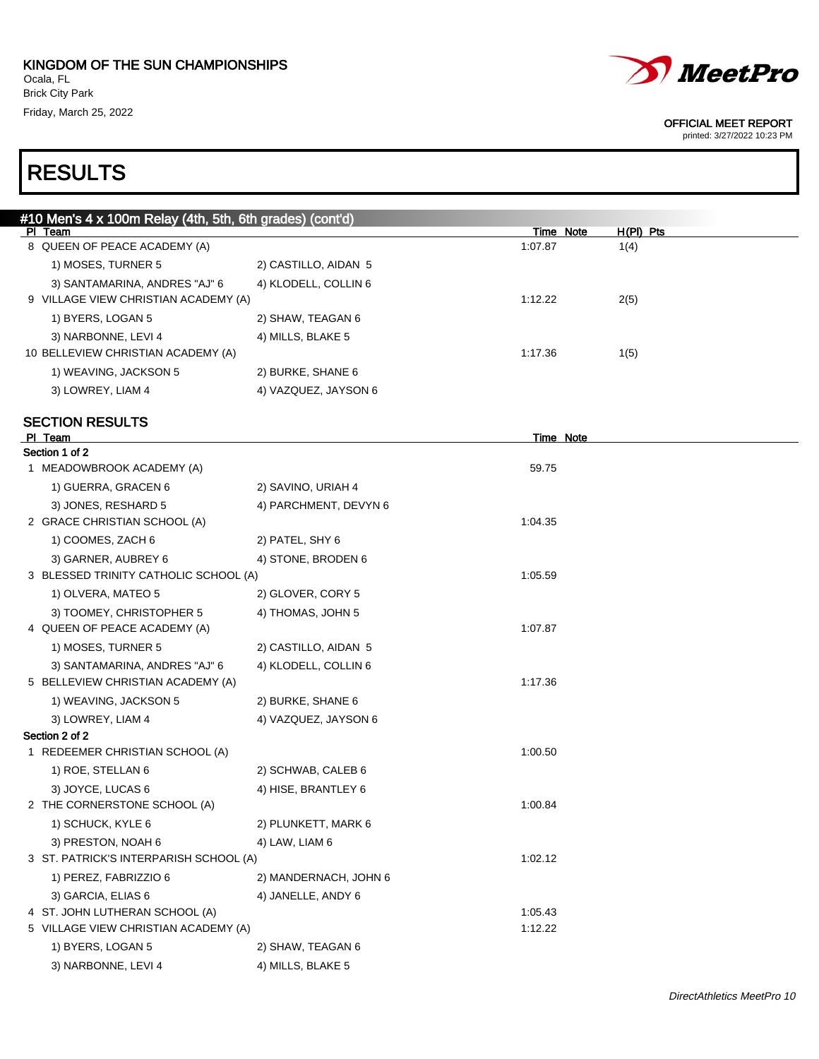

printed: 3/27/2022 10:23 PM

| #10 Men's 4 x 100m Relay (4th, 5th, 6th grades) (cont'd) |                       |                  |             |
|----------------------------------------------------------|-----------------------|------------------|-------------|
| PI Team                                                  |                       | <b>Time Note</b> | $H(PI)$ Pts |
| 8 QUEEN OF PEACE ACADEMY (A)                             |                       | 1:07.87          | 1(4)        |
| 1) MOSES, TURNER 5                                       | 2) CASTILLO, AIDAN 5  |                  |             |
| 3) SANTAMARINA, ANDRES "AJ" 6                            | 4) KLODELL, COLLIN 6  |                  |             |
| 9 VILLAGE VIEW CHRISTIAN ACADEMY (A)                     |                       | 1:12.22          | 2(5)        |
| 1) BYERS, LOGAN 5                                        | 2) SHAW, TEAGAN 6     |                  |             |
| 3) NARBONNE, LEVI 4                                      | 4) MILLS, BLAKE 5     |                  |             |
| 10 BELLEVIEW CHRISTIAN ACADEMY (A)                       |                       | 1:17.36          | 1(5)        |
| 1) WEAVING, JACKSON 5                                    | 2) BURKE, SHANE 6     |                  |             |
| 3) LOWREY, LIAM 4                                        | 4) VAZQUEZ, JAYSON 6  |                  |             |
| <b>SECTION RESULTS</b>                                   |                       |                  |             |
| PI Team                                                  |                       | <b>Time Note</b> |             |
| Section 1 of 2                                           |                       |                  |             |
| 1 MEADOWBROOK ACADEMY (A)                                |                       | 59.75            |             |
| 1) GUERRA, GRACEN 6                                      | 2) SAVINO, URIAH 4    |                  |             |
| 3) JONES, RESHARD 5                                      | 4) PARCHMENT, DEVYN 6 |                  |             |
| 2 GRACE CHRISTIAN SCHOOL (A)                             |                       | 1:04.35          |             |
| 1) COOMES, ZACH 6                                        | 2) PATEL, SHY 6       |                  |             |
| 3) GARNER, AUBREY 6                                      | 4) STONE, BRODEN 6    |                  |             |
| 3 BLESSED TRINITY CATHOLIC SCHOOL (A)                    |                       | 1:05.59          |             |
| 1) OLVERA, MATEO 5                                       | 2) GLOVER, CORY 5     |                  |             |
| 3) TOOMEY, CHRISTOPHER 5                                 | 4) THOMAS, JOHN 5     |                  |             |
| 4 QUEEN OF PEACE ACADEMY (A)                             |                       | 1:07.87          |             |
| 1) MOSES, TURNER 5                                       | 2) CASTILLO, AIDAN 5  |                  |             |
| 3) SANTAMARINA, ANDRES "AJ" 6                            | 4) KLODELL, COLLIN 6  |                  |             |
| 5 BELLEVIEW CHRISTIAN ACADEMY (A)                        |                       | 1:17.36          |             |
| 1) WEAVING, JACKSON 5                                    | 2) BURKE, SHANE 6     |                  |             |
| 3) LOWREY, LIAM 4                                        | 4) VAZQUEZ, JAYSON 6  |                  |             |
| Section 2 of 2                                           |                       |                  |             |
| 1 REDEEMER CHRISTIAN SCHOOL (A)                          |                       | 1:00.50          |             |
| 1) ROE, STELLAN 6                                        | 2) SCHWAB, CALEB 6    |                  |             |
| 3) JOYCE, LUCAS 6                                        | 4) HISE, BRANTLEY 6   |                  |             |
| 2 THE CORNERSTONE SCHOOL (A)                             |                       | 1:00.84          |             |
| 1) SCHUCK, KYLE 6                                        | 2) PLUNKETT, MARK 6   |                  |             |
| 3) PRESTON, NOAH 6                                       | 4) LAW, LIAM 6        |                  |             |
| 3 ST. PATRICK'S INTERPARISH SCHOOL (A)                   |                       | 1:02.12          |             |
| 1) PEREZ, FABRIZZIO 6                                    | 2) MANDERNACH, JOHN 6 |                  |             |
| 3) GARCIA, ELIAS 6                                       | 4) JANELLE, ANDY 6    |                  |             |
| 4 ST. JOHN LUTHERAN SCHOOL (A)                           |                       | 1:05.43          |             |
| 5 VILLAGE VIEW CHRISTIAN ACADEMY (A)                     |                       | 1:12.22          |             |
| 1) BYERS, LOGAN 5                                        | 2) SHAW, TEAGAN 6     |                  |             |
| 3) NARBONNE, LEVI 4                                      | 4) MILLS, BLAKE 5     |                  |             |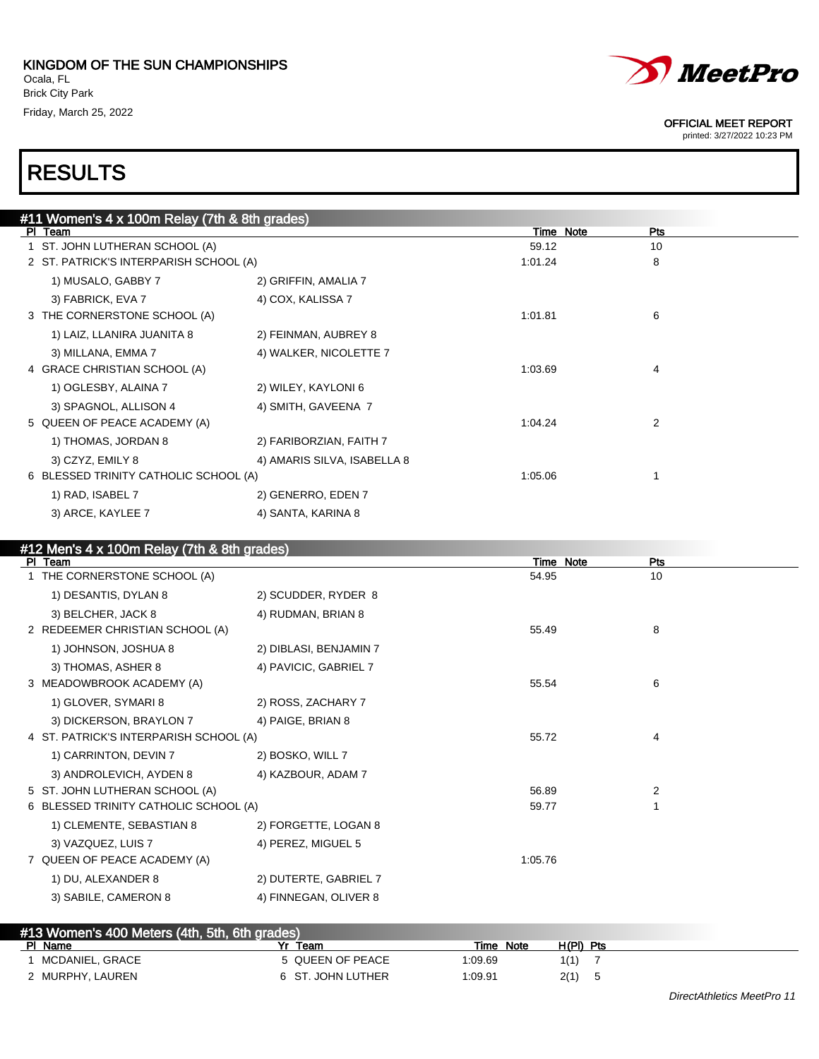

printed: 3/27/2022 10:23 PM

| #11 Women's 4 x 100m Relay (7th & 8th grades) |                             |         |                  |  |
|-----------------------------------------------|-----------------------------|---------|------------------|--|
| PI Team                                       |                             |         | Time Note<br>Pts |  |
| 1 ST. JOHN LUTHERAN SCHOOL (A)                |                             | 59.12   | 10               |  |
| 2 ST. PATRICK'S INTERPARISH SCHOOL (A)        |                             | 1:01.24 | 8                |  |
| 1) MUSALO, GABBY 7                            | 2) GRIFFIN, AMALIA 7        |         |                  |  |
| 3) FABRICK, EVA 7                             | 4) COX, KALISSA 7           |         |                  |  |
| 3 THE CORNERSTONE SCHOOL (A)                  |                             | 1:01.81 | 6                |  |
| 1) LAIZ, LLANIRA JUANITA 8                    | 2) FEINMAN, AUBREY 8        |         |                  |  |
| 3) MILLANA, EMMA 7                            | 4) WALKER, NICOLETTE 7      |         |                  |  |
| 4 GRACE CHRISTIAN SCHOOL (A)                  |                             | 1:03.69 | 4                |  |
| 1) OGLESBY, ALAINA 7                          | 2) WILEY, KAYLONI 6         |         |                  |  |
| 3) SPAGNOL, ALLISON 4                         | 4) SMITH, GAVEENA 7         |         |                  |  |
| 5 QUEEN OF PEACE ACADEMY (A)                  |                             | 1:04.24 | 2                |  |
| 1) THOMAS, JORDAN 8                           | 2) FARIBORZIAN, FAITH 7     |         |                  |  |
| 3) CZYZ, EMILY 8                              | 4) AMARIS SILVA, ISABELLA 8 |         |                  |  |
| 6 BLESSED TRINITY CATHOLIC SCHOOL (A)         |                             | 1:05.06 |                  |  |
| 1) RAD, ISABEL 7                              | 2) GENERRO, EDEN 7          |         |                  |  |
| 3) ARCE, KAYLEE 7                             | 4) SANTA, KARINA 8          |         |                  |  |
|                                               |                             |         |                  |  |

| #12 Men's 4 x 100m Relay (7th & 8th grades) |                        |         |           |     |
|---------------------------------------------|------------------------|---------|-----------|-----|
| PI Team                                     |                        |         | Time Note | Pts |
| 1 THE CORNERSTONE SCHOOL (A)                |                        | 54.95   |           | 10  |
| 1) DESANTIS, DYLAN 8                        | 2) SCUDDER, RYDER 8    |         |           |     |
| 3) BELCHER, JACK 8                          | 4) RUDMAN, BRIAN 8     |         |           |     |
| 2 REDEEMER CHRISTIAN SCHOOL (A)             |                        | 55.49   |           | 8   |
| 1) JOHNSON, JOSHUA 8                        | 2) DIBLASI, BENJAMIN 7 |         |           |     |
| 3) THOMAS, ASHER 8                          | 4) PAVICIC, GABRIEL 7  |         |           |     |
| 3 MEADOWBROOK ACADEMY (A)                   |                        | 55.54   |           | 6   |
| 1) GLOVER, SYMARI 8                         | 2) ROSS, ZACHARY 7     |         |           |     |
| 3) DICKERSON, BRAYLON 7                     | 4) PAIGE, BRIAN 8      |         |           |     |
| 4 ST. PATRICK'S INTERPARISH SCHOOL (A)      |                        | 55.72   |           | 4   |
| 1) CARRINTON, DEVIN 7                       | 2) BOSKO, WILL 7       |         |           |     |
| 3) ANDROLEVICH, AYDEN 8                     | 4) KAZBOUR, ADAM 7     |         |           |     |
| 5 ST. JOHN LUTHERAN SCHOOL (A)              |                        | 56.89   |           | 2   |
| 6 BLESSED TRINITY CATHOLIC SCHOOL (A)       |                        | 59.77   |           |     |
| 1) CLEMENTE, SEBASTIAN 8                    | 2) FORGETTE, LOGAN 8   |         |           |     |
| 3) VAZQUEZ, LUIS 7                          | 4) PEREZ, MIGUEL 5     |         |           |     |
| 7 QUEEN OF PEACE ACADEMY (A)                |                        | 1:05.76 |           |     |
| 1) DU, ALEXANDER 8                          | 2) DUTERTE, GABRIEL 7  |         |           |     |
| 3) SABILE, CAMERON 8                        | 4) FINNEGAN, OLIVER 8  |         |           |     |
|                                             |                        |         |           |     |

| #13 Women's 400 Meters (4th, 5th, 6th grades) |                   |              |             |  |
|-----------------------------------------------|-------------------|--------------|-------------|--|
| PI Name                                       | Yr<br>Team        | Note<br>Time | $H(PI)$ Pts |  |
| MCDANIEL, GRACE                               | 5 QUEEN OF PEACE  | 09.69. ا     | 1(1)        |  |
| 2 MURPHY, LAUREN                              | 6 ST. JOHN LUTHER | 1:09.91      | 2(1)        |  |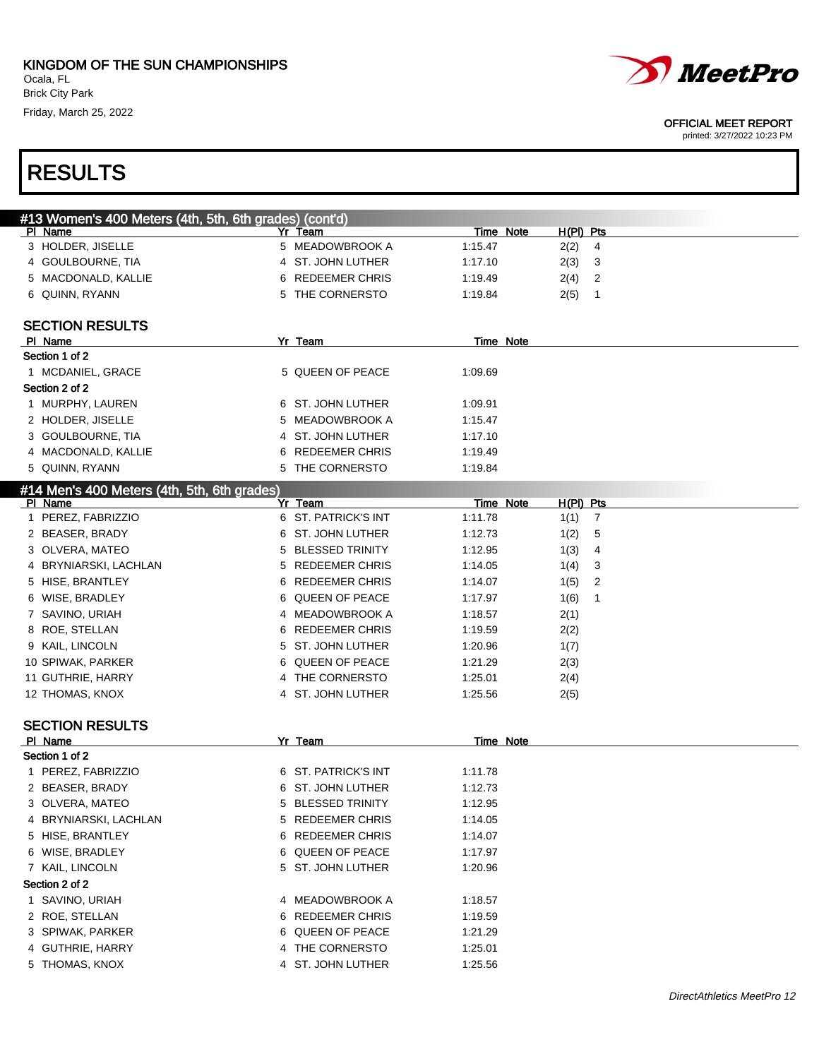

printed: 3/27/2022 10:23 PM

| #13 Women's 400 Meters (4th, 5th, 6th grades) (cont'd) |    |                        |                  |                        |
|--------------------------------------------------------|----|------------------------|------------------|------------------------|
| PI Name                                                |    | Yr Team                | Time Note        | H(PI) Pts              |
| 3 HOLDER, JISELLE                                      |    | 5 MEADOWBROOK A        | 1:15.47          | 2(2)<br>4              |
| 4 GOULBOURNE, TIA                                      |    | 4 ST. JOHN LUTHER      | 1:17.10          | 2(3)<br>3              |
| 5 MACDONALD, KALLIE                                    | 6  | <b>REDEEMER CHRIS</b>  | 1:19.49          | 2<br>2(4)              |
| 6 QUINN, RYANN                                         |    | 5 THE CORNERSTO        | 1:19.84          | 2(5)<br>1              |
|                                                        |    |                        |                  |                        |
| <b>SECTION RESULTS</b>                                 |    |                        |                  |                        |
| PI Name                                                |    | Yr Team                | <b>Time Note</b> |                        |
| Section 1 of 2                                         |    |                        |                  |                        |
| 1 MCDANIEL, GRACE                                      |    | 5 QUEEN OF PEACE       | 1:09.69          |                        |
| Section 2 of 2                                         |    |                        |                  |                        |
| 1 MURPHY, LAUREN                                       |    | 6 ST. JOHN LUTHER      | 1:09.91          |                        |
| 2 HOLDER, JISELLE                                      | 5. | <b>MEADOWBROOK A</b>   | 1:15.47          |                        |
| 3 GOULBOURNE, TIA                                      | 4  | ST. JOHN LUTHER        | 1:17.10          |                        |
| 4 MACDONALD, KALLIE                                    | 6  | <b>REDEEMER CHRIS</b>  | 1:19.49          |                        |
| 5 QUINN, RYANN                                         |    | 5 THE CORNERSTO        | 1:19.84          |                        |
| #14 Men's 400 Meters (4th, 5th, 6th grades)            |    |                        |                  |                        |
| PI Name                                                |    | Yr Team                | Time Note        | $H(PI)$ Pts            |
| 1 PEREZ, FABRIZZIO                                     |    | 6 ST. PATRICK'S INT    | 1:11.78          | $\overline{7}$<br>1(1) |
| 2 BEASER, BRADY                                        |    | 6 ST. JOHN LUTHER      | 1:12.73          | 5<br>1(2)              |
| 3 OLVERA, MATEO                                        | 5  | <b>BLESSED TRINITY</b> | 1:12.95          | 1(3)<br>4              |
| 4 BRYNIARSKI, LACHLAN                                  | 5  | <b>REDEEMER CHRIS</b>  | 1:14.05          | 3<br>1(4)              |
| 5 HISE, BRANTLEY                                       | 6. | <b>REDEEMER CHRIS</b>  | 1:14.07          | 1(5)<br>2              |
| 6 WISE, BRADLEY                                        | 6. | QUEEN OF PEACE         | 1:17.97          | 1(6)<br>1              |
| 7 SAVINO, URIAH                                        |    | 4 MEADOWBROOK A        | 1:18.57          | 2(1)                   |
| 8 ROE, STELLAN                                         | 6. | <b>REDEEMER CHRIS</b>  | 1:19.59          | 2(2)                   |
| 9 KAIL, LINCOLN                                        |    | 5 ST. JOHN LUTHER      | 1:20.96          | 1(7)                   |
| 10 SPIWAK, PARKER                                      | 6. | QUEEN OF PEACE         | 1:21.29          | 2(3)                   |
| 11 GUTHRIE, HARRY                                      |    | 4 THE CORNERSTO        | 1:25.01          | 2(4)                   |
| 12 THOMAS, KNOX                                        |    | 4 ST. JOHN LUTHER      | 1:25.56          | 2(5)                   |
|                                                        |    |                        |                  |                        |
| <b>SECTION RESULTS</b>                                 |    |                        |                  |                        |
| PI Name                                                |    | Yr Team                | Time Note        |                        |
| Section 1 of 2                                         |    |                        |                  |                        |
| 1 PEREZ, FABRIZZIO                                     |    | 6 ST. PATRICK'S INT    | 1:11.78          |                        |
| 2 BEASER, BRADY                                        |    | 6 ST. JOHN LUTHER      | 1:12.73          |                        |
| 3 OLVERA, MATEO                                        |    | 5 BLESSED TRINITY      | 1:12.95          |                        |
| 4 BRYNIARSKI, LACHLAN                                  |    | 5 REDEEMER CHRIS       | 1:14.05          |                        |
| 5 HISE, BRANTLEY                                       |    | 6 REDEEMER CHRIS       | 1:14.07          |                        |
| 6 WISE, BRADLEY                                        |    | 6 QUEEN OF PEACE       | 1:17.97          |                        |
| 7 KAIL, LINCOLN                                        |    | 5 ST. JOHN LUTHER      | 1:20.96          |                        |
| Section 2 of 2                                         |    |                        |                  |                        |
| 1 SAVINO, URIAH                                        |    | 4 MEADOWBROOK A        | 1:18.57          |                        |
| 2 ROE, STELLAN                                         |    | 6 REDEEMER CHRIS       | 1:19.59          |                        |
| 3 SPIWAK, PARKER                                       |    | 6 QUEEN OF PEACE       | 1:21.29          |                        |
| 4 GUTHRIE, HARRY                                       |    | 4 THE CORNERSTO        | 1:25.01          |                        |
| 5 THOMAS, KNOX                                         |    | 4 ST. JOHN LUTHER      | 1:25.56          |                        |
|                                                        |    |                        |                  |                        |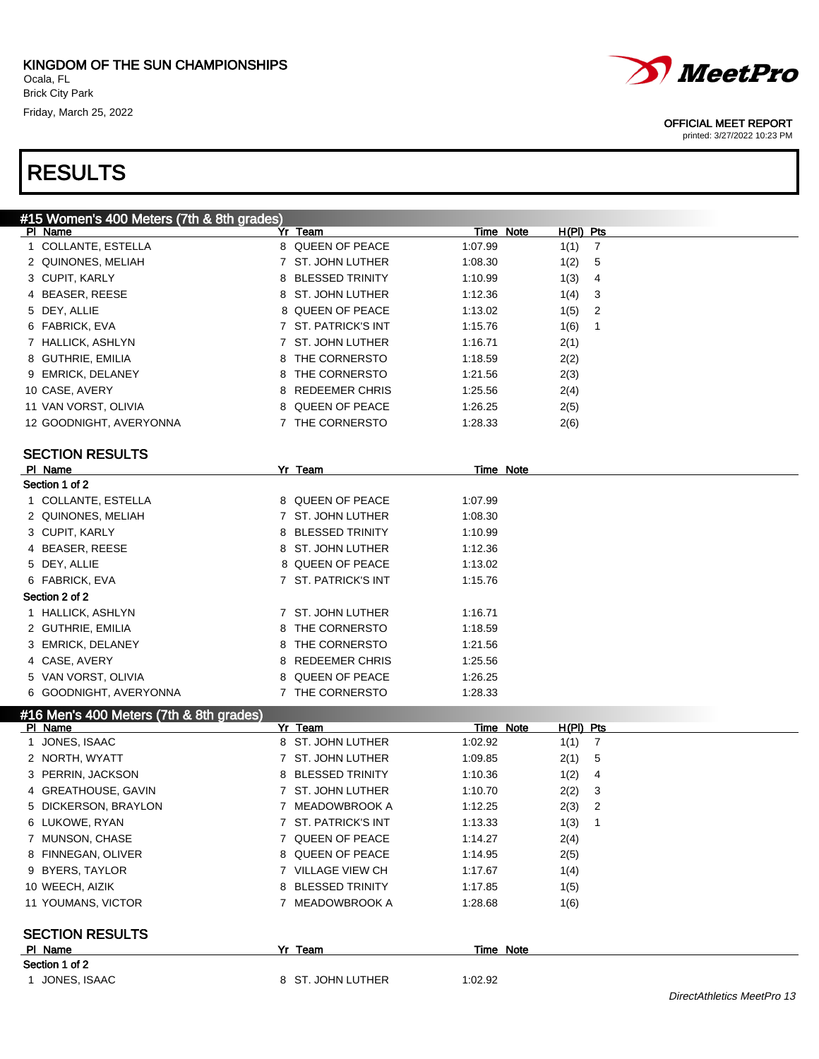

#### OFFICIAL MEET REPORT

| #15 Women's 400 Meters (7th & 8th grades) |                     |                                   |                            |
|-------------------------------------------|---------------------|-----------------------------------|----------------------------|
| PI Name                                   | Yr Team             | Time Note<br>$H(PI)$ Pts          |                            |
| 1 COLLANTE, ESTELLA                       | 8 QUEEN OF PEACE    | 1:07.99<br>1(1)<br>$\overline{7}$ |                            |
| 2 QUINONES, MELIAH                        | 7 ST. JOHN LUTHER   | 1:08.30<br>1(2)<br>5              |                            |
| 3 CUPIT, KARLY                            | 8 BLESSED TRINITY   | 1(3)<br>1:10.99<br>4              |                            |
| 4 BEASER, REESE                           | 8 ST. JOHN LUTHER   | 1:12.36<br>1(4)<br>3              |                            |
| 5 DEY, ALLIE                              | 8 QUEEN OF PEACE    | 1:13.02<br>1(5)<br>2              |                            |
| 6 FABRICK, EVA                            | 7 ST. PATRICK'S INT | 1(6)<br>1<br>1:15.76              |                            |
| 7 HALLICK, ASHLYN                         | 7 ST. JOHN LUTHER   | 2(1)<br>1:16.71                   |                            |
| 8 GUTHRIE, EMILIA                         | 8 THE CORNERSTO     | 1:18.59<br>2(2)                   |                            |
| 9 EMRICK, DELANEY                         | 8 THE CORNERSTO     | 2(3)<br>1:21.56                   |                            |
| 10 CASE, AVERY                            | 8 REDEEMER CHRIS    | 2(4)<br>1:25.56                   |                            |
| 11 VAN VORST, OLIVIA                      | 8 QUEEN OF PEACE    | 1:26.25<br>2(5)                   |                            |
| 12 GOODNIGHT, AVERYONNA                   | 7 THE CORNERSTO     | 1:28.33<br>2(6)                   |                            |
|                                           |                     |                                   |                            |
| <b>SECTION RESULTS</b>                    |                     |                                   |                            |
| PI Name                                   | Yr Team             | Time Note                         |                            |
| Section 1 of 2                            |                     |                                   |                            |
| 1 COLLANTE, ESTELLA                       | 8 QUEEN OF PEACE    | 1:07.99                           |                            |
| 2 QUINONES, MELIAH                        | 7 ST. JOHN LUTHER   | 1:08.30                           |                            |
| 3 CUPIT, KARLY                            | 8 BLESSED TRINITY   | 1:10.99                           |                            |
| 4 BEASER, REESE                           | 8 ST. JOHN LUTHER   | 1:12.36                           |                            |
| 5 DEY, ALLIE                              | 8 QUEEN OF PEACE    | 1:13.02                           |                            |
| 6 FABRICK, EVA                            | 7 ST. PATRICK'S INT | 1:15.76                           |                            |
| Section 2 of 2                            |                     |                                   |                            |
| 1 HALLICK, ASHLYN                         | 7 ST. JOHN LUTHER   | 1:16.71                           |                            |
| 2 GUTHRIE, EMILIA                         | 8 THE CORNERSTO     | 1:18.59                           |                            |
| 3 EMRICK, DELANEY                         | 8 THE CORNERSTO     | 1:21.56                           |                            |
| 4 CASE, AVERY                             | 8 REDEEMER CHRIS    | 1:25.56                           |                            |
| 5 VAN VORST, OLIVIA                       | 8 QUEEN OF PEACE    | 1:26.25                           |                            |
| 6 GOODNIGHT, AVERYONNA                    | 7 THE CORNERSTO     | 1:28.33                           |                            |
| #16 Men's 400 Meters (7th & 8th grades)   |                     |                                   |                            |
| PI Name                                   | Yr Team             | Time Note<br>H(PI) Pts            |                            |
| 1 JONES, ISAAC                            | 8 ST. JOHN LUTHER   | 1:02.92<br>1(1)<br>$\overline{7}$ |                            |
| 2 NORTH, WYATT                            | 7 ST. JOHN LUTHER   | 2(1)<br>5<br>1:09.85              |                            |
| 3 PERRIN, JACKSON                         | 8 BLESSED TRINITY   | 4<br>1:10.36<br>1(2)              |                            |
| 4 GREATHOUSE, GAVIN                       | 7 ST. JOHN LUTHER   | 2(2)<br>3<br>1:10.70              |                            |
| 5 DICKERSON, BRAYLON                      | 7 MEADOWBROOK A     | 2<br>2(3)<br>1:12.25              |                            |
| 6 LUKOWE, RYAN                            | 7 ST. PATRICK'S INT | 1:13.33<br>1(3)<br>$\overline{1}$ |                            |
| 7 MUNSON, CHASE                           | 7 QUEEN OF PEACE    | 2(4)<br>1:14.27                   |                            |
| 8 FINNEGAN, OLIVER                        | 8 QUEEN OF PEACE    | 2(5)<br>1:14.95                   |                            |
| 9 BYERS, TAYLOR                           | 7 VILLAGE VIEW CH   | 1(4)<br>1:17.67                   |                            |
| 10 WEECH, AIZIK                           | 8 BLESSED TRINITY   | 1:17.85<br>1(5)                   |                            |
| 11 YOUMANS, VICTOR                        | 7 MEADOWBROOK A     | 1:28.68<br>1(6)                   |                            |
| <b>SECTION RESULTS</b>                    |                     |                                   |                            |
| PI Name                                   | Yr Team             | Time Note                         |                            |
| Section 1 of 2                            |                     |                                   |                            |
| 1 JONES, ISAAC                            | 8 ST. JOHN LUTHER   | 1:02.92                           |                            |
|                                           |                     |                                   | DirectAthletics MeetPro 13 |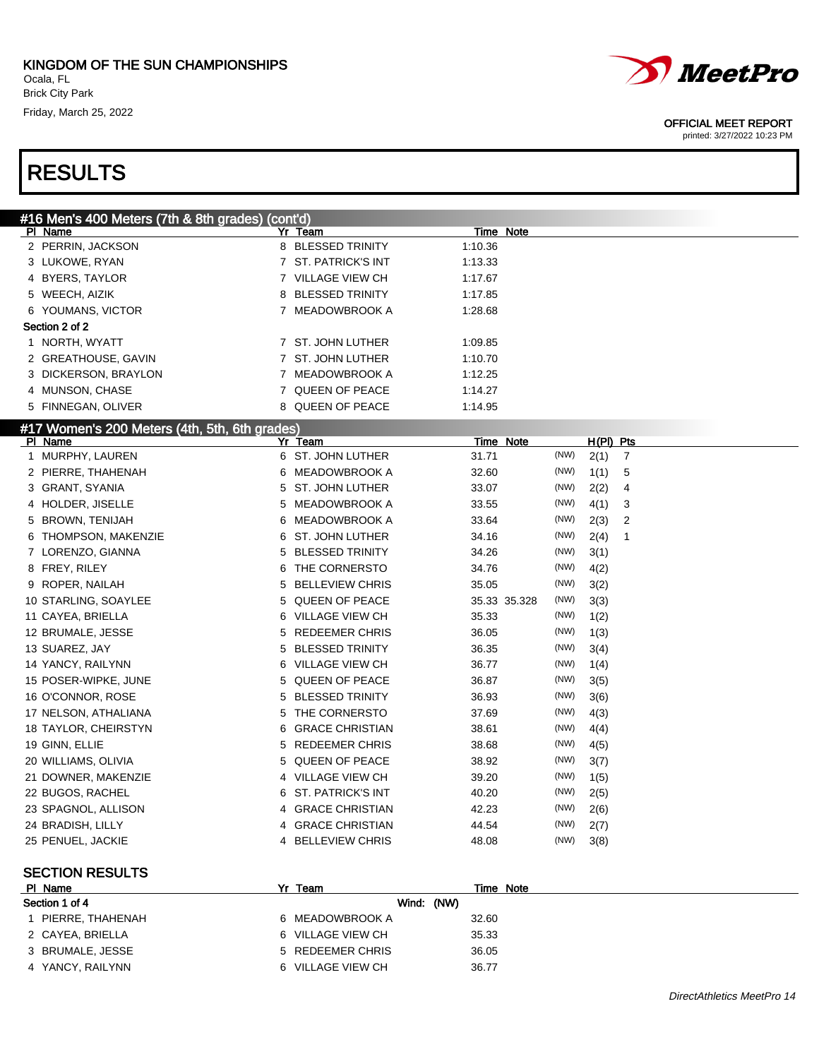

#### OFFICIAL MEET REPORT

| #16 Men's 400 Meters (7th & 8th grades) (cont'd) |                               |                     |      |                        |  |
|--------------------------------------------------|-------------------------------|---------------------|------|------------------------|--|
| PI Name                                          | Yr Team                       | Time Note           |      |                        |  |
| 2 PERRIN, JACKSON                                | 8 BLESSED TRINITY             | 1:10.36             |      |                        |  |
| 3 LUKOWE, RYAN                                   | 7 ST. PATRICK'S INT           | 1:13.33             |      |                        |  |
| 4 BYERS, TAYLOR                                  | 7 VILLAGE VIEW CH             | 1:17.67             |      |                        |  |
| 5 WEECH, AIZIK                                   | <b>BLESSED TRINITY</b><br>8   | 1:17.85             |      |                        |  |
| 6 YOUMANS, VICTOR                                | 7 MEADOWBROOK A               | 1:28.68             |      |                        |  |
| Section 2 of 2                                   |                               |                     |      |                        |  |
| 1 NORTH, WYATT                                   | 7 ST. JOHN LUTHER             | 1:09.85             |      |                        |  |
| 2 GREATHOUSE, GAVIN                              | 7 ST. JOHN LUTHER             | 1:10.70             |      |                        |  |
| 3 DICKERSON, BRAYLON                             | 7 MEADOWBROOK A               | 1:12.25             |      |                        |  |
| 4 MUNSON, CHASE                                  | 7 QUEEN OF PEACE              | 1:14.27             |      |                        |  |
| 5 FINNEGAN, OLIVER                               | 8 QUEEN OF PEACE              | 1:14.95             |      |                        |  |
| #17 Women's 200 Meters (4th, 5th, 6th grades)    |                               |                     |      |                        |  |
| PI Name                                          | Yr Team                       | <b>Time Note</b>    |      | H(PI) Pts              |  |
| 1 MURPHY, LAUREN                                 | 6 ST. JOHN LUTHER             | 31.71               | (NW) | 2(1)<br>$\overline{7}$ |  |
| 2 PIERRE, THAHENAH                               | MEADOWBROOK A<br>6            | 32.60               | (NW) | 1(1)<br>5              |  |
| 3 GRANT, SYANIA                                  | <b>ST. JOHN LUTHER</b><br>5   | 33.07               | (NW) | 2(2)<br>4              |  |
| 4 HOLDER, JISELLE                                | MEADOWBROOK A<br>5            | 33.55               | (NW) | 4(1)<br>3              |  |
| 5 BROWN, TENIJAH                                 | <b>MEADOWBROOK A</b><br>6     | 33.64               | (NW) | 2(3)<br>2              |  |
| THOMPSON, MAKENZIE<br>6                          | <b>ST. JOHN LUTHER</b><br>6   | 34.16               | (NW) | 2(4)<br>$\mathbf 1$    |  |
| 7 LORENZO, GIANNA                                | <b>BLESSED TRINITY</b><br>5   | 34.26               | (NW) | 3(1)                   |  |
| 8 FREY, RILEY                                    | THE CORNERSTO<br>6            | 34.76               | (NW) | 4(2)                   |  |
| ROPER, NAILAH<br>9                               | <b>BELLEVIEW CHRIS</b><br>5   | 35.05               | (NW) | 3(2)                   |  |
| 10 STARLING, SOAYLEE                             | QUEEN OF PEACE<br>5           | 35.33 35.328        | (NW) | 3(3)                   |  |
| 11 CAYEA, BRIELLA                                | <b>VILLAGE VIEW CH</b><br>6   | 35.33               | (NW) | 1(2)                   |  |
| 12 BRUMALE, JESSE                                | <b>REDEEMER CHRIS</b><br>5    | 36.05               | (NW) | 1(3)                   |  |
| 13 SUAREZ, JAY                                   | <b>BLESSED TRINITY</b><br>5   | 36.35               | (NW) | 3(4)                   |  |
| 14 YANCY, RAILYNN                                | <b>VILLAGE VIEW CH</b><br>6   | 36.77               | (NW) | 1(4)                   |  |
| 15 POSER-WIPKE, JUNE                             | QUEEN OF PEACE<br>5           | 36.87               | (NW) | 3(5)                   |  |
| 16 O'CONNOR, ROSE                                | <b>BLESSED TRINITY</b><br>5   | 36.93               | (NW) | 3(6)                   |  |
| 17 NELSON, ATHALIANA                             | THE CORNERSTO<br>5            | 37.69               | (NW) | 4(3)                   |  |
| 18 TAYLOR, CHEIRSTYN                             | <b>GRACE CHRISTIAN</b><br>6   | 38.61               | (NW) | 4(4)                   |  |
| 19 GINN, ELLIE                                   | <b>REDEEMER CHRIS</b><br>5    | 38.68               | (NW) | 4(5)                   |  |
| 20 WILLIAMS, OLIVIA                              | QUEEN OF PEACE<br>5           | 38.92               | (NW) | 3(7)                   |  |
| 21 DOWNER, MAKENZIE                              | 4 VILLAGE VIEW CH             | 39.20               | (NW) | 1(5)                   |  |
| 22 BUGOS, RACHEL                                 | <b>ST. PATRICK'S INT</b><br>6 | 40.20               | (NW) | 2(5)                   |  |
| 23 SPAGNOL, ALLISON                              | <b>GRACE CHRISTIAN</b>        | 42.23               | (NW) | 2(6)                   |  |
| 24 BRADISH, LILLY                                | 4 GRACE CHRISTIAN             | 44.54               | (NW) | 2(7)                   |  |
| 25 PENUEL, JACKIE                                | 4 BELLEVIEW CHRIS             | 48.08               | (NW) | 3(8)                   |  |
|                                                  |                               |                     |      |                        |  |
| <b>SECTION RESULTS</b>                           |                               |                     |      |                        |  |
| PI Name                                          | Yr Team                       | Time Note           |      |                        |  |
| Section 1 of 4<br>1 PIERRE THAHENAH              | 6 MEADOWRROOK A               | Wind: (NW)<br>32.60 |      |                        |  |
|                                                  |                               |                     |      |                        |  |

| Section 1 of 4   | Wind: (NW)        |       |
|------------------|-------------------|-------|
| PIERRE, THAHENAH | 6 MEADOWBROOK A   | 32.60 |
| 2 CAYEA, BRIELLA | 6 VILLAGE VIEW CH | 35.33 |
| 3 BRUMALE, JESSE | 5 REDEEMER CHRIS  | 36.05 |
| 4 YANCY, RAILYNN | 6 VILLAGE VIEW CH | 36.77 |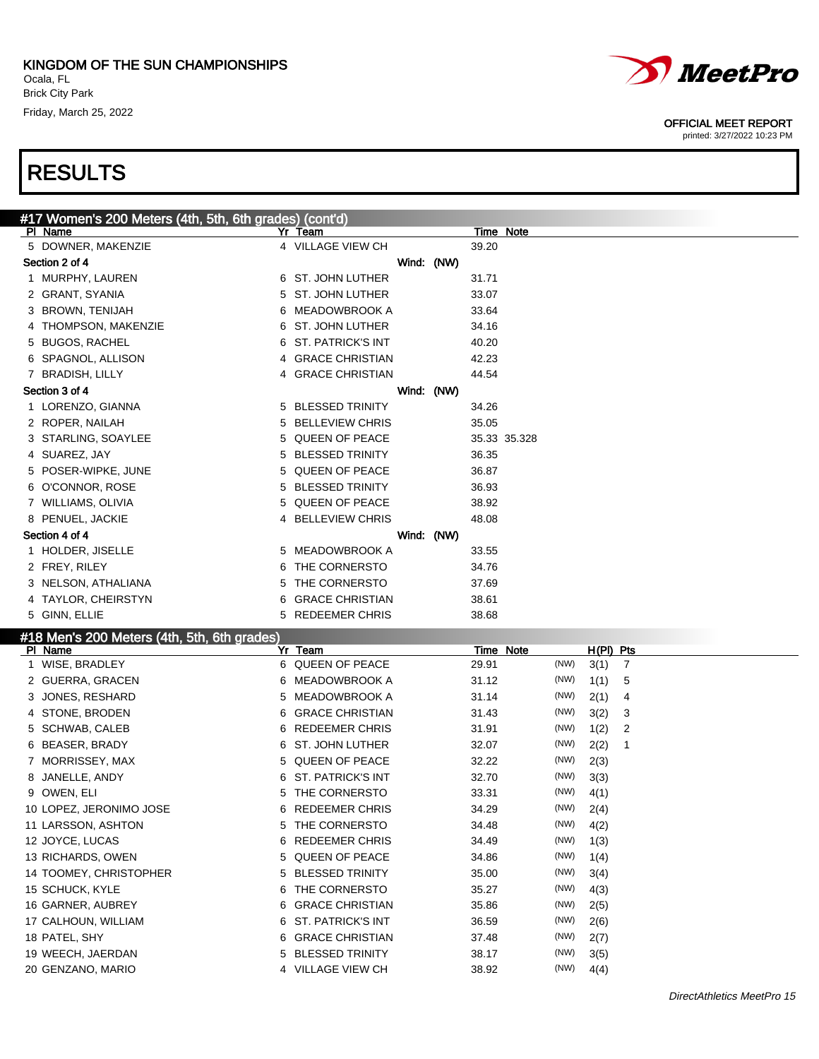

# *MeetPro*

#### OFFICIAL MEET REPORT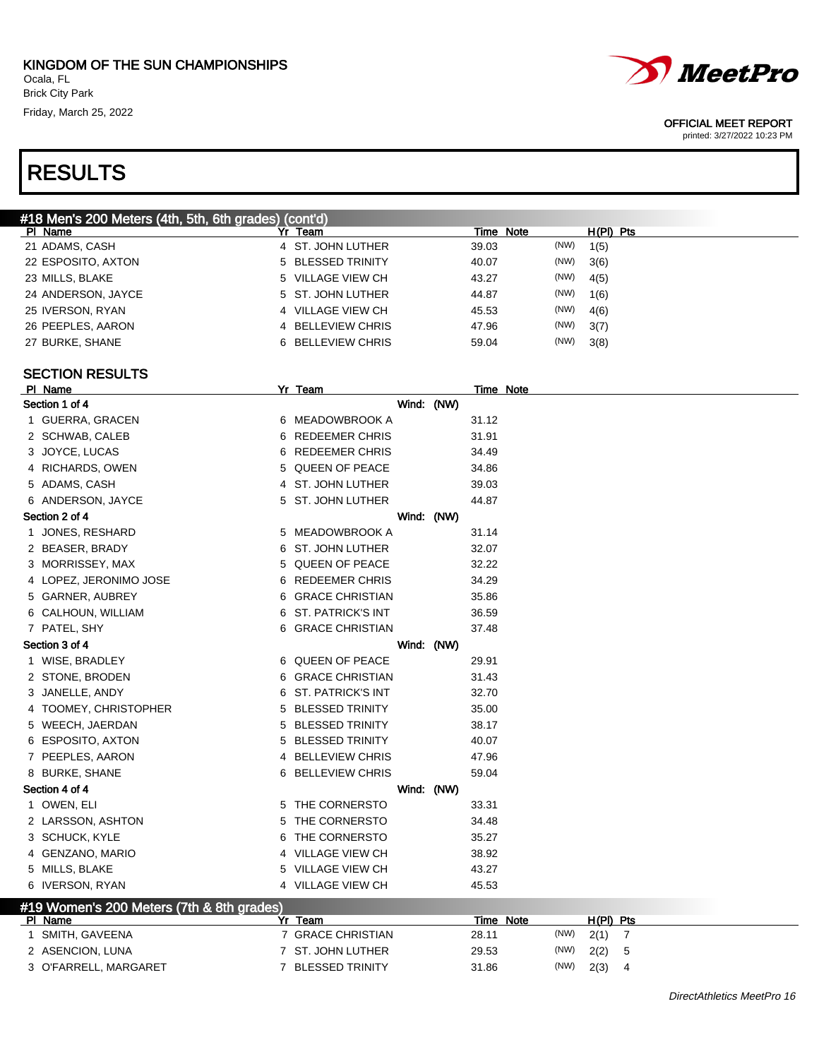

#### OFFICIAL MEET REPORT

| #18 Men's 200 Meters (4th, 5th, 6th grades) (cont'd) |   |                          |            |                  |           |      |             |                |
|------------------------------------------------------|---|--------------------------|------------|------------------|-----------|------|-------------|----------------|
| PI Name                                              |   | Yr Team                  |            | Time Note        |           |      | H(PI) Pts   |                |
| 21 ADAMS, CASH                                       |   | 4 ST. JOHN LUTHER        |            | 39.03            |           | (NW) | 1(5)        |                |
| 22 ESPOSITO, AXTON                                   |   | 5 BLESSED TRINITY        |            | 40.07            |           | (NW) | 3(6)        |                |
| 23 MILLS, BLAKE                                      | 5 | VILLAGE VIEW CH          |            | 43.27            |           | (NW) | 4(5)        |                |
| 24 ANDERSON, JAYCE                                   |   | 5 ST. JOHN LUTHER        |            | 44.87            |           | (NW) | 1(6)        |                |
| 25 IVERSON, RYAN                                     |   | 4 VILLAGE VIEW CH        |            | 45.53            |           | (NW) | 4(6)        |                |
| 26 PEEPLES, AARON                                    |   | 4 BELLEVIEW CHRIS        |            | 47.96            |           | (NW) | 3(7)        |                |
| 27 BURKE, SHANE                                      |   | 6 BELLEVIEW CHRIS        |            | 59.04            |           | (NW) | 3(8)        |                |
|                                                      |   |                          |            |                  |           |      |             |                |
| <b>SECTION RESULTS</b>                               |   |                          |            |                  |           |      |             |                |
| PI Name                                              |   | Yr Team                  |            |                  | Time Note |      |             |                |
| Section 1 of 4                                       |   |                          | Wind: (NW) |                  |           |      |             |                |
| 1 GUERRA, GRACEN                                     |   | 6 MEADOWBROOK A          |            | 31.12            |           |      |             |                |
| 2 SCHWAB, CALEB                                      |   | 6 REDEEMER CHRIS         |            | 31.91            |           |      |             |                |
| 3 JOYCE, LUCAS                                       | 6 | REDEEMER CHRIS           |            | 34.49            |           |      |             |                |
| 4 RICHARDS, OWEN                                     |   | 5 QUEEN OF PEACE         |            | 34.86            |           |      |             |                |
| 5 ADAMS, CASH                                        |   | 4 ST. JOHN LUTHER        |            | 39.03            |           |      |             |                |
| 6 ANDERSON, JAYCE                                    |   | 5 ST. JOHN LUTHER        |            | 44.87            |           |      |             |                |
| Section 2 of 4                                       |   |                          | Wind: (NW) |                  |           |      |             |                |
| 1 JONES, RESHARD                                     |   | 5 MEADOWBROOK A          |            | 31.14            |           |      |             |                |
| 2 BEASER, BRADY                                      |   | 6 ST. JOHN LUTHER        |            | 32.07            |           |      |             |                |
| 3 MORRISSEY, MAX                                     |   | 5 QUEEN OF PEACE         |            | 32.22            |           |      |             |                |
| 4 LOPEZ, JERONIMO JOSE                               |   | 6 REDEEMER CHRIS         |            | 34.29            |           |      |             |                |
| 5 GARNER, AUBREY                                     |   | 6 GRACE CHRISTIAN        |            | 35.86            |           |      |             |                |
| 6 CALHOUN, WILLIAM                                   |   | 6 ST. PATRICK'S INT      |            | 36.59            |           |      |             |                |
| 7 PATEL, SHY                                         |   | 6 GRACE CHRISTIAN        |            | 37.48            |           |      |             |                |
| Section 3 of 4                                       |   |                          | Wind: (NW) |                  |           |      |             |                |
| 1 WISE, BRADLEY                                      |   | 6 QUEEN OF PEACE         |            | 29.91            |           |      |             |                |
| 2 STONE, BRODEN                                      |   | 6 GRACE CHRISTIAN        |            | 31.43            |           |      |             |                |
| 3 JANELLE, ANDY                                      |   | 6 ST. PATRICK'S INT      |            | 32.70            |           |      |             |                |
| 4 TOOMEY, CHRISTOPHER                                | 5 | <b>BLESSED TRINITY</b>   |            | 35.00            |           |      |             |                |
| 5 WEECH, JAERDAN                                     | 5 | <b>BLESSED TRINITY</b>   |            | 38.17            |           |      |             |                |
| 6 ESPOSITO, AXTON                                    | 5 | <b>BLESSED TRINITY</b>   |            | 40.07            |           |      |             |                |
| 7 PEEPLES, AARON                                     |   | 4 BELLEVIEW CHRIS        |            | 47.96            |           |      |             |                |
| 8 BURKE, SHANE                                       |   | <b>6 BELLEVIEW CHRIS</b> |            | 59.04            |           |      |             |                |
|                                                      |   |                          |            |                  |           |      |             |                |
| Section 4 of 4                                       |   |                          | Wind: (NW) |                  |           |      |             |                |
| 1 OWEN, ELI                                          |   | 5 THE CORNERSTO          |            | 33.31            |           |      |             |                |
| 2 LARSSON, ASHTON                                    |   | 5 THE CORNERSTO          |            | 34.48            |           |      |             |                |
| 3 SCHUCK, KYLE                                       |   | 6 THE CORNERSTO          |            | 35.27            |           |      |             |                |
| 4 GENZANO, MARIO                                     |   | 4 VILLAGE VIEW CH        |            | 38.92            |           |      |             |                |
| 5 MILLS, BLAKE                                       |   | 5 VILLAGE VIEW CH        |            | 43.27            |           |      |             |                |
| 6 IVERSON, RYAN                                      |   | 4 VILLAGE VIEW CH        |            | 45.53            |           |      |             |                |
| #19 Women's 200 Meters (7th & 8th grades)            |   |                          |            |                  |           |      |             |                |
| PI Name                                              |   | Yr Team                  |            | <b>Time Note</b> |           | (NW) | $H(PI)$ Pts |                |
| 1 SMITH, GAVEENA                                     |   | 7 GRACE CHRISTIAN        |            | 28.11            |           |      | 2(1)        | $\overline{7}$ |
| 2 ASENCION, LUNA                                     |   | 7 ST. JOHN LUTHER        |            | 29.53            |           | (NW) | 2(2)        | 5              |
| 3 O'FARRELL, MARGARET                                |   | 7 BLESSED TRINITY        |            | 31.86            |           | (NW) | 2(3)        | 4              |
|                                                      |   |                          |            |                  |           |      |             |                |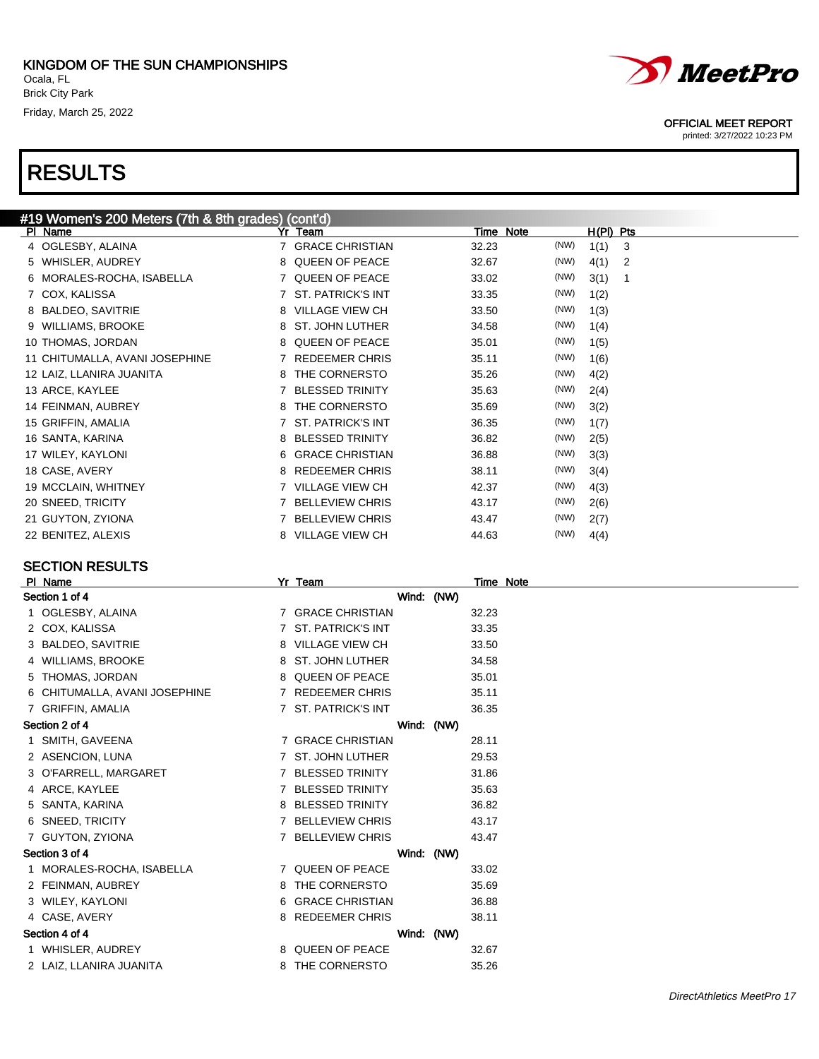

#### OFFICIAL MEET REPORT

printed: 3/27/2022 10:23 PM

| #19 Women's 200 Meters (7th & 8th grades) (cont'd) |                             |               |           |
|----------------------------------------------------|-----------------------------|---------------|-----------|
| PI Name                                            | Yr Team                     | Time Note     | H(PI) Pts |
| 4 OGLESBY, ALAINA                                  | <b>GRACE CHRISTIAN</b>      | (NW)<br>32.23 | 1(1)<br>3 |
| 5 WHISLER, AUDREY                                  | <b>QUEEN OF PEACE</b><br>8  | 32.67<br>(NW) | 4(1)<br>2 |
| 6 MORALES-ROCHA, ISABELLA                          | 7 QUEEN OF PEACE            | (NW)<br>33.02 | 3(1)<br>1 |
| 7 COX, KALISSA                                     | <b>ST. PATRICK'S INT</b>    | (NW)<br>33.35 | 1(2)      |
| 8 BALDEO, SAVITRIE                                 | <b>VILLAGE VIEW CH</b><br>8 | (NW)<br>33.50 | 1(3)      |
| <b>WILLIAMS, BROOKE</b><br>9                       | ST. JOHN LUTHER<br>8        | (NW)<br>34.58 | 1(4)      |
| 10 THOMAS, JORDAN                                  | <b>QUEEN OF PEACE</b><br>8  | (NW)<br>35.01 | 1(5)      |
| 11 CHITUMALLA, AVANI JOSEPHINE                     | <b>REDEEMER CHRIS</b>       | (NW)<br>35.11 | 1(6)      |
| 12 LAIZ, LLANIRA JUANITA                           | THE CORNERSTO               | (NW)<br>35.26 | 4(2)      |
| 13 ARCE, KAYLEE                                    | <b>BLESSED TRINITY</b>      | (NW)<br>35.63 | 2(4)      |
| 14 FEINMAN, AUBREY                                 | THE CORNERSTO<br>8          | (NW)<br>35.69 | 3(2)      |
| 15 GRIFFIN, AMALIA                                 | <b>ST. PATRICK'S INT</b>    | (NW)<br>36.35 | 1(7)      |
| 16 SANTA, KARINA                                   | <b>BLESSED TRINITY</b><br>8 | (NW)<br>36.82 | 2(5)      |
| 17 WILEY, KAYLONI                                  | <b>GRACE CHRISTIAN</b><br>6 | (NW)<br>36.88 | 3(3)      |
| 18 CASE, AVERY                                     | <b>REDEEMER CHRIS</b><br>8  | (NW)<br>38.11 | 3(4)      |
| 19 MCCLAIN, WHITNEY                                | <b>VILLAGE VIEW CH</b>      | (NW)<br>42.37 | 4(3)      |
| 20 SNEED, TRICITY                                  | <b>BELLEVIEW CHRIS</b>      | (NW)<br>43.17 | 2(6)      |
| 21 GUYTON, ZYIONA                                  | <b>BELLEVIEW CHRIS</b>      | (NW)<br>43.47 | 2(7)      |
| 22 BENITEZ, ALEXIS                                 | <b>VILLAGE VIEW CH</b><br>8 | (NW)<br>44.63 | 4(4)      |

### SECTION RESULTS

| PI Name                       |    | Yr Team                |            | Time Note |
|-------------------------------|----|------------------------|------------|-----------|
| Section 1 of 4                |    |                        | Wind: (NW) |           |
| 1 OGLESBY, ALAINA             |    | 7 GRACE CHRISTIAN      |            | 32.23     |
| 2 COX, KALISSA                |    | 7 ST. PATRICK'S INT    |            | 33.35     |
| 3 BALDEO, SAVITRIE            | 8  | <b>VILLAGE VIEW CH</b> |            | 33.50     |
| 4 WILLIAMS, BROOKE            |    | 8 ST. JOHN LUTHER      |            | 34.58     |
| 5 THOMAS, JORDAN              | 8. | QUEEN OF PEACE         |            | 35.01     |
| 6 CHITUMALLA, AVANI JOSEPHINE |    | 7 REDEEMER CHRIS       |            | 35.11     |
| 7 GRIFFIN, AMALIA             |    | 7 ST. PATRICK'S INT    |            | 36.35     |
| Section 2 of 4                |    |                        | Wind: (NW) |           |
| 1 SMITH, GAVEENA              |    | 7 GRACE CHRISTIAN      |            | 28.11     |
| 2 ASENCION, LUNA              |    | 7 ST. JOHN LUTHER      |            | 29.53     |
| 3 O'FARRELL, MARGARET         |    | 7 BLESSED TRINITY      |            | 31.86     |
| 4 ARCE, KAYLEE                |    | <b>BLESSED TRINITY</b> |            | 35.63     |
| 5 SANTA, KARINA               |    | 8 BLESSED TRINITY      |            | 36.82     |
| 6 SNEED, TRICITY              |    | 7 BELLEVIEW CHRIS      |            | 43.17     |
| 7 GUYTON, ZYIONA              |    | 7 BELLEVIEW CHRIS      |            | 43.47     |
| Section 3 of 4                |    |                        | Wind: (NW) |           |
| 1 MORALES-ROCHA, ISABELLA     |    | 7 QUEEN OF PEACE       |            | 33.02     |
| 2 FEINMAN, AUBREY             |    | 8 THE CORNERSTO        |            | 35.69     |
| 3 WILEY, KAYLONI              |    | 6 GRACE CHRISTIAN      |            | 36.88     |
| 4 CASE, AVERY                 |    | 8 REDEEMER CHRIS       |            | 38.11     |
| Section 4 of 4                |    |                        | Wind: (NW) |           |
| 1 WHISLER, AUDREY             |    | 8 QUEEN OF PEACE       |            | 32.67     |
| 2 LAIZ. LLANIRA JUANITA       | 8  | THE CORNERSTO          |            | 35.26     |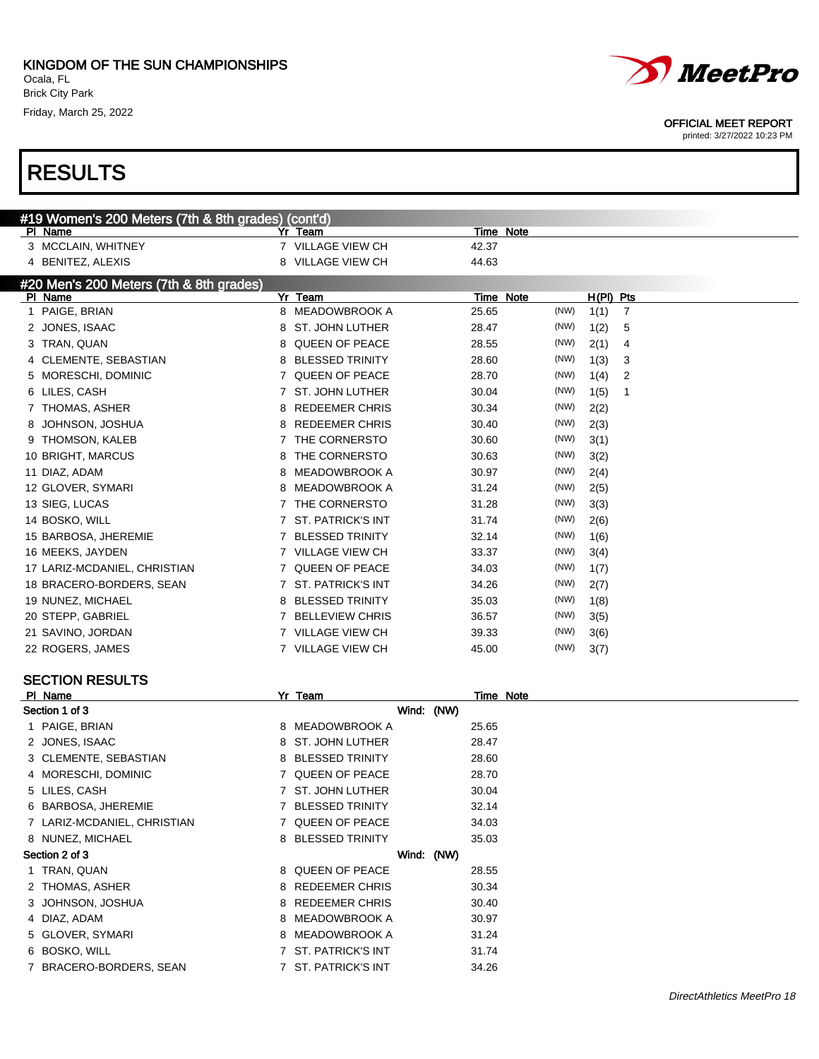

| PI Name                     | Yr Team             | Time Note |
|-----------------------------|---------------------|-----------|
| Section 1 of 3              | Wind: (NW)          |           |
| 1 PAIGE, BRIAN              | 8 MEADOWBROOK A     | 25.65     |
| 2 JONES, ISAAC              | 8 ST. JOHN LUTHER   | 28.47     |
| 3 CLEMENTE, SEBASTIAN       | 8 BLESSED TRINITY   | 28.60     |
| 4 MORESCHI, DOMINIC         | 7 QUEEN OF PEACE    | 28.70     |
| 5 LILES, CASH               | 7 ST. JOHN LUTHER   | 30.04     |
| 6 BARBOSA, JHEREMIE         | 7 BLESSED TRINITY   | 32.14     |
| 7 LARIZ-MCDANIEL, CHRISTIAN | 7 QUEEN OF PEACE    | 34.03     |
| 8 NUNEZ, MICHAEL            | 8 BLESSED TRINITY   | 35.03     |
| Section 2 of 3              | Wind: (NW)          |           |
| 1 TRAN, QUAN                | 8 QUEEN OF PEACE    | 28.55     |
| 2 THOMAS, ASHER             | 8 REDEEMER CHRIS    | 30.34     |
| 3 JOHNSON, JOSHUA           | 8 REDEEMER CHRIS    | 30.40     |
| 4 DIAZ, ADAM                | 8 MEADOWBROOK A     | 30.97     |
| 5 GLOVER, SYMARI            | 8 MEADOWBROOK A     | 31.24     |
| 6 BOSKO, WILL               | 7 ST. PATRICK'S INT | 31.74     |
| 7 BRACERO-BORDERS, SEAN     | 7 ST. PATRICK'S INT | 34.26     |



### OFFICIAL MEET REPORT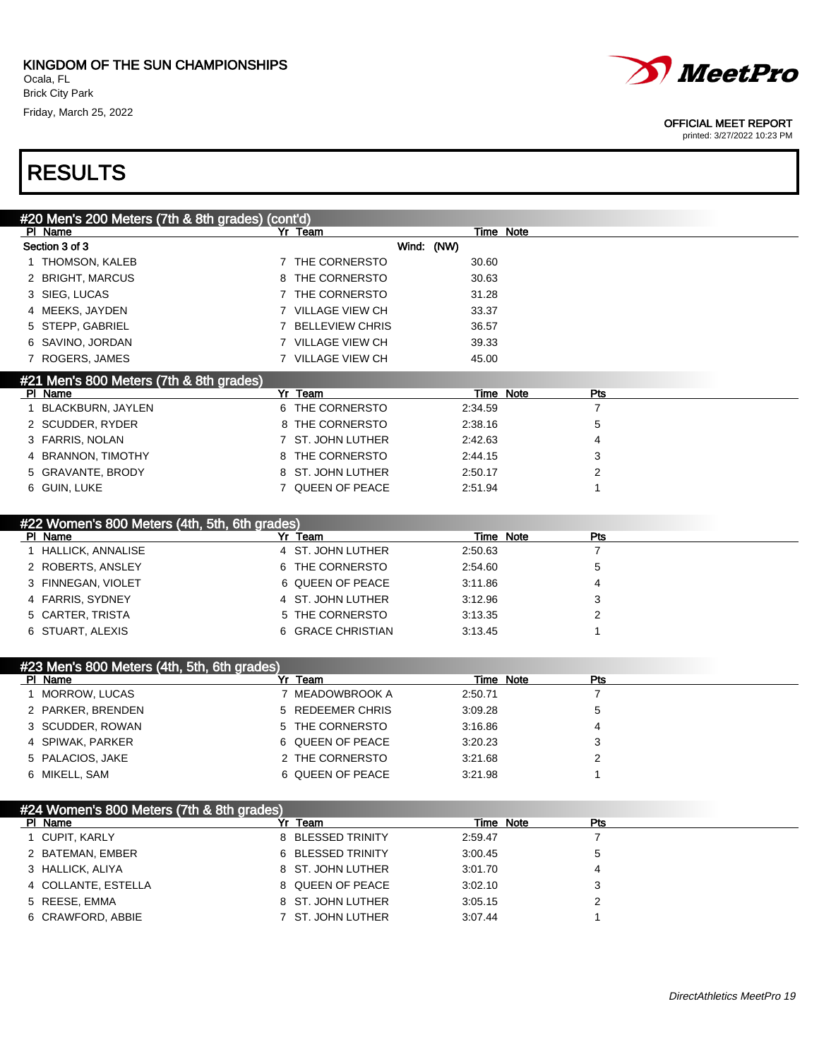

printed: 3/27/2022 10:23 PM

| #20 Men's 200 Meters (7th & 8th grades) (cont'd)         |                                        |                  |                |  |
|----------------------------------------------------------|----------------------------------------|------------------|----------------|--|
| PI Name                                                  | Yr Team                                | Time Note        |                |  |
| Section 3 of 3                                           |                                        | Wind: (NW)       |                |  |
| 1 THOMSON, KALEB                                         | 7 THE CORNERSTO                        | 30.60            |                |  |
| 2 BRIGHT, MARCUS                                         | THE CORNERSTO<br>8                     | 30.63            |                |  |
| 3 SIEG, LUCAS                                            | THE CORNERSTO<br>7                     | 31.28            |                |  |
| 4 MEEKS, JAYDEN                                          | 7 VILLAGE VIEW CH                      | 33.37            |                |  |
| 5 STEPP, GABRIEL                                         | <b>BELLEVIEW CHRIS</b><br>$\mathbf{7}$ | 36.57            |                |  |
| 6 SAVINO, JORDAN                                         | 7 VILLAGE VIEW CH                      | 39.33            |                |  |
| 7 ROGERS, JAMES                                          | 7 VILLAGE VIEW CH                      | 45.00            |                |  |
| #21 Men's 800 Meters (7th & 8th grades)                  |                                        |                  |                |  |
| PI Name                                                  | Yr Team                                | <b>Time Note</b> | Pts            |  |
| 1 BLACKBURN, JAYLEN                                      | 6 THE CORNERSTO                        | 2:34.59          | $\overline{7}$ |  |
| 2 SCUDDER, RYDER                                         | 8 THE CORNERSTO                        | 2:38.16          | 5              |  |
| 3 FARRIS, NOLAN                                          | ST. JOHN LUTHER<br>7                   | 2:42.63          | 4              |  |
| 4 BRANNON, TIMOTHY                                       | THE CORNERSTO<br>8                     | 2:44.15          | 3              |  |
| 5 GRAVANTE, BRODY                                        | ST. JOHN LUTHER<br>8                   | 2:50.17          | 2              |  |
| 6 GUIN, LUKE                                             | 7 QUEEN OF PEACE                       | 2:51.94          | 1              |  |
|                                                          |                                        |                  |                |  |
| #22 Women's 800 Meters (4th, 5th, 6th grades)<br>PI Name | Yr Team                                | Time Note        | Pts            |  |
| 1 HALLICK, ANNALISE                                      | 4 ST. JOHN LUTHER                      | 2:50.63          | $\overline{7}$ |  |
| 2 ROBERTS, ANSLEY                                        | 6 THE CORNERSTO                        | 2:54.60          | 5              |  |
| 3 FINNEGAN, VIOLET                                       | 6 QUEEN OF PEACE                       | 3:11.86          | 4              |  |
| 4 FARRIS, SYDNEY                                         | 4 ST. JOHN LUTHER                      | 3:12.96          | 3              |  |
| 5 CARTER, TRISTA                                         | THE CORNERSTO<br>5.                    | 3:13.35          | 2              |  |
| 6 STUART, ALEXIS                                         | 6 GRACE CHRISTIAN                      | 3:13.45          | 1              |  |
|                                                          |                                        |                  |                |  |
| #23 Men's 800 Meters (4th, 5th, 6th grades)              |                                        |                  |                |  |
| PI Name                                                  | Yr Team                                | <b>Time Note</b> | <b>Pts</b>     |  |
| 1 MORROW, LUCAS                                          | 7 MEADOWBROOK A                        | 2:50.71          | $\overline{7}$ |  |
| 2 PARKER, BRENDEN                                        | <b>REDEEMER CHRIS</b><br>5             | 3:09.28          | 5              |  |
| 3 SCUDDER, ROWAN                                         | THE CORNERSTO<br>5                     | 3:16.86          | 4              |  |
| 4 SPIWAK, PARKER                                         | <b>QUEEN OF PEACE</b><br>6             | 3:20.23          | 3              |  |
| 5 PALACIOS, JAKE                                         | 2 THE CORNERSTO                        | 3:21.68          | $\overline{2}$ |  |
| 6 MIKELL, SAM                                            | 6 QUEEN OF PEACE                       | 3:21.98          | 1              |  |
|                                                          |                                        |                  |                |  |

| #24 Women's 800 Meters (7th & 8th grades) |                   |         |                  |  |
|-------------------------------------------|-------------------|---------|------------------|--|
| PI Name                                   | Yr Team           |         | Time Note<br>Pts |  |
| 1 CUPIT, KARLY                            | 8 BLESSED TRINITY | 2:59.47 |                  |  |
| 2 BATEMAN, EMBER                          | 6 BLESSED TRINITY | 3:00.45 |                  |  |
| 3 HALLICK, ALIYA                          | 8 ST. JOHN LUTHER | 3:01.70 |                  |  |
| 4 COLLANTE, ESTELLA                       | 8 QUEEN OF PEACE  | 3:02.10 |                  |  |
| 5 REESE, EMMA                             | 8 ST. JOHN LUTHER | 3:05.15 |                  |  |
| 6 CRAWFORD, ABBIE                         | 7 ST. JOHN LUTHER | 3:07.44 |                  |  |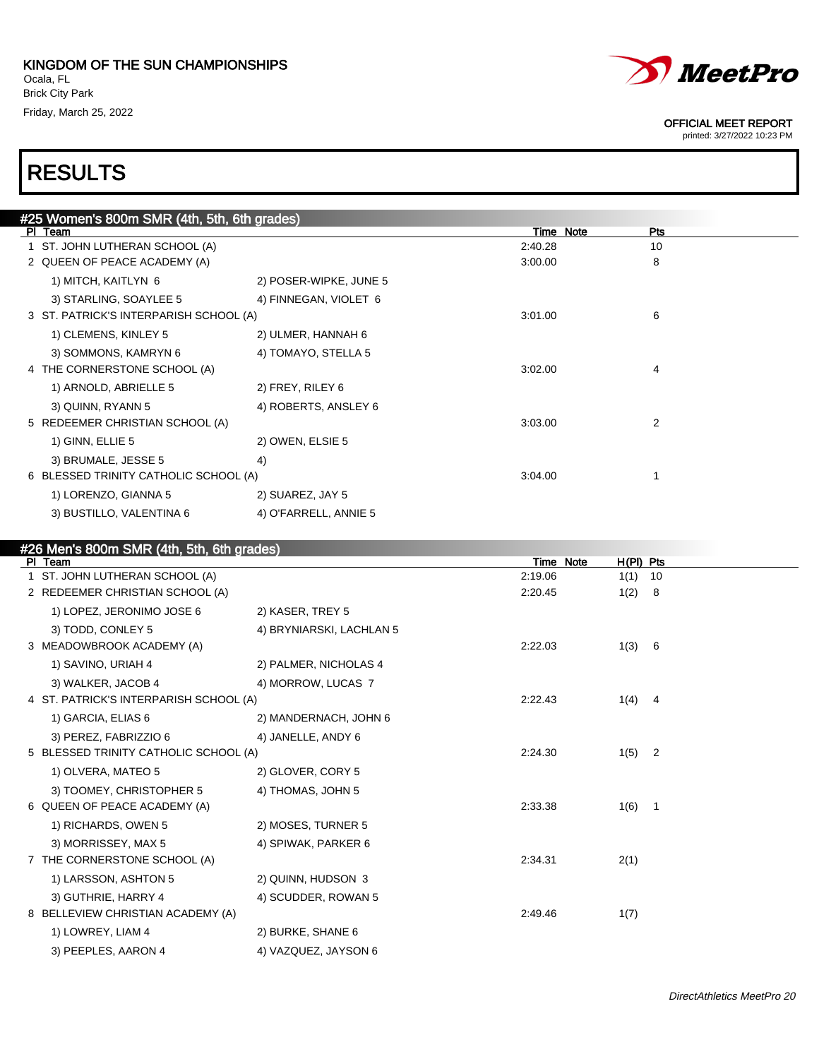

printed: 3/27/2022 10:23 PM

# RESULTS

| #25 Women's 800m SMR (4th, 5th, 6th grades) |                                        |                        |         |                         |  |  |  |  |  |  |  |
|---------------------------------------------|----------------------------------------|------------------------|---------|-------------------------|--|--|--|--|--|--|--|
|                                             | PI Team                                |                        |         | Time Note<br><b>Pts</b> |  |  |  |  |  |  |  |
|                                             | 1 ST. JOHN LUTHERAN SCHOOL (A)         |                        | 2:40.28 | 10                      |  |  |  |  |  |  |  |
|                                             | 2 QUEEN OF PEACE ACADEMY (A)           |                        | 3:00.00 | 8                       |  |  |  |  |  |  |  |
|                                             | 1) MITCH, KAITLYN 6                    | 2) POSER-WIPKE, JUNE 5 |         |                         |  |  |  |  |  |  |  |
|                                             | 3) STARLING, SOAYLEE 5                 | 4) FINNEGAN, VIOLET 6  |         |                         |  |  |  |  |  |  |  |
|                                             | 3 ST. PATRICK'S INTERPARISH SCHOOL (A) |                        | 3:01.00 | 6                       |  |  |  |  |  |  |  |
|                                             | 1) CLEMENS, KINLEY 5                   | 2) ULMER, HANNAH 6     |         |                         |  |  |  |  |  |  |  |
|                                             | 3) SOMMONS, KAMRYN 6                   | 4) TOMAYO, STELLA 5    |         |                         |  |  |  |  |  |  |  |
|                                             | 4 THE CORNERSTONE SCHOOL (A)           |                        | 3:02.00 | 4                       |  |  |  |  |  |  |  |
|                                             | 1) ARNOLD, ABRIELLE 5                  | 2) FREY, RILEY 6       |         |                         |  |  |  |  |  |  |  |
|                                             | 3) QUINN, RYANN 5                      | 4) ROBERTS, ANSLEY 6   |         |                         |  |  |  |  |  |  |  |
|                                             | 5 REDEEMER CHRISTIAN SCHOOL (A)        |                        | 3:03.00 | 2                       |  |  |  |  |  |  |  |
|                                             | 1) GINN, ELLIE 5                       | 2) OWEN, ELSIE 5       |         |                         |  |  |  |  |  |  |  |
|                                             | 3) BRUMALE, JESSE 5                    | 4)                     |         |                         |  |  |  |  |  |  |  |
|                                             | 6 BLESSED TRINITY CATHOLIC SCHOOL (A)  |                        | 3:04.00 |                         |  |  |  |  |  |  |  |
|                                             | 1) LORENZO, GIANNA 5                   | 2) SUAREZ, JAY 5       |         |                         |  |  |  |  |  |  |  |
|                                             | 3) BUSTILLO, VALENTINA 6               | 4) O'FARRELL, ANNIE 5  |         |                         |  |  |  |  |  |  |  |
|                                             |                                        |                        |         |                         |  |  |  |  |  |  |  |

### #26 Men's 800m SMR (4th, 5th, 6th grades) Pl Team Time Note H(Pl) Pts 1 ST. JOHN LUTHERAN SCHOOL (A) 2:19.06 1(1) 10 2 REDEEMER CHRISTIAN SCHOOL (A) 2:20.45 1(2) 8 1) LOPEZ, JERONIMO JOSE 6 2) KASER, TREY 5 3) TODD, CONLEY 5 4) BRYNIARSKI, LACHLAN 5 3 MEADOWBROOK ACADEMY (A) 2:22.03 1(3) 6 1) SAVINO, URIAH 4 2) PALMER, NICHOLAS 4 3) WALKER, JACOB 4 4) MORROW, LUCAS 7 4 ST. PATRICK'S INTERPARISH SCHOOL (A) 2:22.43 1(4) 4 1) GARCIA, ELIAS 6 2) MANDERNACH, JOHN 6 3) PEREZ, FABRIZZIO 6 4) JANELLE, ANDY 6 5 BLESSED TRINITY CATHOLIC SCHOOL (A) 2224.30 224.30 1(5) 2 1) OLVERA, MATEO 5 2) GLOVER, CORY 5 3) TOOMEY, CHRISTOPHER 5 4) THOMAS, JOHN 5 6 QUEEN OF PEACE ACADEMY (A) 2:33.38 1 (6) 1 1) RICHARDS, OWEN 5 2) MOSES, TURNER 5 3) MORRISSEY, MAX 5 4) SPIWAK, PARKER 6 7 THE CORNERSTONE SCHOOL (A) 2:34.31 2(1) 1) LARSSON, ASHTON 5 2) QUINN, HUDSON 3 3) GUTHRIE, HARRY 4 4 4) SCUDDER, ROWAN 5 8 BELLEVIEW CHRISTIAN ACADEMY (A) 2:49.46 2:49.46 1(7) 1) LOWREY, LIAM 4 2) BURKE, SHANE 6 3) PEEPLES, AARON 4 4) VAZQUEZ, JAYSON 6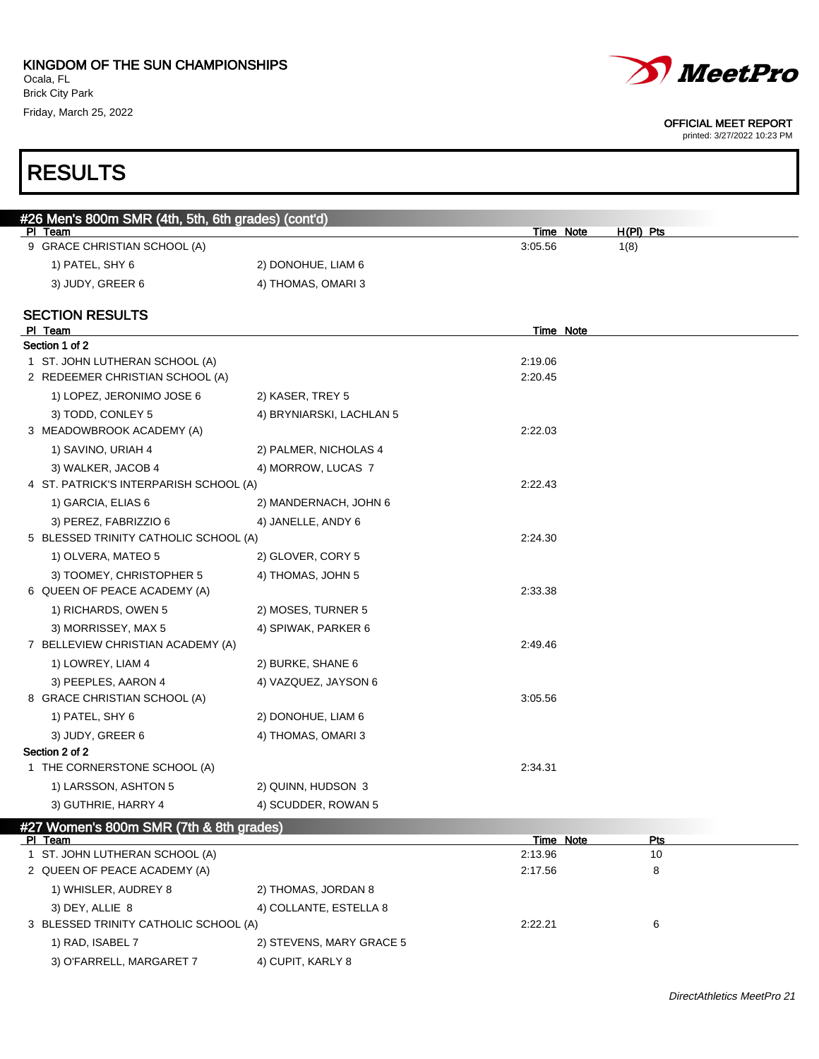

#### OFFICIAL MEET REPORT

printed: 3/27/2022 10:23 PM

### #26 Men's 800m SMR (4th, 5th, 6th grades) (cont'd) Pl Team Time Note H(Pl) Pts 9 GRACE CHRISTIAN SCHOOL (A) 3:05.56 1(8) 1) PATEL, SHY 6 2) DONOHUE, LIAM 6 3) JUDY, GREER 6 4) THOMAS, OMARI 3 SECTION RESULTS PI Team Time Note Section 1 of 2 1 ST. JOHN LUTHERAN SCHOOL (A) 2:19.06 2 REDEEMER CHRISTIAN SCHOOL (A) 2:20.45 1) LOPEZ, JERONIMO JOSE 6 2) KASER, TREY 5 3) TODD, CONLEY 5 4) BRYNIARSKI, LACHLAN 5 3 MEADOWBROOK ACADEMY (A) 2:22.03 1) SAVINO, URIAH 4 2) PALMER, NICHOLAS 4 3) WALKER, JACOB 4 4) MORROW, LUCAS 7 4 ST. PATRICK'S INTERPARISH SCHOOL (A) 2:22.43 1) GARCIA, ELIAS 6 2) MANDERNACH, JOHN 6 3) PEREZ, FABRIZZIO 6 4) JANELLE, ANDY 6 5 BLESSED TRINITY CATHOLIC SCHOOL (A) 2:24.30 1) OLVERA, MATEO 5 2) GLOVER, CORY 5 3) TOOMEY, CHRISTOPHER 5 4) THOMAS, JOHN 5 6 QUEEN OF PEACE ACADEMY (A) 2:33.38 1) RICHARDS, OWEN 5 2) MOSES, TURNER 5 3) MORRISSEY, MAX 5 4) SPIWAK, PARKER 6 7 BELLEVIEW CHRISTIAN ACADEMY (A) 2:49.46 1) LOWREY, LIAM 4 2) BURKE, SHANE 6 3) PEEPLES, AARON 4 4) VAZQUEZ, JAYSON 6 8 GRACE CHRISTIAN SCHOOL (A) 3:05.56 1) PATEL, SHY 6 2) DONOHUE, LIAM 6 3) JUDY, GREER 6 4) THOMAS, OMARI 3 Section 2 of 2 1 THE CORNERSTONE SCHOOL (A) 2:34.31 1) LARSSON, ASHTON 5 2) QUINN, HUDSON 3 3) GUTHRIE, HARRY 4 4 4) SCUDDER, ROWAN 5

| #27 Women's 800m SMR (7th & 8th grades) |  |
|-----------------------------------------|--|
| <b>PI</b> Team                          |  |

| PI Team                               |                          | Time Note | Pts |  |
|---------------------------------------|--------------------------|-----------|-----|--|
| 1 ST. JOHN LUTHERAN SCHOOL (A)        |                          | 2:13.96   | 10  |  |
| 2 QUEEN OF PEACE ACADEMY (A)          |                          | 2:17.56   | 8   |  |
| 1) WHISLER, AUDREY 8                  | 2) THOMAS, JORDAN 8      |           |     |  |
| 3) DEY, ALLIE 8                       | 4) COLLANTE, ESTELLA 8   |           |     |  |
| 3 BLESSED TRINITY CATHOLIC SCHOOL (A) |                          | 2:22.21   | 6   |  |
| 1) RAD, ISABEL 7                      | 2) STEVENS, MARY GRACE 5 |           |     |  |
| 3) O'FARRELL, MARGARET 7              | 4) CUPIT, KARLY 8        |           |     |  |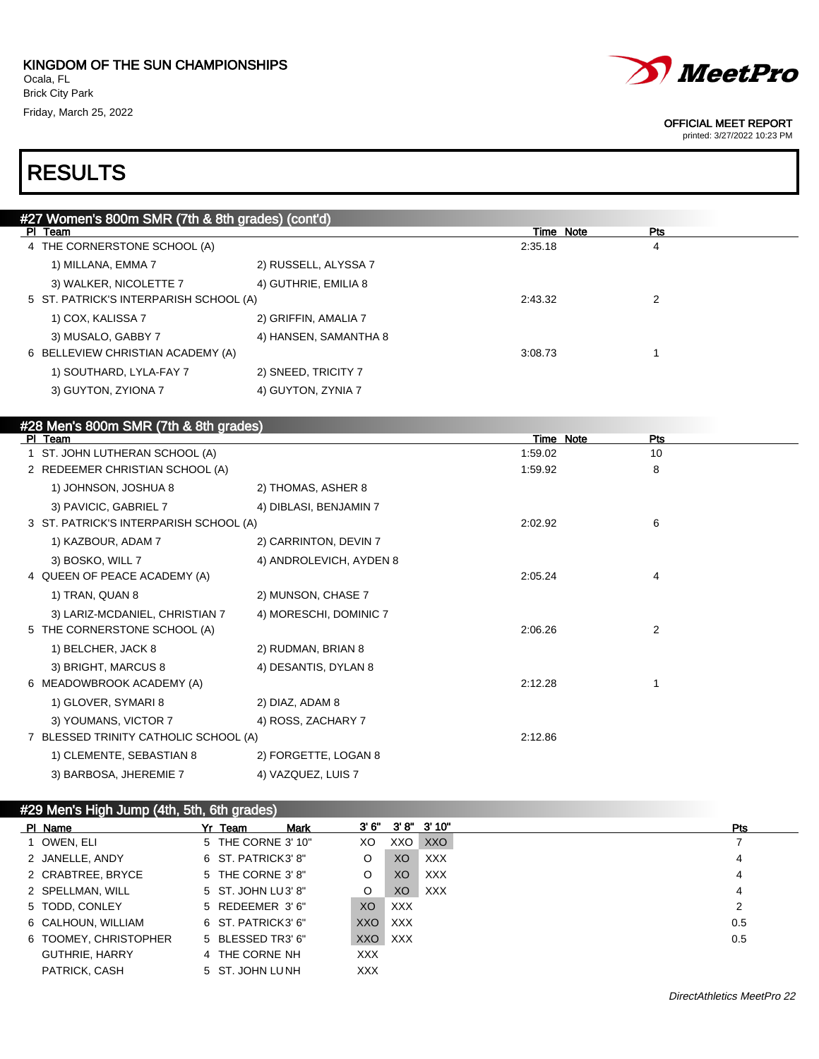

printed: 3/27/2022 10:23 PM

## RESULTS

| #27 Women's 800m SMR (7th & 8th grades) (cont'd) |                         |           |     |
|--------------------------------------------------|-------------------------|-----------|-----|
| PI Team                                          |                         | Time Note | Pts |
| 4 THE CORNERSTONE SCHOOL (A)                     |                         | 2:35.18   | 4   |
| 1) MILLANA, EMMA 7                               | 2) RUSSELL, ALYSSA 7    |           |     |
| 3) WALKER, NICOLETTE 7                           | 4) GUTHRIE, EMILIA 8    |           |     |
| 5 ST. PATRICK'S INTERPARISH SCHOOL (A)           |                         | 2:43.32   | 2   |
| 1) COX, KALISSA 7                                | 2) GRIFFIN, AMALIA 7    |           |     |
| 3) MUSALO, GABBY 7                               | 4) HANSEN, SAMANTHA 8   |           |     |
| 6 BELLEVIEW CHRISTIAN ACADEMY (A)                |                         | 3:08.73   | 1   |
| 1) SOUTHARD, LYLA-FAY 7                          | 2) SNEED, TRICITY 7     |           |     |
| 3) GUYTON, ZYIONA 7                              | 4) GUYTON, ZYNIA 7      |           |     |
|                                                  |                         |           |     |
| #28 Men's 800m SMR (7th & 8th grades)            |                         |           |     |
| PI Team                                          |                         | Time Note | Pts |
| 1 ST. JOHN LUTHERAN SCHOOL (A)                   |                         | 1:59.02   | 10  |
| 2 REDEEMER CHRISTIAN SCHOOL (A)                  |                         | 1:59.92   | 8   |
| 1) JOHNSON, JOSHUA 8                             | 2) THOMAS, ASHER 8      |           |     |
| 3) PAVICIC, GABRIEL 7                            | 4) DIBLASI, BENJAMIN 7  |           |     |
| 3 ST. PATRICK'S INTERPARISH SCHOOL (A)           |                         | 2:02.92   | 6   |
| 1) KAZBOUR, ADAM 7                               | 2) CARRINTON, DEVIN 7   |           |     |
| 3) BOSKO, WILL 7                                 | 4) ANDROLEVICH, AYDEN 8 |           |     |
| 4 QUEEN OF PEACE ACADEMY (A)                     |                         | 2:05.24   | 4   |
| 1) TRAN, QUAN 8                                  | 2) MUNSON, CHASE 7      |           |     |
| 3) LARIZ-MCDANIEL, CHRISTIAN 7                   | 4) MORESCHI, DOMINIC 7  |           |     |
| 5 THE CORNERSTONE SCHOOL (A)                     |                         | 2:06.26   | 2   |
| 1) BELCHER, JACK 8                               | 2) RUDMAN, BRIAN 8      |           |     |
| 3) BRIGHT, MARCUS 8                              | 4) DESANTIS, DYLAN 8    |           |     |
| 6 MEADOWBROOK ACADEMY (A)                        |                         | 2:12.28   | 1   |
| 1) GLOVER, SYMARI 8                              | 2) DIAZ, ADAM 8         |           |     |
| 3) YOUMANS, VICTOR 7                             | 4) ROSS, ZACHARY 7      |           |     |
| 7 BLESSED TRINITY CATHOLIC SCHOOL (A)            |                         | 2:12.86   |     |
| 1) CLEMENTE, SEBASTIAN 8                         | 2) FORGETTE, LOGAN 8    |           |     |

3) BARBOSA, JHEREMIE 7 4) VAZQUEZ, LUIS 7

### #29 Men's High Jump (4th, 5th, 6th grades)

| PI Name               | Yr Team            | <b>Mark</b> |            |            | $3'6''$ $3'8''$ $3'10''$ | <b>Pts</b> |
|-----------------------|--------------------|-------------|------------|------------|--------------------------|------------|
| 1 OWEN, ELI           | 5 THE CORNE 3' 10" |             | XO         | XXO        | <b>XXO</b>               |            |
| 2 JANELLE, ANDY       | 6 ST. PATRICK3' 8" |             | O          | XO         | <b>XXX</b>               | 4          |
| 2 CRABTREE, BRYCE     | 5 THE CORNE 3' 8"  |             | O          | XO         | <b>XXX</b>               | 4          |
| 2 SPELLMAN, WILL      | 5 ST. JOHN LU3' 8" |             | O          | XO         | <b>XXX</b>               | 4          |
| 5 TODD, CONLEY        | 5 REDEEMER 3'6"    |             | XO         | <b>XXX</b> |                          | 2          |
| 6 CALHOUN, WILLIAM    | 6 ST. PATRICK3' 6" |             | XXO        | <b>XXX</b> |                          | 0.5        |
| 6 TOOMEY, CHRISTOPHER | 5 BLESSED TR3' 6"  |             | XXO XXX    |            |                          | 0.5        |
| <b>GUTHRIE, HARRY</b> | 4 THE CORNE NH     |             | XXX.       |            |                          |            |
| PATRICK, CASH         | 5 ST. JOHN LUNH    |             | <b>XXX</b> |            |                          |            |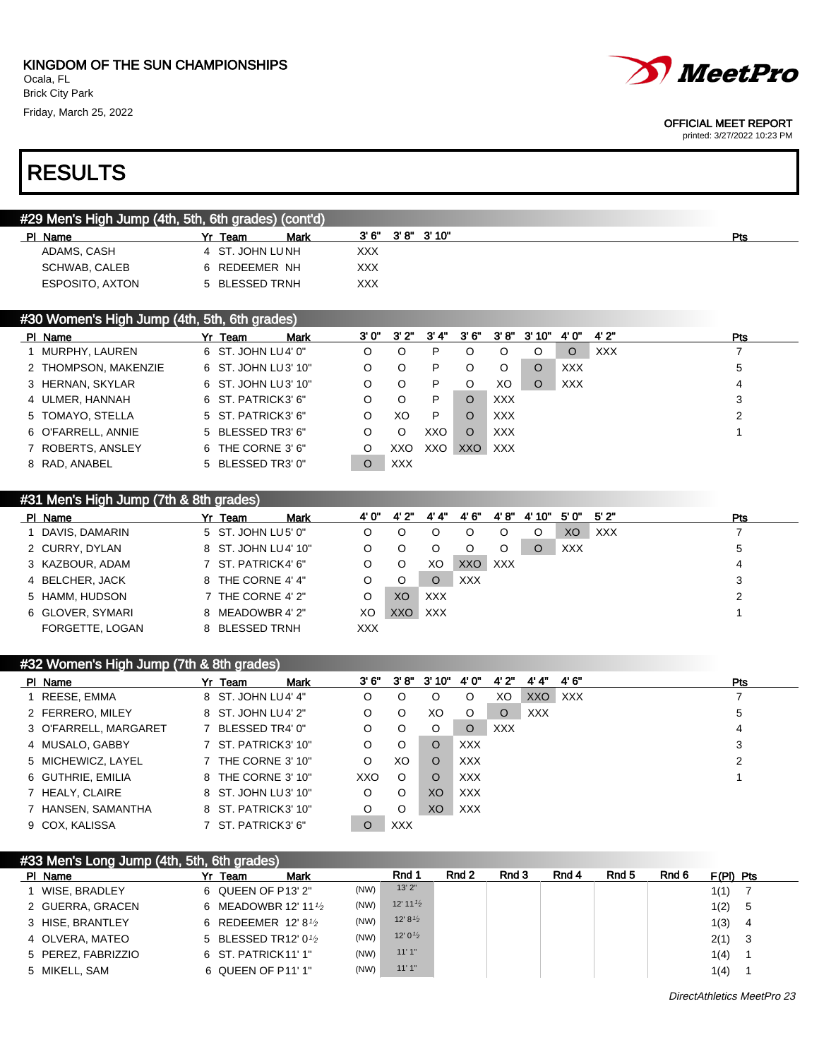

printed: 3/27/2022 10:23 PM

# RESULTS

### #29 Men's High Jump (4th, 5th, 6th grades) (cont'd)

| PI Name         | Mark<br>Yr Team | 3'6'' | $3'8''$ $3'10''$ | Pts |
|-----------------|-----------------|-------|------------------|-----|
| ADAMS, CASH     | 4 ST. JOHN LUNH | XXX   |                  |     |
| SCHWAB, CALEB   | REDEEMER NH     | XXX   |                  |     |
| ESPOSITO, AXTON | BLESSED TRNH    | XXX   |                  |     |
|                 |                 |       |                  |     |

### #30 Women's High Jump (4th, 5th, 6th grades)

| PI Name              | Yr Team             | Mark | 3'0"    | 3'2"       | 3'4" | 3'6''      | 3'8"       | - 3' 10" | 4' 0"      | 4' 2" | Pts |
|----------------------|---------------------|------|---------|------------|------|------------|------------|----------|------------|-------|-----|
| 1 MURPHY, LAUREN     | 6 ST. JOHN LU4' 0"  |      | O       | O          | P    | O          | O          | O        | O          | XXX   |     |
| 2 THOMPSON, MAKENZIE | 6 ST. JOHN LU3' 10" |      | O       | O          | P    | O          | $\circ$    |          | <b>XXX</b> |       | 5   |
| 3 HERNAN, SKYLAR     | 6 ST. JOHN LU3' 10" |      |         | O          | P    | O          | XO         |          | <b>XXX</b> |       | 4   |
| 4 ULMER, HANNAH      | 6 ST. PATRICK3' 6"  |      |         | $\circ$    | P    | $\circ$    | <b>XXX</b> |          |            |       | 3   |
| 5 TOMAYO, STELLA     | 5 ST. PATRICK3' 6"  |      |         | XO         | P    | $\circ$    | <b>XXX</b> |          |            |       | 2   |
| 6 O'FARRELL, ANNIE   | 5 BLESSED TR3' 6"   |      |         | O          | XXO  | O          | <b>XXX</b> |          |            |       |     |
| 7 ROBERTS, ANSLEY    | 6 THE CORNE 3' 6"   |      |         | XXO        | XXO  | <b>XXC</b> | <b>XXX</b> |          |            |       |     |
| 8 RAD, ANABEL        | 5 BLESSED TR3' 0"   |      | $\circ$ | <b>XXX</b> |      |            |            |          |            |       |     |

### #31 Men's High Jump (7th & 8th grades)

| PI Name          | <b>Mark</b><br>Yr Team | 4' 0" | 4' 2" | 4' 4"      | 4'6"       | 4'8" | 4' 10" | -5' 0"     | - 5' 2" | Pts |
|------------------|------------------------|-------|-------|------------|------------|------|--------|------------|---------|-----|
| 1 DAVIS, DAMARIN | 5 ST. JOHN LU5' 0"     | O     | Ő     | O          |            | O    |        | XO         | XXX     |     |
| 2 CURRY, DYLAN   | 8 ST. JOHN LU4' 10"    | O     | Ő     | Ő          |            | O    |        | <b>XXX</b> |         |     |
| 3 KAZBOUR, ADAM  | 7 ST. PATRICK4' 6"     | O     | O     | XO         | XXO        | XXX  |        |            |         |     |
| 4 BELCHER, JACK  | 8 THE CORNE 4' 4"      |       | O     | O          | <b>XXX</b> |      |        |            |         |     |
| 5 HAMM, HUDSON   | 7 THE CORNE 4' 2"      | O     | XO    | <b>XXX</b> |            |      |        |            |         | ົ   |
| 6 GLOVER, SYMARI | 8 MEADOWBR 4' 2"       | XO    | XXO   | <b>XXX</b> |            |      |        |            |         |     |
| FORGETTE, LOGAN  | 8 BLESSED TRNH         | XXX   |       |            |            |      |        |            |         |     |

### #32 Women's High Jump (7th & 8th grades)

| PI Name               | Yr Team             | <b>Mark</b> | 3'6'' |            | $3'8''$ $3'10''$ | 4' 0"      | 4'2"       | 4' 4"      | 4' 6" | Pts |
|-----------------------|---------------------|-------------|-------|------------|------------------|------------|------------|------------|-------|-----|
| 1 REESE, EMMA         | 8 ST. JOHN LU4' 4"  |             | O     |            | O                |            | XO         | XXO        | XXX   |     |
| 2 FERRERO, MILEY      | 8 ST. JOHN LU4' 2"  |             | O     | O          | XO               |            | $\circ$    | <b>XXX</b> |       | 5   |
| 3 O'FARRELL, MARGARET | 7 BLESSED TR4' 0"   |             | O     | $\circ$    | O                | $\Omega$   | <b>XXX</b> |            |       | 4   |
| 4 MUSALO, GABBY       | 7 ST. PATRICK3' 10" |             | O     | $\circ$    | $\circ$          | <b>XXX</b> |            |            |       | 3   |
| 5 MICHEWICZ, LAYEL    | 7 THE CORNE 3' 10"  |             | O     | XO.        | O                | XXX.       |            |            |       | 2   |
| 6 GUTHRIE, EMILIA     | 8 THE CORNE 3' 10"  |             | XXO   | $\circ$    | $\circ$          | <b>XXX</b> |            |            |       |     |
| 7 HEALY, CLAIRE       | 8 ST. JOHN LU3' 10" |             | O     | $\circ$    | XO               | XXX.       |            |            |       |     |
| 7 HANSEN, SAMANTHA    | 8 ST. PATRICK3' 10" |             | O     | $\circ$    | XO               | <b>XXX</b> |            |            |       |     |
| 9 COX. KALISSA        | 7 ST. PATRICK3' 6"  |             | O     | <b>XXX</b> |                  |            |            |            |       |     |

| #33 Men's Long Jump (4th, 5th, 6th grades) |                    |  |                                |      |                     |       |       |       |       |       |             |     |
|--------------------------------------------|--------------------|--|--------------------------------|------|---------------------|-------|-------|-------|-------|-------|-------------|-----|
|                                            | PI Name            |  | <b>Mark</b><br>Yr Team         |      | Rnd 1               | Rnd 2 | Rnd 3 | Rnd 4 | Rnd 5 | Rnd 6 | $F(PI)$ Pts |     |
|                                            | WISE. BRADLEY      |  | 6 QUEEN OF P13' 2"             | (NW) | 13'2"               |       |       |       |       |       | 1(1)        |     |
|                                            | 2 GUERRA, GRACEN   |  | 6 MEADOWBR 12' 11 1/2          | (NW) | 12' 11'2            |       |       |       |       |       | 1(2)        | - 5 |
|                                            | 3 HISE, BRANTLEY   |  | 6 REDEEMER 12'8 $\frac{1}{2}$  | (NW) | 12' 8 $\frac{1}{2}$ |       |       |       |       |       | 1(3)        | - 4 |
|                                            | 4 OLVERA, MATEO    |  | 5 BLESSED TR12' $0\frac{1}{2}$ | (NW) | 12' 0 $\frac{1}{2}$ |       |       |       |       |       | $2(1)$ 3    |     |
|                                            | 5 PEREZ, FABRIZZIO |  | 6 ST. PATRICK11' 1"            | (NW) | 11'1"               |       |       |       |       |       | 1(4)        |     |
|                                            | 5 MIKELL, SAM      |  | 6 QUEEN OF P11' 1"             | (NW) | 11'1"               |       |       |       |       |       | 1(4)        |     |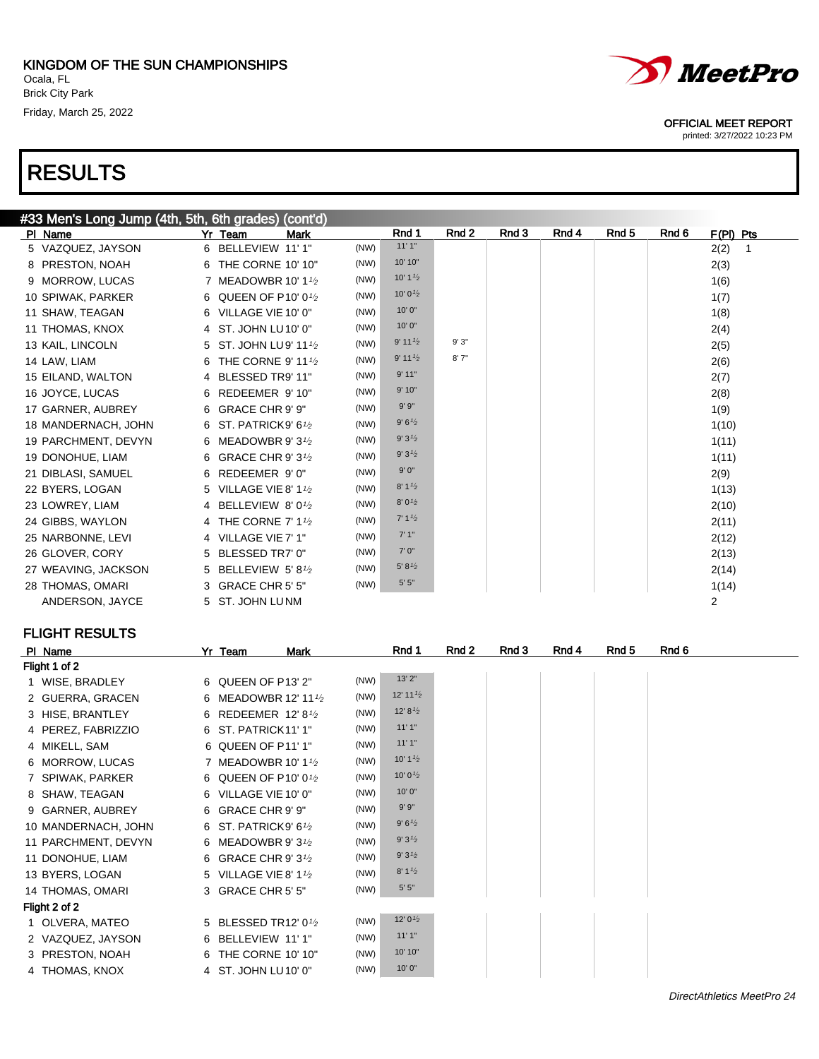$3/44h$  Fith, City grades) (cont'd)

# RESULTS



#### OFFICIAL MEET REPORT

printed: 3/27/2022 10:23 PM

| <b>#33 Men S Long Jump (4th, 3th, 6th grades) (Cont d)</b> |                                               |      |                                  |       |       |       |                  |       |                      |
|------------------------------------------------------------|-----------------------------------------------|------|----------------------------------|-------|-------|-------|------------------|-------|----------------------|
| PI Name                                                    | <b>Mark</b><br>Yr Team                        |      | Rnd 1                            | Rnd 2 | Rnd 3 | Rnd 4 | Rnd <sub>5</sub> | Rnd 6 | $F(PI)$ Pts          |
| 5 VAZQUEZ, JAYSON                                          | 6 BELLEVIEW 11'1"                             | (NW) | 11'1"                            |       |       |       |                  |       | 2(2)<br>$\mathbf{1}$ |
| 8 PRESTON, NOAH                                            | 6 THE CORNE 10' 10"                           | (NW) | 10' 10"                          |       |       |       |                  |       | 2(3)                 |
| 9 MORROW, LUCAS                                            | 7 MEADOWBR 10' 11/2                           | (NW) | 10' $1\frac{1}{2}$               |       |       |       |                  |       | 1(6)                 |
| 10 SPIWAK, PARKER                                          | 6 QUEEN OF P10' 01/2                          | (NW) | 10' 0 $\frac{1}{2}$              |       |       |       |                  |       | 1(7)                 |
| 11 SHAW, TEAGAN                                            | 6 VILLAGE VIE 10' 0"                          | (NW) | 10'0''                           |       |       |       |                  |       | 1(8)                 |
| 11 THOMAS, KNOX                                            | 4 ST. JOHN LU10' 0"                           | (NW) | 10'0"                            |       |       |       |                  |       | 2(4)                 |
| 13 KAIL, LINCOLN                                           | 5 ST. JOHN LU9' 111/2                         | (NW) | $9'$ 11 $\frac{1}{2}$            | 9'3"  |       |       |                  |       | 2(5)                 |
| 14 LAW, LIAM                                               | 6 THE CORNE 9' 11 <sup>1</sup> / <sub>2</sub> | (NW) | $9'$ 11 $\frac{1}{2}$            | 8'7'' |       |       |                  |       | 2(6)                 |
| 15 EILAND, WALTON                                          | 4 BLESSED TR9' 11"                            | (NW) | 9'11"                            |       |       |       |                  |       | 2(7)                 |
| 16 JOYCE, LUCAS                                            | 6 REDEEMER 9'10"                              | (NW) | 9'10"                            |       |       |       |                  |       | 2(8)                 |
| 17 GARNER, AUBREY                                          | 6 GRACE CHR 9' 9"                             | (NW) | 9'9''                            |       |       |       |                  |       | 1(9)                 |
| 18 MANDERNACH, JOHN                                        | 6 ST. PATRICK9' 61/2                          | (NW) | 9' 6'2                           |       |       |       |                  |       | 1(10)                |
| 19 PARCHMENT, DEVYN                                        | 6 MEADOWBR 9'3 <sup>1</sup> /2                | (NW) | 9'3'2                            |       |       |       |                  |       | 1(11)                |
| 19 DONOHUE, LIAM                                           | 6 GRACE CHR 9' 3 <sup>1</sup> /2              | (NW) | 9'3'2                            |       |       |       |                  |       | 1(11)                |
| 21 DIBLASI, SAMUEL                                         | 6 REDEEMER 9'0"                               | (NW) | 9'0''                            |       |       |       |                  |       | 2(9)                 |
| 22 BYERS, LOGAN                                            | 5 VILLAGE VIE 8' 11/2                         | (NW) | 8' 1'2                           |       |       |       |                  |       | 1(13)                |
| 23 LOWREY, LIAM                                            | 4 BELLEVIEW 8'01/2                            | (NW) | 8'0'2                            |       |       |       |                  |       | 2(10)                |
| 24 GIBBS, WAYLON                                           | 4 THE CORNE 7' 1 <sup>1</sup> / <sub>2</sub>  | (NW) | 7' 1 <sup>1</sup> / <sub>2</sub> |       |       |       |                  |       | 2(11)                |
| 25 NARBONNE, LEVI                                          | 4 VILLAGE VIE 7' 1"                           | (NW) | 7'1''                            |       |       |       |                  |       | 2(12)                |
| 26 GLOVER, CORY                                            | 5 BLESSED TR7' 0"                             | (NW) | 7' 0"                            |       |       |       |                  |       | 2(13)                |
| 27 WEAVING, JACKSON                                        | 5 BELLEVIEW 5'81/2                            | (NW) | 5' 8'2                           |       |       |       |                  |       | 2(14)                |
| 28 THOMAS, OMARI                                           | 3 GRACE CHR 5' 5"                             | (NW) | $5' 5"$                          |       |       |       |                  |       | 1(14)                |
| ANDERSON, JAYCE                                            | 5 ST. JOHN LUNM                               |      |                                  |       |       |       |                  |       | $\overline{2}$       |
|                                                            |                                               |      |                                  |       |       |       |                  |       |                      |

| PI Name             | Yr Team<br>Mark                              |      | Rnd 1                            | Rnd 2 | Rnd 3 | Rnd 4 | Rnd 5 | Rnd 6 |
|---------------------|----------------------------------------------|------|----------------------------------|-------|-------|-------|-------|-------|
| Flight 1 of 2       |                                              |      |                                  |       |       |       |       |       |
| 1 WISE, BRADLEY     | 6 QUEEN OF P13' 2"                           | (NW) | 13'2"                            |       |       |       |       |       |
| 2 GUERRA, GRACEN    | 6 MEADOWBR 12' 111/2                         | (NW) | 12' 11 $\frac{1}{2}$             |       |       |       |       |       |
| 3 HISE, BRANTLEY    | 6 REDEEMER 12'81/2                           | (NW) | 12' 8'2                          |       |       |       |       |       |
| 4 PEREZ, FABRIZZIO  | 6 ST. PATRICK11' 1"                          | (NW) | 11'1"                            |       |       |       |       |       |
| 4 MIKELL, SAM       | 6 QUEEN OF P11' 1"                           | (NW) | 11'1"                            |       |       |       |       |       |
| 6 MORROW, LUCAS     | 7 MEADOWBR 10' 1 <sup>1</sup> / <sub>2</sub> | (NW) | 10' $1\frac{1}{2}$               |       |       |       |       |       |
| 7 SPIWAK, PARKER    | 6 QUEEN OF P10' 01/2                         | (NW) | 10' 0 $\frac{1}{2}$              |       |       |       |       |       |
| 8 SHAW, TEAGAN      | 6 VILLAGE VIE 10' 0"                         | (NW) | 10'0"                            |       |       |       |       |       |
| 9 GARNER, AUBREY    | 6 GRACE CHR 9' 9"                            | (NW) | 9'9''                            |       |       |       |       |       |
| 10 MANDERNACH, JOHN | 6 ST. PATRICK9' 6 $1/2$                      | (NW) | 9'6'2                            |       |       |       |       |       |
| 11 PARCHMENT, DEVYN | 6 MEADOWBR 9' $3\frac{1}{2}$                 | (NW) | 9'3'2                            |       |       |       |       |       |
| 11 DONOHUE, LIAM    | 6 GRACE CHR 9' 3 <sup>1</sup> /2             | (NW) | 9'3'2                            |       |       |       |       |       |
| 13 BYERS, LOGAN     | 5 VILLAGE VIE 8' 11/2                        | (NW) | 8' 1 <sup>1</sup> / <sub>2</sub> |       |       |       |       |       |
| 14 THOMAS, OMARI    | 3 GRACE CHR 5' 5"                            | (NW) | 5'5''                            |       |       |       |       |       |
| Flight 2 of 2       |                                              |      |                                  |       |       |       |       |       |
| 1 OLVERA, MATEO     | 5 BLESSED TR12' 01/2                         | (NW) | 12' $0\frac{1}{2}$               |       |       |       |       |       |
| 2 VAZQUEZ, JAYSON   | 6 BELLEVIEW 11'1"                            | (NW) | 11'1"                            |       |       |       |       |       |
| 3 PRESTON, NOAH     | THE CORNE 10' 10"<br>6.                      | (NW) | 10' 10"                          |       |       |       |       |       |
| 4 THOMAS, KNOX      | 4 ST. JOHN LU10' 0"                          | (NW) | 10'0"                            |       |       |       |       |       |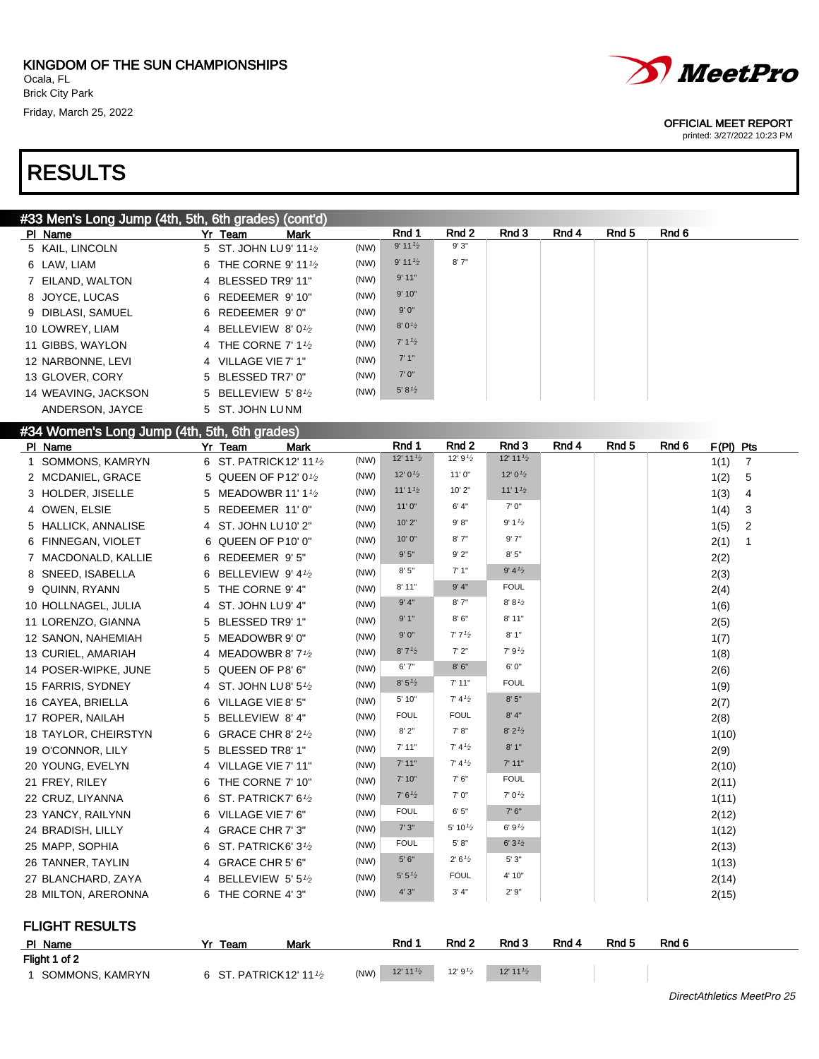

#### OFFICIAL MEET REPORT

| #33 Men's Long Jump (4th, 5th, 6th grades) (cont'd) |         |                                              |      |                                  |                     |                                   |       |       |       |                        |
|-----------------------------------------------------|---------|----------------------------------------------|------|----------------------------------|---------------------|-----------------------------------|-------|-------|-------|------------------------|
| PI Name                                             | Yr Team | <b>Mark</b>                                  |      | Rnd 1                            | Rnd <sub>2</sub>    | Rnd 3                             | Rnd 4 | Rnd 5 | Rnd 6 |                        |
| 5 KAIL, LINCOLN                                     |         | 5 ST. JOHN LU9' 111/2                        | (NW) | 9' 11'2                          | 9'3"                |                                   |       |       |       |                        |
| 6 LAW, LIAM                                         |         | 6 THE CORNE 9' 11 1/2                        | (NW) | $9'$ 11 $\frac{1}{2}$            | 8'7''               |                                   |       |       |       |                        |
| 7 EILAND, WALTON                                    |         | 4 BLESSED TR9' 11"                           | (NW) | 9'11"                            |                     |                                   |       |       |       |                        |
| 8 JOYCE, LUCAS                                      |         | 6 REDEEMER 9' 10"                            | (NW) | 9'10"                            |                     |                                   |       |       |       |                        |
| 9 DIBLASI, SAMUEL                                   |         | 6 REDEEMER 9'0"                              | (NW) | $9'0"$                           |                     |                                   |       |       |       |                        |
| 10 LOWREY, LIAM                                     |         | 4 BELLEVIEW 8'0 <sup>1</sup> /2              | (NW) | 8'0'2                            |                     |                                   |       |       |       |                        |
| 11 GIBBS, WAYLON                                    |         | 4 THE CORNE 7' 1 <sup>1</sup> / <sub>2</sub> | (NW) | 7' 1 <sup>1</sup> / <sub>2</sub> |                     |                                   |       |       |       |                        |
| 12 NARBONNE, LEVI                                   |         | 4 VILLAGE VIE 7' 1"                          | (NW) | 7'1''                            |                     |                                   |       |       |       |                        |
| 13 GLOVER, CORY                                     |         | 5 BLESSED TR7' 0"                            | (NW) | $7' 0''$                         |                     |                                   |       |       |       |                        |
| 14 WEAVING, JACKSON                                 |         | 5 BELLEVIEW 5'81/2                           | (NW) | 5' 8'2                           |                     |                                   |       |       |       |                        |
| ANDERSON, JAYCE                                     |         | 5 ST. JOHN LUNM                              |      |                                  |                     |                                   |       |       |       |                        |
| #34 Women's Long Jump (4th, 5th, 6th grades)        |         |                                              |      |                                  |                     |                                   |       |       |       |                        |
| PI Name                                             | Yr Team | <b>Mark</b>                                  |      | Rnd 1                            | Rnd <sub>2</sub>    | Rnd 3                             | Rnd 4 | Rnd 5 | Rnd 6 | $F(PI)$ Pts            |
| 1 SOMMONS, KAMRYN                                   |         | 6 ST. PATRICK12' 111/2                       | (NW) | 12' 11 $\frac{1}{2}$             | 12' $9\frac{1}{2}$  | 12' 11'2                          |       |       |       | 1(1)<br>$\overline{7}$ |
| 2 MCDANIEL, GRACE                                   |         | 5 QUEEN OF P12' 01/2                         | (NW) | 12' $0\frac{1}{2}$               | 11'0''              | 12' $0\frac{1}{2}$                |       |       |       | 1(2)<br>5              |
| 3 HOLDER, JISELLE                                   |         | 5 MEADOWBR 11' 11/2                          | (NW) | 11'1'2                           | 10' 2"              | 11' 1 <sup>1</sup> / <sub>2</sub> |       |       |       | 1(3)<br>4              |
| 4 OWEN, ELSIE                                       |         | 5 REDEEMER 11'0"                             | (NW) | 11'0''                           | 6' 4''              | 7'0''                             |       |       |       | 1(4)<br>3              |
| 5 HALLICK, ANNALISE                                 |         | 4 ST. JOHN LU10' 2"                          | (NW) | 10'2"                            | 9' 8''              | 9' 1'2                            |       |       |       | 2<br>1(5)              |
| 6 FINNEGAN, VIOLET                                  |         | 6 QUEEN OF P10' 0"                           | (NW) | 10' 0"                           | 8'7''               | 9'7"                              |       |       |       | 2(1)<br>$\mathbf{1}$   |
| 7 MACDONALD, KALLIE                                 |         | 6 REDEEMER 9'5"                              | (NW) | 9'5"                             | 9'2"                | 8'5"                              |       |       |       | 2(2)                   |
| 8 SNEED, ISABELLA                                   |         | 6 BELLEVIEW 9' 41/2                          | (NW) | 8'5''                            | 7'1''               | 9' 4'2                            |       |       |       | 2(3)                   |
| 9 QUINN, RYANN                                      |         | 5 THE CORNE 9' 4"                            | (NW) | 8'11"                            | 9' 4''              | <b>FOUL</b>                       |       |       |       | 2(4)                   |
| 10 HOLLNAGEL, JULIA                                 |         | 4 ST. JOHN LU9' 4"                           | (NW) | 9' 4"                            | 8'7''               | 8' 8'2                            |       |       |       | 1(6)                   |
| 11 LORENZO, GIANNA                                  |         | 5 BLESSED TR9' 1"                            | (NW) | 9'1"                             | 8'6''               | 8'11"                             |       |       |       | 2(5)                   |
| 12 SANON, NAHEMIAH                                  |         | 5 MEADOWBR 9' 0"                             | (NW) | 9'0''                            | 7'7'2               | 8'1"                              |       |       |       | 1(7)                   |
| 13 CURIEL, AMARIAH                                  |         | 4 MEADOWBR 8' $7\frac{1}{2}$                 | (NW) | 8'7'2                            | 7'2"                | 7'9'2                             |       |       |       | 1(8)                   |
| 14 POSER-WIPKE, JUNE                                |         | 5 QUEEN OF P8' 6"                            | (NW) | 6'7''                            | 8'6''               | 6' 0"                             |       |       |       | 2(6)                   |
| 15 FARRIS, SYDNEY                                   |         | 4 ST. JOHN LU8' 5 <sup>1</sup> /2            | (NW) | 8' 5'2                           | 7'11"               | <b>FOUL</b>                       |       |       |       | 1(9)                   |
| 16 CAYEA, BRIELLA                                   |         | 6 VILLAGE VIE 8' 5"                          | (NW) | 5' 10"                           | 7' 4'2              | $8'$ $5''$                        |       |       |       | 2(7)                   |
| 17 ROPER, NAILAH                                    |         | 5 BELLEVIEW 8' 4"                            | (NW) | <b>FOUL</b>                      | <b>FOUL</b>         | $8' 4"$                           |       |       |       | 2(8)                   |
| 18 TAYLOR, CHEIRSTYN                                |         | 6 GRACE CHR 8' 2 <sup>1</sup> /2             | (NW) | 8'2"                             | 7' 8''              | 8' 2'2                            |       |       |       | 1(10)                  |
| 19 O'CONNOR, LILY                                   |         | 5 BLESSED TR8' 1"                            | (NW) | 7'11"                            | 7' 4'2              | 8'1"                              |       |       |       | 2(9)                   |
| 20 YOUNG, EVELYN                                    |         | 4 VILLAGE VIE 7' 11"                         | (NW) | 7' 11"                           | 7' 4'2              | 7'11"                             |       |       |       | 2(10)                  |
| 21 FREY, RILEY                                      |         | 6 THE CORNE 7' 10"                           | (NW) | 7' 10"                           | 7'6''               | <b>FOUL</b>                       |       |       |       | 2(11)                  |
| 22 CRUZ, LIYANNA                                    |         | 6 ST. PATRICK7' 61/2                         | (NW) | 7' 6'2                           | 7'0''               | 7' 0'2                            |       |       |       | 1(11)                  |
| 23 YANCY, RAILYNN                                   |         | 6 VILLAGE VIE 7' 6"                          | (NW) | <b>FOUL</b>                      | 6'5''               | 7' 6''                            |       |       |       | 2(12)                  |
| 24 BRADISH, LILLY                                   |         | 4 GRACE CHR 7' 3"                            | (NW) | 7'3''                            | 5' 10 $\frac{1}{2}$ | 6'9'2                             |       |       |       | 1(12)                  |
| 25 MAPP, SOPHIA                                     |         | 6 ST. PATRICK6' 3 <sup>1</sup> /2            | (NW) | <b>FOUL</b>                      | 5' 8''              | 6'3'2                             |       |       |       | 2(13)                  |
| 26 TANNER, TAYLIN                                   |         | 4 GRACE CHR 5' 6"                            | (NW) | $5'6''$                          | 2' 6'2              | 5'3"                              |       |       |       | 1(13)                  |
| 27 BLANCHARD, ZAYA                                  |         | 4 BELLEVIEW 5' 51/2                          | (NW) | 5' 5'2                           | <b>FOUL</b>         | 4' 10"                            |       |       |       | 2(14)                  |
| 28 MILTON, ARERONNA                                 |         | 6 THE CORNE 4'3"                             | (NW) | 4'3''                            | 3' 4''              | 2'9''                             |       |       |       | 2(15)                  |
| <b>FLIGHT RESULTS</b>                               |         |                                              |      |                                  |                     |                                   |       |       |       |                        |

| PI Name           | Team                               | Mark | Rnd 1    | Rnd <sub>2</sub>    | Rnd 3    | Rnd 4 | Rnd 5 | Rnd 6 |
|-------------------|------------------------------------|------|----------|---------------------|----------|-------|-------|-------|
| Flight 1 of 2     |                                    |      |          |                     |          |       |       |       |
| I SOMMONS, KAMRYN | 6 ST. PATRICK 12' 11 $\frac{1}{2}$ | (NW) | 12' 11'2 | 12' 9 $\frac{1}{2}$ | 12' 11'2 |       |       |       |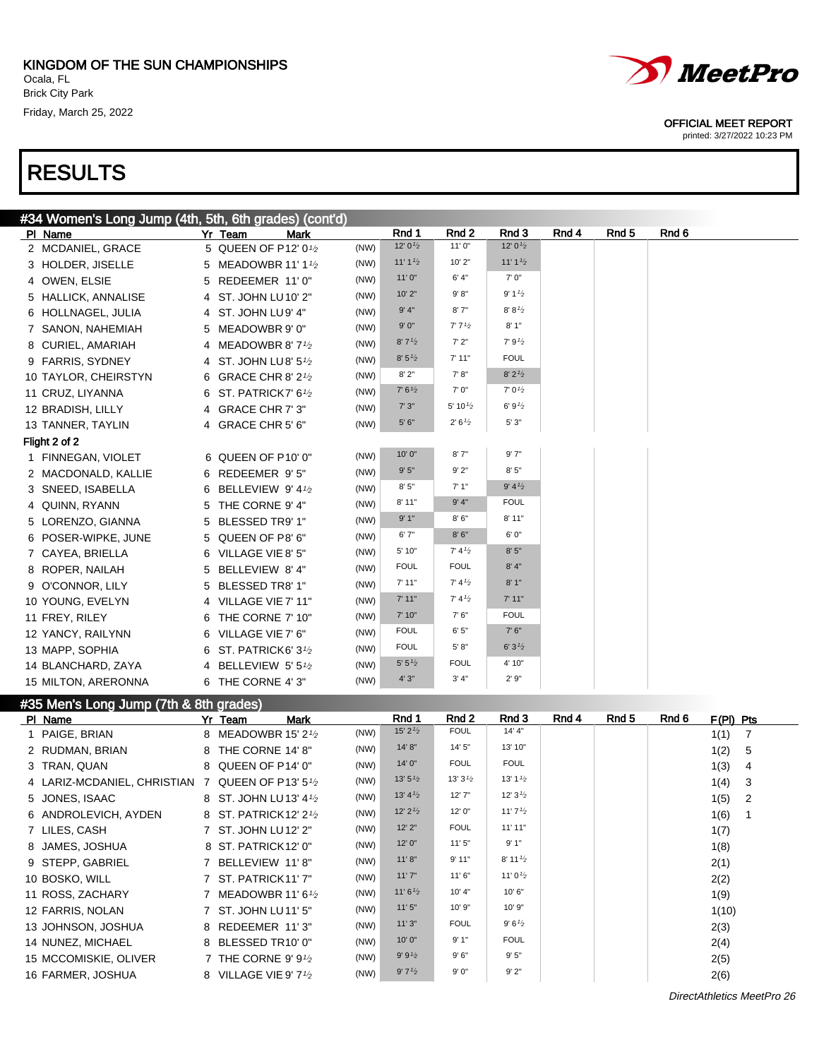

#### OFFICIAL MEET REPORT

printed: 3/27/2022 10:23 PM

| #34 Women's Long Jump (4th, 5th, 6th grades) (cont'd) |                                             |      |                     |                     |                                  |       |       |       |
|-------------------------------------------------------|---------------------------------------------|------|---------------------|---------------------|----------------------------------|-------|-------|-------|
| PI Name                                               | Yr Team<br><b>Mark</b>                      |      | Rnd 1               | Rnd <sub>2</sub>    | Rnd 3                            | Rnd 4 | Rnd 5 | Rnd 6 |
| 2 MCDANIEL, GRACE                                     | 5 QUEEN OF P12' 01/2                        | (NW) | 12' 0 $\frac{1}{2}$ | 11'0''              | 12' $0\frac{1}{2}$               |       |       |       |
| 3 HOLDER, JISELLE                                     | 5 MEADOWBR 11' 11/2                         | (NW) | 11'1'2              | 10'2"               | 11'1'2                           |       |       |       |
| 4 OWEN, ELSIE                                         | 5 REDEEMER 11'0"                            | (NW) | 11'0''              | 6' 4''              | 7'0''                            |       |       |       |
| 5 HALLICK, ANNALISE                                   | 4 ST. JOHN LU 10' 2"                        | (NW) | 10'2"               | 9' 8''              | 9' 1 <sup>1</sup> / <sub>2</sub> |       |       |       |
| 6 HOLLNAGEL, JULIA                                    | 4 ST. JOHN LU9' 4"                          | (NW) | 9' 4"               | 8'7''               | 8' 8'2                           |       |       |       |
| 7 SANON, NAHEMIAH                                     | 5 MEADOWBR 9' 0"                            | (NW) | $9'0"$              | 7'7'' <sub>2</sub>  | 8'1"                             |       |       |       |
| 8 CURIEL, AMARIAH                                     | 4 MEADOWBR 8' 7 <sup>1</sup> / <sub>2</sub> | (NW) | 8'7'2               | 7'2"                | 7'9'2                            |       |       |       |
| 9 FARRIS, SYDNEY                                      | 4 ST. JOHN LU8' 51/2                        | (NW) | 8' 5'2'             | 7'11"               | <b>FOUL</b>                      |       |       |       |
| 10 TAYLOR, CHEIRSTYN                                  | 6 GRACE CHR 8' 2 <sup>1</sup> /2            | (NW) | 8'2"                | 7' 8"               | 8' 2'2                           |       |       |       |
| 11 CRUZ, LIYANNA                                      | 6 ST. PATRICK7' 6 <sup>1</sup> 2            | (NW) | 7' 6'2              | 7' 0"               | $7'0\frac{1}{2}$                 |       |       |       |
| 12 BRADISH, LILLY                                     | 4 GRACE CHR 7' 3"                           | (NW) | 7'3''               | 5' 10 $\frac{1}{2}$ | 6'9'2                            |       |       |       |
| 13 TANNER, TAYLIN                                     | 4 GRACE CHR 5' 6"                           | (NW) | $5'6"$              | 2' 6'2              | 5'3''                            |       |       |       |
| Flight 2 of 2                                         |                                             |      |                     |                     |                                  |       |       |       |
| 1 FINNEGAN, VIOLET                                    | 6 QUEEN OF P10' 0"                          | (NW) | 10'0"               | 8'7''               | 9'7''                            |       |       |       |
| 2 MACDONALD, KALLIE                                   | 6 REDEEMER 9'5"                             | (NW) | 9'5''               | 9'2"                | 8'5''                            |       |       |       |
| 3 SNEED, ISABELLA                                     | 6 BELLEVIEW 9' 41/2                         | (NW) | 8'5''               | 7'1''               | 9' 4'2                           |       |       |       |
| 4 QUINN, RYANN                                        | 5 THE CORNE 9' 4"                           | (NW) | 8'11"               | 9' 4''              | <b>FOUL</b>                      |       |       |       |
| 5 LORENZO, GIANNA                                     | 5 BLESSED TR9' 1"                           | (NW) | 9'1"                | 8'6''               | 8' 11"                           |       |       |       |
| 6 POSER-WIPKE, JUNE                                   | 5 QUEEN OF P8' 6"                           | (NW) | 6'7''               | 8'6''               | 6' 0"                            |       |       |       |
| 7 CAYEA, BRIELLA                                      | 6 VILLAGE VIE 8' 5"                         | (NW) | 5' 10"              | 7' 4'2              | 8'5"                             |       |       |       |
| 8 ROPER, NAILAH                                       | 5 BELLEVIEW 8' 4"                           | (NW) | <b>FOUL</b>         | <b>FOUL</b>         | 8' 4"                            |       |       |       |
| 9 O'CONNOR, LILY                                      | 5 BLESSED TR8' 1"                           | (NW) | 7'11"               | 7' 4'2              | 8'1"                             |       |       |       |
| 10 YOUNG, EVELYN                                      | 4 VILLAGE VIE 7' 11"                        | (NW) | 7' 11"              | 7' 4'2              | 7'11"                            |       |       |       |
| 11 FREY, RILEY                                        | 6 THE CORNE 7' 10"                          | (NW) | 7' 10"              | 7'6''               | <b>FOUL</b>                      |       |       |       |
| 12 YANCY, RAILYNN                                     | 6 VILLAGE VIE 7' 6"                         | (NW) | <b>FOUL</b>         | 6'5''               | 7'6''                            |       |       |       |
| 13 MAPP, SOPHIA                                       | 6 ST. PATRICK6' 3 <sup>1</sup> /2           | (NW) | <b>FOUL</b>         | 5' 8''              | 6'3'2                            |       |       |       |
| 14 BLANCHARD, ZAYA                                    | 4 BELLEVIEW 5'51/2                          | (NW) | 5' 5'2              | <b>FOUL</b>         | 4' 10"                           |       |       |       |
| 15 MILTON, ARERONNA                                   | 6 THE CORNE 4'3"                            | (NW) | 4'3''               | 3' 4''              | 2'9''                            |       |       |       |

### #35 Men's Long Jump (7th & 8th grades)

| PI Name                                          | Yr Team<br><b>Mark</b>                         |      | Rnd 1                 | Rnd 2       | Rnd 3                 | Rnd 4 | Rnd 5 | Rnd 6 | $F(PI)$ Pts |                |
|--------------------------------------------------|------------------------------------------------|------|-----------------------|-------------|-----------------------|-------|-------|-------|-------------|----------------|
| 1 PAIGE, BRIAN                                   | 8 MEADOWBR 15' 2 <sup>1</sup> / <sub>2</sub>   | (NW) | $15'$ 2 $\frac{1}{2}$ | <b>FOUL</b> | 14' 4"                |       |       |       | 1(1)        | -7             |
| 2 RUDMAN, BRIAN                                  | 8 THE CORNE 14' 8"                             | (NW) | 14' 8''               | 14' 5"      | 13' 10"               |       |       |       | 1(2)        | 5              |
| 3 TRAN, QUAN                                     | 8 QUEEN OF P14' 0"                             | (NW) | 14' 0"                | <b>FOUL</b> | <b>FOUL</b>           |       |       |       | 1(3)        | -4             |
| 4 LARIZ-MCDANIEL, CHRISTIAN 7 QUEEN OF P13' 51/2 |                                                | (NW) | 13'5'' <sub>2</sub>   | 13'3'2      | 13' $1\frac{1}{2}$    |       |       |       | 1(4)        | -3             |
| 5 JONES, ISAAC                                   | 8 ST. JOHN LU13' 41/2                          | (NW) | 13' $4\frac{1}{2}$    | 12'7''      | 12' $3\frac{1}{2}$    |       |       |       | 1(5)        | $\overline{2}$ |
| 6 ANDROLEVICH, AYDEN                             | 8 ST. PATRICK12' 2 <sup>1</sup> / <sub>2</sub> | (NW) | 12'2'2'               | 12'0''      | 11' 7 $\frac{1}{2}$   |       |       |       | 1(6)        |                |
| 7 LILES, CASH                                    | 7 ST. JOHN LU12' 2"                            | (NW) | 12'2''                | <b>FOUL</b> | 11'11"                |       |       |       | 1(7)        |                |
| 8 JAMES, JOSHUA                                  | 8 ST. PATRICK12' 0"                            | (NW) | 12' 0"                | 11'5''      | 9'1"                  |       |       |       | 1(8)        |                |
| 9 STEPP, GABRIEL                                 | 7 BELLEVIEW 11'8"                              | (NW) | 11' 8''               | 9'11"       | $8'$ 11 $\frac{1}{2}$ |       |       |       | 2(1)        |                |
| 10 BOSKO, WILL                                   | 7 ST. PATRICK11'7"                             | (NW) | 11'7''                | 11'6''      | 11' 0 $\frac{1}{2}$   |       |       |       | 2(2)        |                |
| 11 ROSS, ZACHARY                                 | 7 MEADOWBR 11'6 $1/2$                          | (NW) | 11'6'2                | 10' 4"      | 10'6"                 |       |       |       | 1(9)        |                |
| 12 FARRIS, NOLAN                                 | 7 ST. JOHN LU11' 5"                            | (NW) | 11'5''                | 10'9"       | 10' 9"                |       |       |       | 1(10)       |                |
| 13 JOHNSON, JOSHUA                               | 8 REDEEMER 11'3"                               | (NW) | 11'3''                | <b>FOUL</b> | 9'6'2                 |       |       |       | 2(3)        |                |
| 14 NUNEZ, MICHAEL                                | 8 BLESSED TR10' 0"                             | (NW) | 10'0"                 | 9'1"        | <b>FOUL</b>           |       |       |       | 2(4)        |                |
| 15 MCCOMISKIE, OLIVER                            | 7 THE CORNE 9' $9\frac{1}{2}$                  | (NW) | 9' 9'2                | 9'6''       | 9'5"                  |       |       |       | 2(5)        |                |
| 16 FARMER, JOSHUA                                | 8 VILLAGE VIE 9' 7 <sup>1</sup> /2             | (NW) | 9'7'2                 | 9'0''       | 9'2"                  |       |       |       | 2(6)        |                |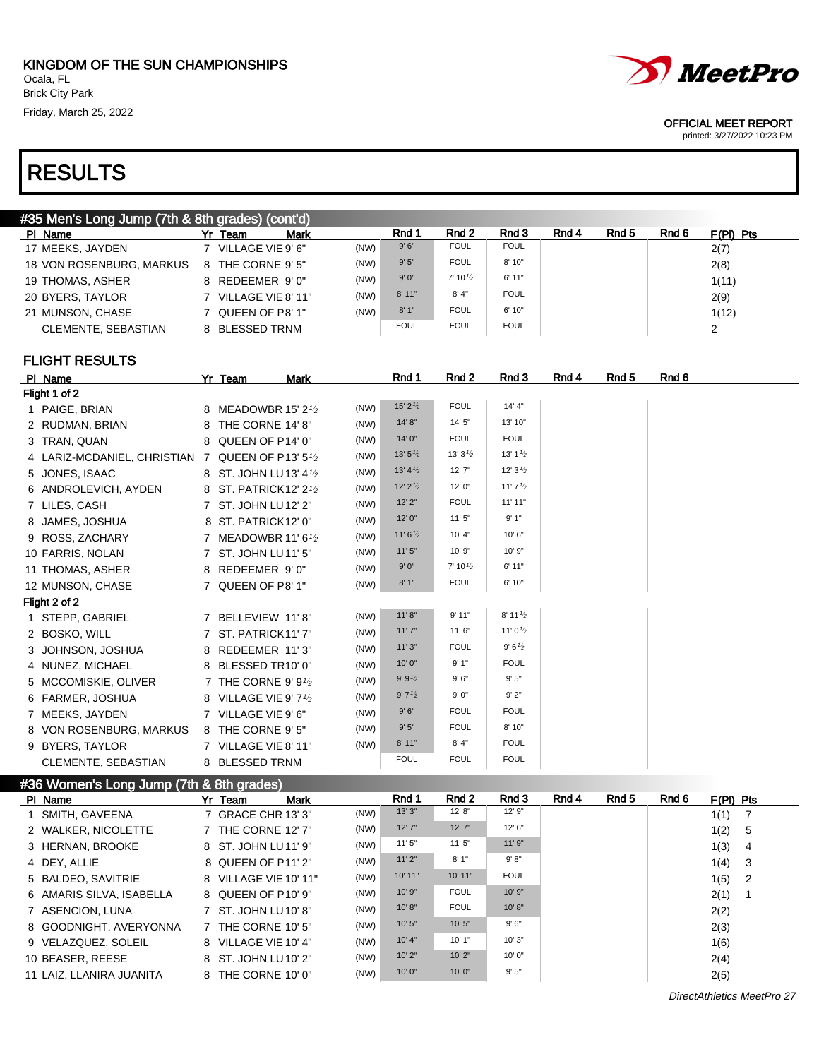# MeetPro

#### OFFICIAL MEET REPORT

printed: 3/27/2022 10:23 PM

# RESULTS

| #35 Men's Long Jump (7th & 8th grades) (cont'd) |  |                        |      |             |                    |             |       |       |       |             |
|-------------------------------------------------|--|------------------------|------|-------------|--------------------|-------------|-------|-------|-------|-------------|
| PI Name                                         |  | <b>Mark</b><br>Yr Team |      | Rnd 1       | Rnd 2              | Rnd 3       | Rnd 4 | Rnd 5 | Rnd 6 | $F(PI)$ Pts |
| 17 MEEKS, JAYDEN                                |  | 7 VILLAGE VIE 9' 6"    | (NW) | 9'6''       | <b>FOUL</b>        | <b>FOUL</b> |       |       |       | 2(7)        |
| 18 VON ROSENBURG, MARKUS                        |  | 8 THE CORNE 9' 5"      | (NW) | 9'5''       | <b>FOUL</b>        | 8' 10"      |       |       |       | 2(8)        |
| 19 THOMAS, ASHER                                |  | 8 REDEEMER 9'0"        | (NW) | 9'0''       | $7' 10\frac{1}{2}$ | 6'11"       |       |       |       | 1(11)       |
| 20 BYERS, TAYLOR                                |  | 7 VILLAGE VIE 8' 11"   | (NW) | 8'11"       | 8' 4''             | <b>FOUL</b> |       |       |       | 2(9)        |
| 21 MUNSON, CHASE                                |  | 7 QUEEN OF P8' 1"      | (NW) | 8'1"        | <b>FOUL</b>        | 6' 10"      |       |       |       | 1(12)       |
| CLEMENTE, SEBASTIAN                             |  | 8 BLESSED TRNM         |      | <b>FOUL</b> | <b>FOUL</b>        | <b>FOUL</b> |       |       |       | 2           |
|                                                 |  |                        |      |             |                    |             |       |       |       |             |

### FLIGHT RESULTS

| PI Name                       |   | Yr Team<br><b>Mark</b>                       |      | Rnd 1               | Rnd 2                             | Rnd 3                 | Rnd 4 | Rnd 5 | Rnd 6 |
|-------------------------------|---|----------------------------------------------|------|---------------------|-----------------------------------|-----------------------|-------|-------|-------|
| Flight 1 of 2                 |   |                                              |      |                     |                                   |                       |       |       |       |
| 1 PAIGE, BRIAN                |   | 8 MEADOWBR 15' 2 <sup>1</sup> / <sub>2</sub> | (NW) | 15' $2\frac{1}{2}$  | <b>FOUL</b>                       | 14' 4''               |       |       |       |
| 2 RUDMAN, BRIAN               | 8 | THE CORNE 14' 8"                             | (NW) | 14' 8"              | 14' 5"                            | 13' 10"               |       |       |       |
| 3 TRAN, QUAN                  |   | 8 QUEEN OF P14' 0"                           | (NW) | 14' 0"              | <b>FOUL</b>                       | <b>FOUL</b>           |       |       |       |
| 4 LARIZ-MCDANIEL, CHRISTIAN 7 |   | QUEEN OF P13' 51/2                           | (NW) | 13'5'' <sub>2</sub> | 13'3'2                            | 13' 1 $\frac{1}{2}$   |       |       |       |
| 5 JONES, ISAAC                |   | 8 ST. JOHN LU13' 41/2                        | (NW) | 13' 4'2             | 12'7''                            | 12' $3\frac{1}{2}$    |       |       |       |
| 6 ANDROLEVICH, AYDEN          |   | 8 ST. PATRICK12' 21/2                        | (NW) | $12'$ $2'$          | 12' 0"                            | 11'7'2                |       |       |       |
| 7 LILES, CASH                 |   | 7 ST. JOHN LU12' 2"                          | (NW) | $12'$ $2"$          | <b>FOUL</b>                       | 11'11"                |       |       |       |
| 8 JAMES, JOSHUA               |   | 8 ST. PATRICK12' 0"                          | (NW) | 12' 0"              | 11'5''                            | 9'1"                  |       |       |       |
| 9 ROSS, ZACHARY               | 7 | MEADOWBR 11' 6 $1/2$                         | (NW) | 11'6'' <sub>2</sub> | 10' 4"                            | 10'6"                 |       |       |       |
| 10 FARRIS, NOLAN              |   | 7 ST. JOHN LU11' 5"                          | (NW) | 11'5''              | 10' 9"                            | 10' 9"                |       |       |       |
| 11 THOMAS, ASHER              |   | 8 REDEEMER 9'0"                              | (NW) | 9'0''               | 7' 10 <sup>1</sup> / <sub>2</sub> | 6'11"                 |       |       |       |
| 12 MUNSON, CHASE              |   | 7 QUEEN OF P8' 1"                            | (NW) | 8'1''               | <b>FOUL</b>                       | 6' 10"                |       |       |       |
| Flight 2 of 2                 |   |                                              |      |                     |                                   |                       |       |       |       |
| 1 STEPP, GABRIEL              |   | 7 BELLEVIEW 11'8"                            | (NW) | 11' 8''             | 9'11"                             | $8'$ 11 $\frac{1}{2}$ |       |       |       |
| 2 BOSKO, WILL                 |   | 7 ST. PATRICK11'7"                           | (NW) | 11'7''              | 11'6''                            | 11' 0 $\frac{1}{2}$   |       |       |       |
| 3 JOHNSON, JOSHUA             |   | 8 REDEEMER 11'3"                             | (NW) | 11'3''              | <b>FOUL</b>                       | 9'6'2                 |       |       |       |
| 4 NUNEZ, MICHAEL              |   | 8 BLESSED TR10' 0"                           | (NW) | 10'0"               | 9'1"                              | <b>FOUL</b>           |       |       |       |
| 5 MCCOMISKIE, OLIVER          |   | 7 THE CORNE 9' 91/2                          | (NW) | 9' 9'2              | 9'6''                             | 9'5"                  |       |       |       |
| 6 FARMER, JOSHUA              |   | 8 VILLAGE VIE 9' 71/2                        | (NW) | 9'7'2               | 9'0''                             | 9'2"                  |       |       |       |
| 7 MEEKS, JAYDEN               |   | 7 VILLAGE VIE 9' 6"                          | (NW) | 9'6''               | <b>FOUL</b>                       | <b>FOUL</b>           |       |       |       |
| 8 VON ROSENBURG, MARKUS       |   | 8 THE CORNE 9' 5"                            | (NW) | 9'5''               | <b>FOUL</b>                       | 8' 10"                |       |       |       |
| 9 BYERS, TAYLOR               |   | 7 VILLAGE VIE 8' 11"                         | (NW) | 8'11"               | 8' 4''                            | <b>FOUL</b>           |       |       |       |
| CLEMENTE, SEBASTIAN           |   | 8 BLESSED TRNM                               |      | <b>FOUL</b>         | <b>FOUL</b>                       | <b>FOUL</b>           |       |       |       |
|                               |   |                                              |      |                     |                                   |                       |       |       |       |

### #36 Women's Long Jump (7th & 8th grades)

| PI Name             |                          | Yr Team               | <b>Mark</b> |      | Rnd 1   | Rnd 2       | Rnd 3       | Rnd 4 | Rnd 5 | Rnd 6 | $F(PI)$ Pts |                            |
|---------------------|--------------------------|-----------------------|-------------|------|---------|-------------|-------------|-------|-------|-------|-------------|----------------------------|
| 1 SMITH, GAVEENA    |                          | 7 GRACE CHR 13' 3"    |             | (NW) | 13'3''  | 12' 8''     | 12' 9"      |       |       |       | 1(1)        |                            |
| 2 WALKER, NICOLETTE |                          | 7 THE CORNE 12' 7"    |             | (NW) | 12'7''  | 12'7''      | 12' 6''     |       |       |       | 1(2)        | - 5                        |
| 3 HERNAN, BROOKE    |                          | 8 ST. JOHN LU11' 9"   |             | (NW) | 11'5''  | 11'5''      | 11'9''      |       |       |       | 1(3)        | -4                         |
| 4 DEY. ALLIE        |                          | 8 QUEEN OF P11' 2"    |             | (NW) | 11'2"   | 8'1''       | 9' 8"       |       |       |       | 1(4)        | $_{3}$                     |
| 5 BALDEO, SAVITRIE  |                          | 8 VILLAGE VIE 10' 11" |             | (NW) | 10' 11" | 10' 11"     | <b>FOUL</b> |       |       |       | 1(5)        | $\overline{\phantom{0}}^2$ |
|                     | 6 AMARIS SILVA, ISABELLA | 8 QUEEN OF P10' 9"    |             | (NW) | 10'9''  | <b>FOUL</b> | 10'9''      |       |       |       | 2(1)        |                            |
| 7 ASENCION, LUNA    |                          | 7 ST. JOHN LU10' 8"   |             | (NW) | 10' 8'' | <b>FOUL</b> | 10' 8''     |       |       |       | 2(2)        |                            |
|                     | 8 GOODNIGHT, AVERYONNA   | 7 THE CORNE 10' 5"    |             | (NW) | 10'5''  | 10'5"       | 9'6''       |       |       |       | 2(3)        |                            |
| 9 VELAZQUEZ, SOLEIL |                          | 8 VILLAGE VIE 10' 4"  |             | (NW) | 10' 4"  | 10'1"       | 10'3"       |       |       |       | 1(6)        |                            |
| 10 BEASER, REESE    |                          | 8 ST. JOHN LU10' 2"   |             | (NW) | 10'2"   | 10'2"       | 10'0"       |       |       |       | 2(4)        |                            |
|                     | 11 LAIZ. LLANIRA JUANITA | 8 THE CORNE 10' 0"    |             | (NW) | 10'0''  | 10'0''      | 9'5"        |       |       |       | 2(5)        |                            |

DirectAthletics MeetPro 27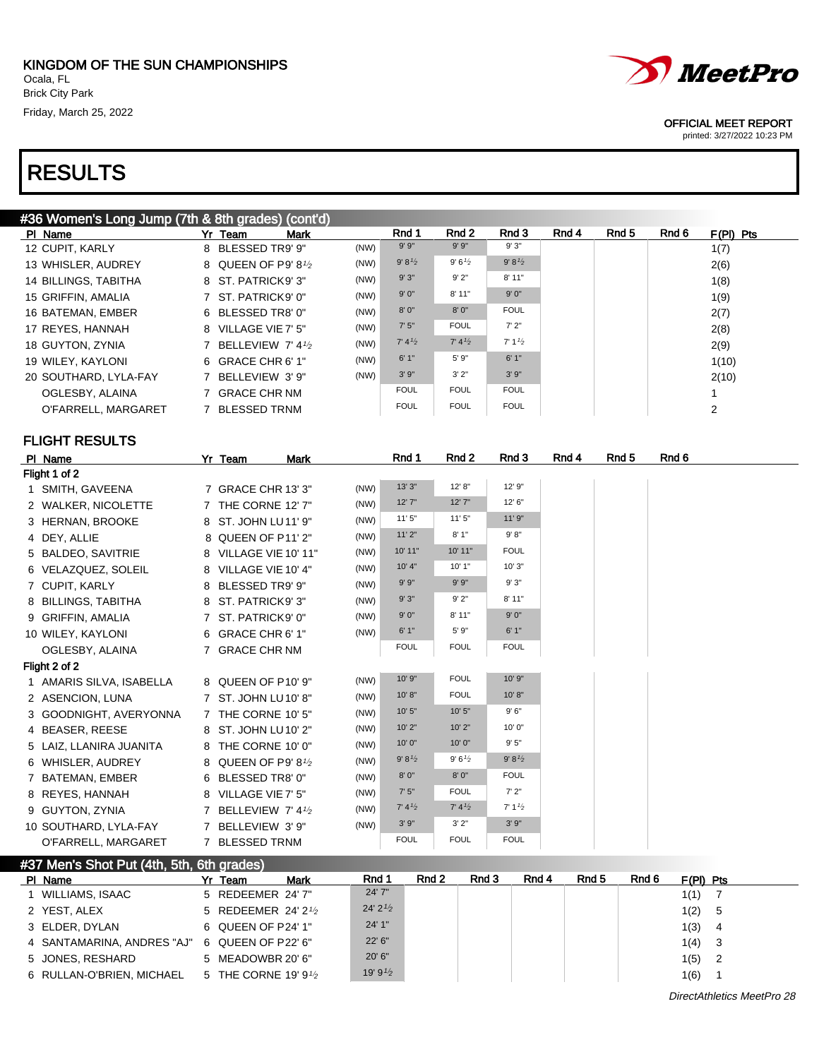6 RULLAN-O'BRIEN, MICHAEL 5 THE CORNE 19' 91/2

# RESULTS



#### OFFICIAL MEET REPORT

printed: 3/27/2022 10:23 PM

| #36 Women's Long Jump (7th & 8th grades) (cont'd) |                        |                           |             |                       |       |                    |       |       |       |                |
|---------------------------------------------------|------------------------|---------------------------|-------------|-----------------------|-------|--------------------|-------|-------|-------|----------------|
| PI Name                                           | Yr Team<br>Mark        |                           | Rnd 1       | Rnd 2                 |       | Rnd 3              | Rnd 4 | Rnd 5 | Rnd 6 | $F(PI)$ Pts    |
| 12 CUPIT, KARLY                                   | 8 BLESSED TR9' 9"      | (NW)                      | $9'$ $9"$   | $9'$ $9"$             |       | $9'3"$             |       |       |       | 1(7)           |
| 13 WHISLER, AUDREY                                | 8 QUEEN OF P9' 81/2    | (NW)                      | 9' 8'2      | 9'6'2                 |       | 9' 8'2             |       |       |       | 2(6)           |
| 14 BILLINGS, TABITHA                              | 8 ST. PATRICK9' 3"     | (NW)                      | 9'3"        | 9'2"                  |       | 8'11"              |       |       |       | 1(8)           |
| 15 GRIFFIN, AMALIA                                | 7 ST. PATRICK9' 0"     | (NW)                      | 9'0''       | 8' 11"                |       | 9'0''              |       |       |       | 1(9)           |
| 16 BATEMAN, EMBER                                 | 6 BLESSED TR8' 0"      | (NW)                      | 8'0''       | 8'0''                 |       | <b>FOUL</b>        |       |       |       | 2(7)           |
| 17 REYES, HANNAH                                  | 8 VILLAGE VIE 7' 5"    | (NW)                      | 7'5''       | <b>FOUL</b>           |       | 7'2"               |       |       |       | 2(8)           |
| 18 GUYTON, ZYNIA                                  | 7 BELLEVIEW 7' 41/2    | (NW)                      | 7' 4'2      | 7' 4'2                |       | 7' 1'2             |       |       |       | 2(9)           |
| 19 WILEY, KAYLONI                                 | 6 GRACE CHR 6' 1"      | (NW)                      | 6'1"        | 5' 9"                 |       | 6'1"               |       |       |       | 1(10)          |
| 20 SOUTHARD, LYLA-FAY                             | 7 BELLEVIEW 3' 9"      | (NW)                      | 3'9''       | 3'2"                  |       | 3'9''              |       |       |       | 2(10)          |
| OGLESBY, ALAINA                                   | 7 GRACE CHR NM         |                           | <b>FOUL</b> | <b>FOUL</b>           |       | <b>FOUL</b>        |       |       |       | 1              |
| O'FARRELL, MARGARET                               | 7 BLESSED TRNM         |                           | <b>FOUL</b> | <b>FOUL</b>           |       | <b>FOUL</b>        |       |       |       | 2              |
|                                                   |                        |                           |             |                       |       |                    |       |       |       |                |
| <b>FLIGHT RESULTS</b>                             |                        |                           |             |                       |       |                    |       |       |       |                |
| PI Name                                           | Yr Team<br><b>Mark</b> |                           | Rnd 1       | Rnd 2                 |       | Rnd 3              | Rnd 4 | Rnd 5 | Rnd 6 |                |
| Flight 1 of 2                                     |                        |                           |             |                       |       |                    |       |       |       |                |
| 1 SMITH, GAVEENA                                  | 7 GRACE CHR 13' 3"     | (NW)                      | 13' 3"      | 12' 8"                |       | 12' 9"             |       |       |       |                |
| 2 WALKER, NICOLETTE                               | 7 THE CORNE 12' 7"     | (NW)                      | 12' 7"      | 12'7''                |       | 12' 6"             |       |       |       |                |
| 3 HERNAN, BROOKE                                  | 8 ST. JOHN LU11' 9"    | (NW)                      | 11'5"       | 11'5''                |       | 11' 9"             |       |       |       |                |
| 4 DEY, ALLIE                                      | 8 QUEEN OF P11' 2"     | (NW)                      | 11'2"       | 8'1''                 |       | 9' 8''             |       |       |       |                |
| 5 BALDEO, SAVITRIE                                | 8 VILLAGE VIE 10' 11"  | (NW)                      | 10' 11"     | 10' 11"               |       | <b>FOUL</b>        |       |       |       |                |
| 6 VELAZQUEZ, SOLEIL                               | 8 VILLAGE VIE 10' 4"   | (NW)                      | $10'$ 4"    | 10'1"                 |       | 10' 3"             |       |       |       |                |
| 7 CUPIT, KARLY                                    | 8 BLESSED TR9' 9"      | (NW)                      | 9'9''       | 9' 9''                |       | 9'3"               |       |       |       |                |
| 8 BILLINGS, TABITHA                               | 8 ST. PATRICK9' 3"     | (NW)                      | 9'3"        | 9'2"                  |       | 8' 11"             |       |       |       |                |
|                                                   |                        | (NW)                      | 9'0''       | 8'11"                 |       | 9'0''              |       |       |       |                |
| 9 GRIFFIN, AMALIA                                 | 7 ST. PATRICK9' 0"     | (NW)                      | 6'1"        | 5' 9"                 |       | 6'1"               |       |       |       |                |
| 10 WILEY, KAYLONI                                 | 6 GRACE CHR 6' 1"      |                           | <b>FOUL</b> | <b>FOUL</b>           |       | <b>FOUL</b>        |       |       |       |                |
| OGLESBY, ALAINA                                   | 7 GRACE CHR NM         |                           |             |                       |       |                    |       |       |       |                |
| Flight 2 of 2                                     |                        | (NW)                      | 10' 9"      | <b>FOUL</b>           |       | 10' 9"             |       |       |       |                |
| 1 AMARIS SILVA, ISABELLA                          | 8 QUEEN OF P10' 9"     | (NW)                      | 10' 8"      | <b>FOUL</b>           |       | 10' 8"             |       |       |       |                |
| 2 ASENCION, LUNA                                  | 7 ST. JOHN LU10' 8"    |                           | 10'5''      | 10'5"                 |       | 9'6''              |       |       |       |                |
| 3 GOODNIGHT, AVERYONNA                            | 7 THE CORNE 10' 5"     | (NW)                      | 10'2"       | 10'2"                 |       | 10' 0"             |       |       |       |                |
| 4 BEASER, REESE                                   | 8 ST. JOHN LU10' 2"    | (NW)                      | 10' 0"      | 10'0''                |       | 9'5"               |       |       |       |                |
| 5 LAIZ, LLANIRA JUANITA                           | 8 THE CORNE 10' 0"     | (NW)                      | 9' 8'2      | 9'6'2                 |       | 9' 8'2             |       |       |       |                |
| 6 WHISLER, AUDREY                                 | 8 QUEEN OF P9' 81/2    | (NW)                      |             | 8'0''                 |       | <b>FOUL</b>        |       |       |       |                |
| 7 BATEMAN, EMBER                                  | 6 BLESSED TR8' 0"      | (NW)                      | 8'0''       |                       |       | 7'2"               |       |       |       |                |
| 8 REYES, HANNAH                                   | 8 VILLAGE VIE 7' 5"    | (NW)                      | 7'5''       | <b>FOUL</b><br>7' 4'2 |       |                    |       |       |       |                |
| 9 GUYTON, ZYNIA                                   | 7 BELLEVIEW 7'41/2     | (NW)                      | 7' 4'2      |                       |       | 7' 1' <sub>2</sub> |       |       |       |                |
| 10 SOUTHARD, LYLA-FAY                             | 7 BELLEVIEW 3'9"       | (NW)                      | 3'9''       | 3'2"                  |       | $3' 9''$           |       |       |       |                |
| O'FARRELL, MARGARET                               | 7 BLESSED TRNM         |                           | <b>FOUL</b> | <b>FOUL</b>           |       | <b>FOUL</b>        |       |       |       |                |
| #37 Men's Shot Put (4th, 5th, 6th grades)         |                        |                           |             |                       |       |                    |       |       |       |                |
| PI Name                                           | Yr Team<br>Mark        | Rnd 1                     |             | Rnd 2                 | Rnd 3 | Rnd 4              | Rnd 5 | Rnd 6 |       | $F(PI)$ Pts    |
| 1 WILLIAMS, ISAAC                                 | 5 REDEEMER 24' 7"      | 24' 7"                    |             |                       |       |                    |       |       |       | 1(1) 7         |
| 2 YEST, ALEX                                      | 5 REDEEMER 24' 21/2    | $24'$ $2'$ / <sub>2</sub> |             |                       |       |                    |       |       | 1(2)  | 5              |
| 3 ELDER, DYLAN                                    | 6 QUEEN OF P24' 1"     | 24' 1"                    |             |                       |       |                    |       |       | 1(3)  | $\overline{4}$ |
| 4 SANTAMARINA, ANDRES "AJ"                        | 6 QUEEN OF P22' 6"     | 22' 6"                    |             |                       |       |                    |       |       | 1(4)  | 3              |
| 5 JONES, RESHARD                                  | 5 MEADOWBR 20' 6"      | 20' 6"                    |             |                       |       |                    |       |       | 1(5)  | $\overline{2}$ |
| 6 RULLAN-O'BRIEN MICHAEL 5 THE CORNE 19'91/2      |                        | 19' $9^{1/2}$             |             |                       |       |                    |       |       | 1(6)  |                |

 $19'9'2$  19'  $1(6)$  1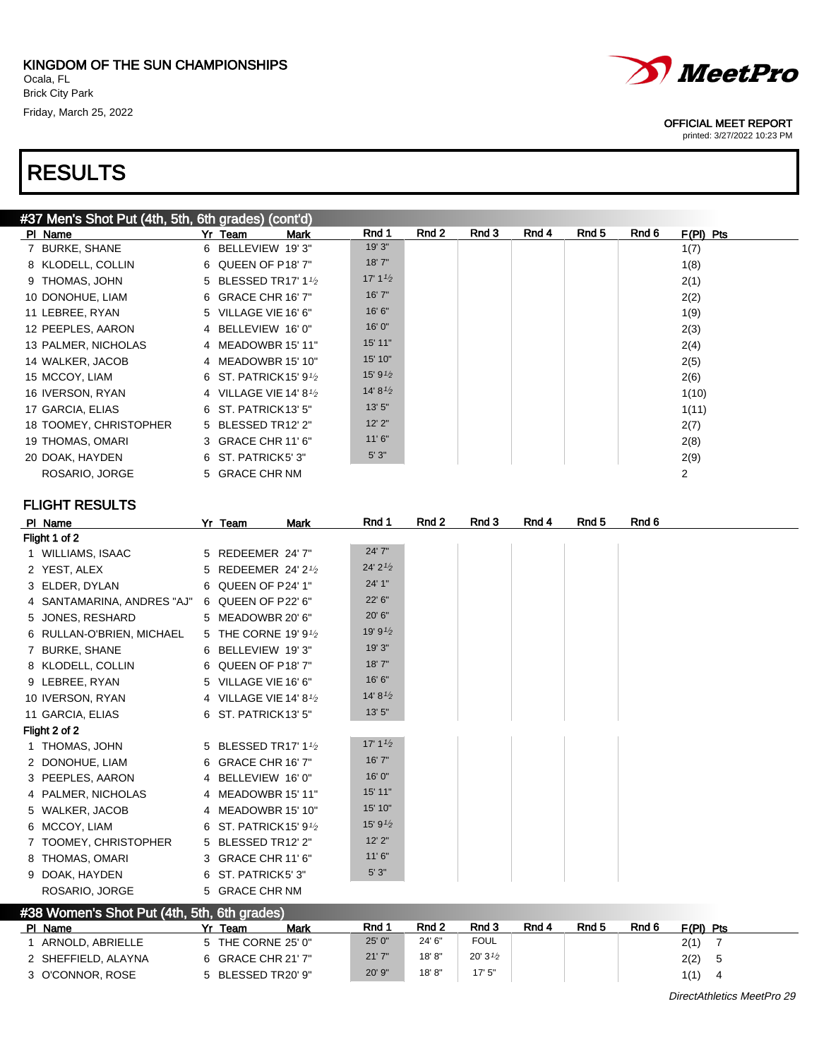| #37 Men's Shot Put (4th, 5th, 6th grades) (cont'd) |  |  |
|----------------------------------------------------|--|--|



#### OFFICIAL MEET REPORT

printed: 3/27/2022 10:23 PM

| #37 Men's Shot Put (4th, 5th, 6th grades) (cont'd) |                                   |                     |       |       |       |       |       |             |
|----------------------------------------------------|-----------------------------------|---------------------|-------|-------|-------|-------|-------|-------------|
| PI Name                                            | Mark<br>Yr Team                   | Rnd 1               | Rnd 2 | Rnd 3 | Rnd 4 | Rnd 5 | Rnd 6 | $F(PI)$ Pts |
| 7 BURKE, SHANE                                     | 6 BELLEVIEW 19'3"                 | 19' 3"              |       |       |       |       |       | 1(7)        |
| 8 KLODELL, COLLIN                                  | 6 QUEEN OF P18'7"                 | 18'7''              |       |       |       |       |       | 1(8)        |
| 9 THOMAS, JOHN                                     | 5 BLESSED TR17' 11/2              | 17' $1\frac{1}{2}$  |       |       |       |       |       | 2(1)        |
| 10 DONOHUE, LIAM                                   | 6 GRACE CHR 16' 7"                | 16'7''              |       |       |       |       |       | 2(2)        |
| 11 LEBREE, RYAN                                    | 5 VILLAGE VIE 16' 6"              | 16' 6''             |       |       |       |       |       | 1(9)        |
| 12 PEEPLES, AARON                                  | 4 BELLEVIEW 16'0"                 | 16'0''              |       |       |       |       |       | 2(3)        |
| 13 PALMER, NICHOLAS                                | 4 MEADOWBR 15' 11"                | 15' 11"             |       |       |       |       |       | 2(4)        |
| 14 WALKER, JACOB                                   | 4 MEADOWBR 15' 10"                | 15' 10"             |       |       |       |       |       | 2(5)        |
| 15 MCCOY, LIAM                                     | 6 ST. PATRICK 15' 9 $\frac{1}{2}$ | 15' 9 $\frac{1}{2}$ |       |       |       |       |       | 2(6)        |
| 16 IVERSON, RYAN                                   | 4 VILLAGE VIE 14' 8 $\frac{1}{2}$ | 14' 8 $\frac{1}{2}$ |       |       |       |       |       | 1(10)       |
| 17 GARCIA, ELIAS                                   | 6 ST. PATRICK13' 5"               | 13' 5"              |       |       |       |       |       | 1(11)       |
| 18 TOOMEY, CHRISTOPHER                             | 5 BLESSED TR12' 2"                | 12'2''              |       |       |       |       |       | 2(7)        |
| 19 THOMAS, OMARI                                   | 3 GRACE CHR 11' 6"                | 11'6''              |       |       |       |       |       | 2(8)        |
| 20 DOAK, HAYDEN                                    | 6 ST. PATRICK5' 3"                | 5'3''               |       |       |       |       |       | 2(9)        |
| ROSARIO, JORGE                                     | 5 GRACE CHR NM                    |                     |       |       |       |       |       | 2           |

| PI Name                                     | Yr Team                             | Mark | Rnd 1               | Rnd 2 | Rnd 3 | Rnd 4 | Rnd 5 | Rnd 6 |
|---------------------------------------------|-------------------------------------|------|---------------------|-------|-------|-------|-------|-------|
| Flight 1 of 2                               |                                     |      |                     |       |       |       |       |       |
| 1 WILLIAMS, ISAAC                           | 5 REDEEMER 24' 7"                   |      | 24' 7"              |       |       |       |       |       |
| 2 YEST, ALEX                                | 5 REDEEMER 24' 21/2                 |      | $24'$ 2 $1/2$       |       |       |       |       |       |
| 3 ELDER, DYLAN                              | 6 QUEEN OF P24' 1"                  |      | 24' 1"              |       |       |       |       |       |
| 4 SANTAMARINA, ANDRES "AJ"                  | 6 QUEEN OF P22' 6"                  |      | 22' 6"              |       |       |       |       |       |
| 5 JONES, RESHARD                            | 5 MEADOWBR 20' 6"                   |      | 20' 6"              |       |       |       |       |       |
| 6 RULLAN-O'BRIEN, MICHAEL                   | 5 THE CORNE 19' 91/2                |      | 19' 9 $\frac{1}{2}$ |       |       |       |       |       |
| 7 BURKE, SHANE                              | 6 BELLEVIEW 19'3"                   |      | 19' 3"              |       |       |       |       |       |
| 8 KLODELL, COLLIN                           | 6 QUEEN OF P18' 7"                  |      | 18'7''              |       |       |       |       |       |
| 9 LEBREE, RYAN                              | 5 VILLAGE VIE 16' 6"                |      | 16' 6"              |       |       |       |       |       |
| 10 IVERSON, RYAN                            | 4 VILLAGE VIE 14' 8 <sup>1</sup> /2 |      | 14' 8 $\frac{1}{2}$ |       |       |       |       |       |
| 11 GARCIA, ELIAS                            | 6 ST. PATRICK13' 5"                 |      | 13'5''              |       |       |       |       |       |
| Flight 2 of 2                               |                                     |      |                     |       |       |       |       |       |
| 1 THOMAS, JOHN                              | 5 BLESSED TR17' 11/2                |      | 17' $1\frac{1}{2}$  |       |       |       |       |       |
| 2 DONOHUE, LIAM                             | 6 GRACE CHR 16' 7"                  |      | 16'7''              |       |       |       |       |       |
| 3 PEEPLES, AARON                            | 4 BELLEVIEW 16'0"                   |      | 16'0''              |       |       |       |       |       |
| 4 PALMER, NICHOLAS                          | 4 MEADOWBR 15' 11"                  |      | 15' 11"             |       |       |       |       |       |
| 5 WALKER, JACOB                             | 4 MEADOWBR 15' 10"                  |      | 15' 10"             |       |       |       |       |       |
| 6 MCCOY, LIAM                               | 6 ST. PATRICK 15' 9 <sup>1</sup> /2 |      | 15' 9 $\frac{1}{2}$ |       |       |       |       |       |
| 7 TOOMEY, CHRISTOPHER                       | 5 BLESSED TR12' 2"                  |      | $12'$ $2"$          |       |       |       |       |       |
| 8 THOMAS, OMARI                             | 3 GRACE CHR 11' 6"                  |      | 11'6''              |       |       |       |       |       |
| 9 DOAK, HAYDEN                              | 6 ST. PATRICK5' 3"                  |      | 5'3''               |       |       |       |       |       |
| ROSARIO, JORGE                              | 5 GRACE CHR NM                      |      |                     |       |       |       |       |       |
| #38 Women's Shot Put (4th, 5th, 6th grades) |                                     |      |                     |       |       |       |       |       |

| PI Name             | Mark<br>Team       | Rnd 1  | Rnd <sub>2</sub> | Rnd 3               | Rnd 4 | Rnd <sub>5</sub> | Rnd 6 | $F(PI)$ Pts |
|---------------------|--------------------|--------|------------------|---------------------|-------|------------------|-------|-------------|
| ARNOLD, ABRIELLE    | 5 THE CORNE 25' 0" | 25' 0" | 24' 6"           | <b>FOUL</b>         |       |                  |       | 2(1)        |
| 2 SHEFFIELD, ALAYNA | 6 GRACE CHR 21' 7" | 21'7'' | 18'8"            | 20' 3 $\frac{1}{2}$ |       |                  |       | 2(2)        |
| 3 O'CONNOR, ROSE    | 5 BLESSED TR20' 9" | 20' 9" | 18'8"            | 17'5''              |       |                  |       | 1(1)<br>-4  |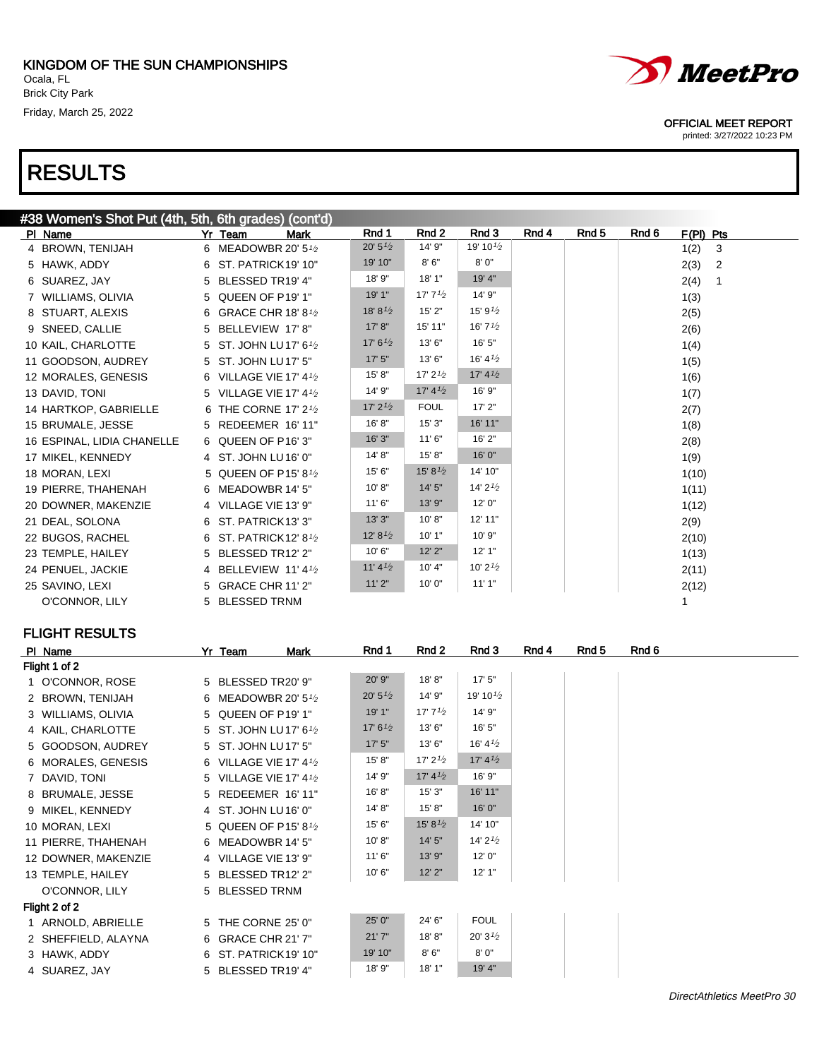#38 Women's Shot Put (4th, 5th, 6th grades) (cont'd)

# RESULTS



#### OFFICIAL MEET REPORT

printed: 3/27/2022 10:23 PM

| #38 Women's Shot Put (4th, 5th, 6th grades) (cont'd) |                                               |                     |                     |                                   |       |       |       |             |                |
|------------------------------------------------------|-----------------------------------------------|---------------------|---------------------|-----------------------------------|-------|-------|-------|-------------|----------------|
| PI Name                                              | Yr Team<br>Mark                               | Rnd 1               | Rnd 2               | Rnd 3                             | Rnd 4 | Rnd 5 | Rnd 6 | $F(PI)$ Pts |                |
| 4 BROWN, TENIJAH                                     | 6 MEADOWBR 20' 51/2                           | $20' 5\frac{1}{2}$  | 14' 9"              | 19' 10 $\frac{1}{2}$              |       |       |       | 1(2)        | $\mathbf{3}$   |
| 5 HAWK, ADDY                                         | 6 ST. PATRICK19' 10"                          | 19' 10"             | 8'6''               | 8'0''                             |       |       |       | 2(3)        | $\overline{2}$ |
| 6 SUAREZ, JAY                                        | 5 BLESSED TR19' 4"                            | 18' 9"              | 18' 1"              | 19' 4"                            |       |       |       | 2(4)        | 1              |
| 7 WILLIAMS, OLIVIA                                   | 5 QUEEN OF P19' 1"                            | 19' 1"              | 17' $7^{1/2}$       | 14' 9"                            |       |       |       | 1(3)        |                |
| 8 STUART, ALEXIS                                     | 6 GRACE CHR 18' 8 <sup>1</sup> / <sub>2</sub> | 18' 8 $\frac{1}{2}$ | 15'2"               | 15' $9^{1/2}$                     |       |       |       | 2(5)        |                |
| 9 SNEED, CALLIE                                      | 5 BELLEVIEW 17'8"                             | 17' 8''             | 15' 11"             | 16' $7\frac{1}{2}$                |       |       |       | 2(6)        |                |
| 10 KAIL, CHARLOTTE                                   | 5 ST. JOHN LU17' 61/2                         | 17' $6^{1/2}$       | 13'6''              | 16' 5"                            |       |       |       | 1(4)        |                |
| 11 GOODSON, AUDREY                                   | 5 ST. JOHN LU17' 5"                           | 17'5''              | 13'6''              | 16' $4\frac{1}{2}$                |       |       |       | 1(5)        |                |
| 12 MORALES, GENESIS                                  | 6 VILLAGE VIE 17' 41/2                        | 15' 8"              | 17' $2^{1/2}$       | 17' 4 <sup>1</sup> / <sub>2</sub> |       |       |       | 1(6)        |                |
| 13 DAVID, TONI                                       | 5 VILLAGE VIE 17' 41/2                        | 14' 9"              | 17' $4\frac{1}{2}$  | 16' 9"                            |       |       |       | 1(7)        |                |
| 14 HARTKOP, GABRIELLE                                | 6 THE CORNE 17' 2 <sup>1</sup> / <sub>2</sub> | $17'$ 2 $1/2$       | <b>FOUL</b>         | 17'2"                             |       |       |       | 2(7)        |                |
| 15 BRUMALE, JESSE                                    | 5 REDEEMER 16' 11"                            | 16' 8"              | 15'3''              | 16' 11"                           |       |       |       | 1(8)        |                |
| 16 ESPINAL, LIDIA CHANELLE                           | 6 QUEEN OF P16' 3"                            | 16' 3"              | 11'6''              | 16' 2"                            |       |       |       | 2(8)        |                |
| 17 MIKEL, KENNEDY                                    | 4 ST. JOHN LU16' 0"                           | 14' 8"              | 15' 8"              | 16' 0"                            |       |       |       | 1(9)        |                |
| 18 MORAN, LEXI                                       | 5 QUEEN OF P15' 81/2                          | 15' 6"              | 15' 8 $\frac{1}{2}$ | 14' 10"                           |       |       |       | 1(10)       |                |
| 19 PIERRE, THAHENAH                                  | 6 MEADOWBR 14' 5"                             | 10' 8"              | 14'5''              | 14' $2^{1/2}$                     |       |       |       | 1(11)       |                |
| 20 DOWNER, MAKENZIE                                  | 4 VILLAGE VIE 13' 9"                          | 11'6''              | 13' 9"              | 12'0''                            |       |       |       | 1(12)       |                |
| 21 DEAL, SOLONA                                      | 6 ST. PATRICK13' 3"                           | 13'3''              | 10' 8''             | 12' 11"                           |       |       |       | 2(9)        |                |
| 22 BUGOS, RACHEL                                     | 6 ST. PATRICK12' 81/2                         | 12' 8'2             | 10'1"               | 10'9"                             |       |       |       | 2(10)       |                |
| 23 TEMPLE, HAILEY                                    | 5 BLESSED TR12' 2"                            | 10'6"               | $12'$ $2"$          | 12'1"                             |       |       |       | 1(13)       |                |
| 24 PENUEL, JACKIE                                    | 4 BELLEVIEW 11' 41/2                          | 11'4'2              | 10' 4"              | 10' $2^{1/2}$                     |       |       |       | 2(11)       |                |
| 25 SAVINO, LEXI                                      | 5 GRACE CHR 11' 2"                            | 11'2"               | 10' 0"              | 11'1"                             |       |       |       | 2(12)       |                |
| O'CONNOR, LILY                                       | 5 BLESSED TRNM                                |                     |                     |                                   |       |       |       |             |                |
|                                                      |                                               |                     |                     |                                   |       |       |       |             |                |

| PI Name             | Yr Team                | <b>Mark</b> | Rnd 1              | Rnd 2               | Rnd 3                | Rnd 4 | Rnd 5 | Rnd 6 |
|---------------------|------------------------|-------------|--------------------|---------------------|----------------------|-------|-------|-------|
| Flight 1 of 2       |                        |             |                    |                     |                      |       |       |       |
| 1 O'CONNOR, ROSE    | 5 BLESSED TR20' 9"     |             | 20' 9"             | 18'8"               | 17'5''               |       |       |       |
| 2 BROWN, TENIJAH    | 6 MEADOWBR 20' 51/2    |             | $20' 5\frac{1}{2}$ | 14' 9"              | 19' 10 $\frac{1}{2}$ |       |       |       |
| 3 WILLIAMS, OLIVIA  | 5 QUEEN OF P19' 1"     |             | 19' 1"             | 17' 7 $\frac{1}{2}$ | 14' 9"               |       |       |       |
| 4 KAIL, CHARLOTTE   | 5 ST. JOHN LU17' 61/2  |             | 17' $6^{1/2}$      | 13' 6"              | 16' 5"               |       |       |       |
| 5 GOODSON, AUDREY   | 5 ST. JOHN LU17' 5"    |             | 17'5''             | 13' 6"              | 16' 4 $\frac{1}{2}$  |       |       |       |
| 6 MORALES, GENESIS  | 6 VILLAGE VIE 17' 41/2 |             | 15' 8''            | 17' $2^{1/2}$       | 17' $4\frac{1}{2}$   |       |       |       |
| 7 DAVID, TONI       | 5 VILLAGE VIE 17' 41/2 |             | 14' 9"             | 17' $4\frac{1}{2}$  | 16' 9"               |       |       |       |
| 8 BRUMALE, JESSE    | 5 REDEEMER 16' 11"     |             | 16'8"              | 15'3''              | 16' 11"              |       |       |       |
| 9 MIKEL, KENNEDY    | 4 ST. JOHN LU16' 0"    |             | 14' 8"             | 15' 8"              | 16' 0"               |       |       |       |
| 10 MORAN, LEXI      | 5 QUEEN OF P15' 81/2   |             | 15' 6"             | 15' 8 $\frac{1}{2}$ | 14' 10"              |       |       |       |
| 11 PIERRE, THAHENAH | 6 MEADOWBR 14' 5"      |             | 10' 8"             | 14'5''              | 14' $2^{1/2}$        |       |       |       |
| 12 DOWNER, MAKENZIE | 4 VILLAGE VIE 13' 9"   |             | 11'6''             | 13' 9"              | 12' 0"               |       |       |       |
| 13 TEMPLE, HAILEY   | 5 BLESSED TR12' 2"     |             | 10'6''             | $12'$ $2"$          | 12'1"                |       |       |       |
| O'CONNOR, LILY      | 5 BLESSED TRNM         |             |                    |                     |                      |       |       |       |
| Flight 2 of 2       |                        |             |                    |                     |                      |       |       |       |
| 1 ARNOLD, ABRIELLE  | 5 THE CORNE 25' 0"     |             | 25' 0"             | 24' 6"              | <b>FOUL</b>          |       |       |       |
| 2 SHEFFIELD, ALAYNA | 6 GRACE CHR 21' 7"     |             | 21'7''             | 18'8"               | 20' $3^{1/2}$        |       |       |       |
| 3 HAWK, ADDY        | 6 ST. PATRICK19' 10"   |             | 19' 10"            | 8'6''               | 8'0''                |       |       |       |
| 4 SUAREZ, JAY       | 5 BLESSED TR19' 4"     |             | 18' 9"             | 18' 1"              | 19' 4"               |       |       |       |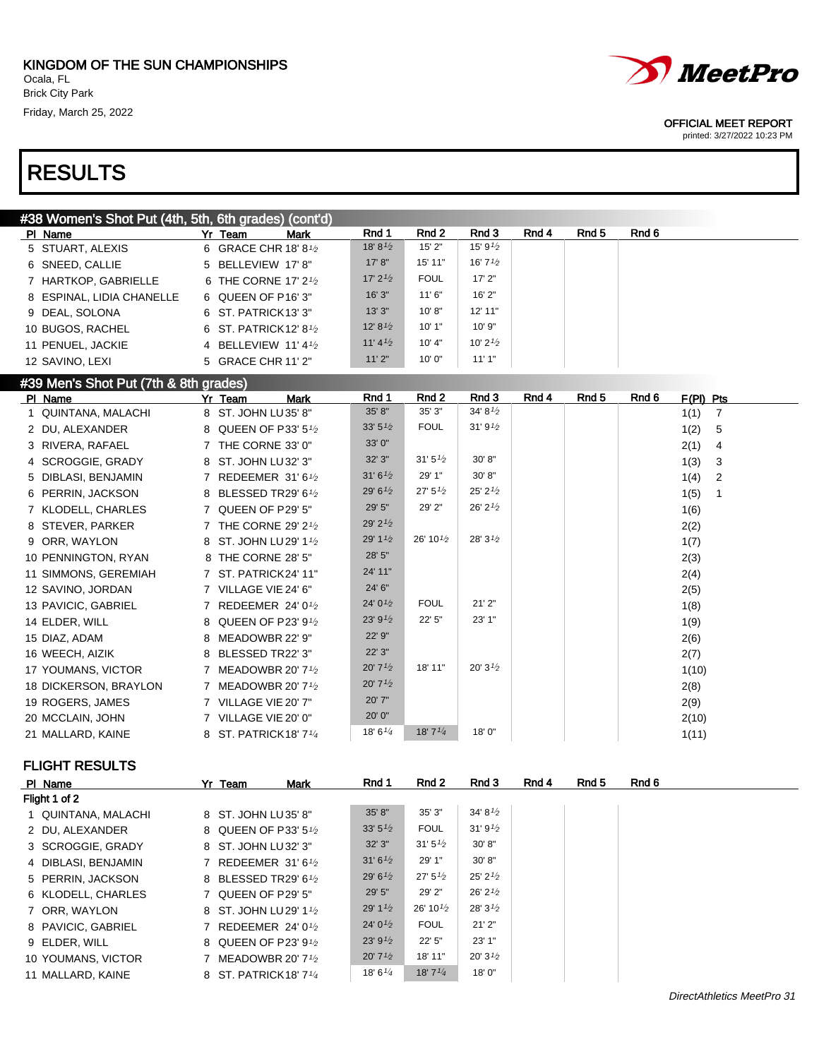# *MeetPro*

#### OFFICIAL MEET REPORT

printed: 3/27/2022 10:23 PM

### #38 Women's Shot Put (4th, 5th, 6th grades) (cont'd)

| PI Name                   | Yr Team                                       | <b>Mark</b> | Rnd 1               | Rnd 2       | Rnd 3               | Rnd 4 | Rnd 5 | Rnd 6 |
|---------------------------|-----------------------------------------------|-------------|---------------------|-------------|---------------------|-------|-------|-------|
| 5 STUART, ALEXIS          | 6 GRACE CHR 18' 8 $\frac{1}{2}$               |             | 18' 8 $\frac{1}{2}$ | 15'2"       | 15' 9 $\frac{1}{2}$ |       |       |       |
| 6 SNEED, CALLIE           | 5 BELLEVIEW 17'8"                             |             | 17' 8''             | 15' 11"     | 16' 7 $\frac{1}{2}$ |       |       |       |
| 7 HARTKOP, GABRIELLE      | 6 THE CORNE 17' 2 <sup>1</sup> / <sub>2</sub> |             | 17' $2^{1/2}$       | <b>FOUL</b> | 17'2"               |       |       |       |
| 8 ESPINAL, LIDIA CHANELLE | 6 QUEEN OF P16'3"                             |             | 16'3''              | 11'6''      | 16'2"               |       |       |       |
| 9 DEAL, SOLONA            | 6 ST. PATRICK13' 3"                           |             | 13'3''              | 10' 8''     | $12'$ 11"           |       |       |       |
| 10 BUGOS, RACHEL          | 6 ST. PATRICK 12' 8 $\frac{1}{2}$             |             | 12' $8^{1/2}$       | 10'1"       | 10'9"               |       |       |       |
| 11 PENUEL, JACKIE         | 4 BELLEVIEW 11' 4 $\frac{1}{2}$               |             | 11'4'2              | 10' 4"      | 10' 2 $\frac{1}{2}$ |       |       |       |
| 12 SAVINO, LEXI           | 5 GRACE CHR 11' 2"                            |             | 11'2"               | 10'0''      | 11'1"               |       |       |       |

### #39 Men's Shot Put (7th & 8th grades)

| PI Name               | <b>Mark</b><br>Yr Team                       | Rnd 1                 | Rnd 2                | Rnd 3               | Rnd 4 | Rnd 5 | Rnd 6 | $F(PI)$ Pts            |
|-----------------------|----------------------------------------------|-----------------------|----------------------|---------------------|-------|-------|-------|------------------------|
| 1 QUINTANA, MALACHI   | 8 ST. JOHN LU35' 8"                          | 35' 8"                | 35'3''               | 34'8'2              |       |       |       | 1(1)<br>7              |
| 2 DU, ALEXANDER       | 8 QUEEN OF P33' 51/2                         | 33' $5\frac{1}{2}$    | <b>FOUL</b>          | 31'9'2              |       |       |       | 1(2)<br>5              |
| 3 RIVERA, RAFAEL      | 7 THE CORNE 33' 0"                           | 33' 0"                |                      |                     |       |       |       | 2(1)<br>4              |
| 4 SCROGGIE, GRADY     | 8 ST. JOHN LU32' 3"                          | 32' 3"                | 31'5''2              | 30' 8"              |       |       |       | 1(3)<br>3              |
| 5 DIBLASI, BENJAMIN   | 7 REDEEMER 31'61/2                           | 31'6'2                | 29' 1"               | 30' 8"              |       |       |       | 1(4)<br>$\overline{2}$ |
| 6 PERRIN, JACKSON     | 8 BLESSED TR29' 61/2                         | 29' $6^{1/2}$         | 27'5'' <sub>2</sub>  | 25' 2'2             |       |       |       | 1(5)                   |
| 7 KLODELL, CHARLES    | 7 QUEEN OF P29' 5"                           | 29' 5"                | 29' 2"               | 26' 2'2             |       |       |       | 1(6)                   |
| 8 STEVER, PARKER      | 7 THE CORNE 29' 2 <sup>1/2</sup>             | 29' $2^{1/2}$         |                      |                     |       |       |       | 2(2)                   |
| 9 ORR, WAYLON         | 8 ST. JOHN LU 29' 11/2                       | 29' $1\frac{1}{2}$    | 26' 10 $\frac{1}{2}$ | 28' $3^{1/2}$       |       |       |       | 1(7)                   |
| 10 PENNINGTON, RYAN   | 8 THE CORNE 28' 5"                           | 28' 5"                |                      |                     |       |       |       | 2(3)                   |
| 11 SIMMONS, GEREMIAH  | 7 ST. PATRICK24' 11"                         | 24' 11"               |                      |                     |       |       |       | 2(4)                   |
| 12 SAVINO, JORDAN     | 7 VILLAGE VIE 24' 6"                         | 24' 6"                |                      |                     |       |       |       | 2(5)                   |
| 13 PAVICIC, GABRIEL   | 7 REDEEMER 24'01/2                           | 24' $0^{1/2}$         | <b>FOUL</b>          | 21'2"               |       |       |       | 1(8)                   |
| 14 ELDER, WILL        | 8 QUEEN OF P23' 91/2                         | 23'9'2                | 22' 5"               | 23' 1"              |       |       |       | 1(9)                   |
| 15 DIAZ, ADAM         | 8 MEADOWBR 22' 9"                            | 22' 9"                |                      |                     |       |       |       | 2(6)                   |
| 16 WEECH, AIZIK       | 8 BLESSED TR22' 3"                           | 22' 3"                |                      |                     |       |       |       | 2(7)                   |
| 17 YOUMANS, VICTOR    | 7 MEADOWBR 20' 7 <sup>1</sup> / <sub>2</sub> | $20'$ 7 $\frac{1}{2}$ | 18' 11"              | 20'3'' <sub>2</sub> |       |       |       | 1(10)                  |
| 18 DICKERSON, BRAYLON | 7 MEADOWBR 20' 71/2                          | 20'7'2                |                      |                     |       |       |       | 2(8)                   |
| 19 ROGERS, JAMES      | 7 VILLAGE VIE 20' 7"                         | 20' 7"                |                      |                     |       |       |       | 2(9)                   |
| 20 MCCLAIN, JOHN      | 7 VILLAGE VIE 20' 0"                         | 20' 0"                |                      |                     |       |       |       | 2(10)                  |
| 21 MALLARD, KAINE     | 8 ST. PATRICK18' 71/4                        | 18' 6''/4             | 18'7''/4             | 18'0"               |       |       |       | 1(11)                  |

| PI Name             | Yr Team             | <b>Mark</b>                                     | Rnd 1               | Rnd 2              | Rnd 3               | Rnd 4 | Rnd 5 | Rnd 6 |
|---------------------|---------------------|-------------------------------------------------|---------------------|--------------------|---------------------|-------|-------|-------|
| Flight 1 of 2       |                     |                                                 |                     |                    |                     |       |       |       |
| 1 QUINTANA, MALACHI | 8 ST. JOHN LU35' 8" |                                                 | 35' 8"              | 35'3''             | 34' 8 $\frac{1}{2}$ |       |       |       |
| 2 DU, ALEXANDER     |                     | 8 QUEEN OF P33' 51/2                            | 33' $5\frac{1}{2}$  | <b>FOUL</b>        | 31'9'2              |       |       |       |
| 3 SCROGGIE, GRADY   | 8 ST. JOHN LU32' 3" |                                                 | 32' 3"              | 31'5'2             | 30' 8"              |       |       |       |
| 4 DIBLASI, BENJAMIN |                     | 7 REDEEMER 31'6 $\frac{1}{2}$                   | 31'6'2              | 29' 1"             | 30' 8"              |       |       |       |
| 5 PERRIN, JACKSON   |                     | 8 BLESSED TR29' 61/2                            | 29' $6^{1/2}$       | 27'5''2            | 25'2'2              |       |       |       |
| 6 KLODELL, CHARLES  | 7 QUEEN OF P29' 5"  |                                                 | 29' 5"              | 29' 2"             | 26'2'2              |       |       |       |
| 7 ORR, WAYLON       |                     | 8 ST. JOHN LU 29' 1 <sup>1</sup> / <sub>2</sub> | 29' $1\frac{1}{2}$  | $26'10\frac{1}{2}$ | 28' 3 $\frac{1}{2}$ |       |       |       |
| 8 PAVICIC, GABRIEL  |                     | 7 REDEEMER 24' 01/2                             | 24' $0^{1/2}$       | <b>FOUL</b>        | 21'2"               |       |       |       |
| 9 ELDER, WILL       |                     | 8 QUEEN OF P23' 91/2                            | 23'9'2              | 22' 5"             | 23' 1"              |       |       |       |
| 10 YOUMANS, VICTOR  |                     | 7 MEADOWBR 20' 71/2                             | 20'7'2              | 18' 11"            | 20' 3 $\frac{1}{2}$ |       |       |       |
| 11 MALLARD, KAINE   |                     | 8 ST. PATRICK18' 71/4                           | 18' 6 $\frac{1}{4}$ | 18' $7^{1/4}$      | 18'0"               |       |       |       |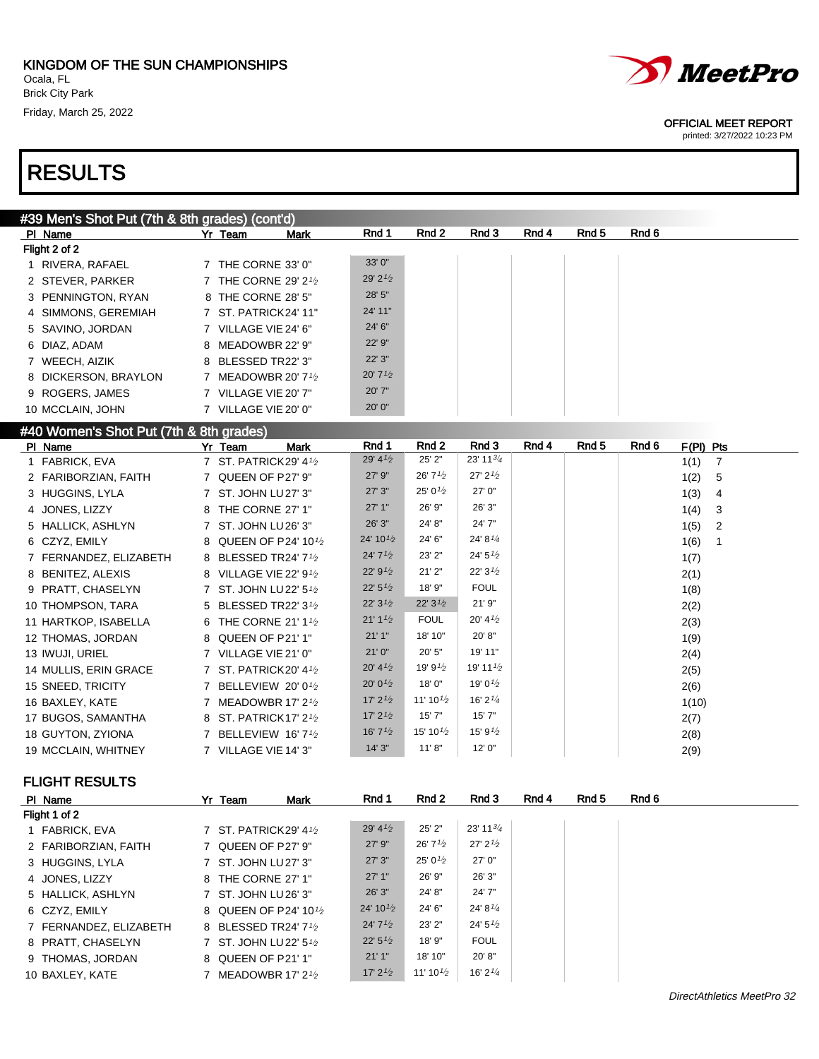

### #40 Women's Shot Put (7th & 8th grades)

| PI Name                | Mark<br>Yr Team                                 | Rnd 1                             | Rnd 2                | Rnd 3                | Rnd 4 | Rnd 5 | Rnd 6<br>$F(PI)$ Pts   |
|------------------------|-------------------------------------------------|-----------------------------------|----------------------|----------------------|-------|-------|------------------------|
| 1 FABRICK, EVA         | 7 ST. PATRICK29' 41/2                           | 29' $4\frac{1}{2}$                | 25' 2"               | 23' 11 $\frac{3}{4}$ |       |       | 1(1)<br>$\overline{7}$ |
| 2 FARIBORZIAN, FAITH   | 7 QUEEN OF P27' 9"                              | 27' 9"                            | 26'7'2               | 27' 2'2              |       |       | 1(2)<br>- 5            |
| 3 HUGGINS, LYLA        | 7 ST. JOHN LU 27' 3"                            | 27'3''                            | 25' 0 $\frac{1}{2}$  | 27' 0"               |       |       | 1(3)<br>4              |
| 4 JONES, LIZZY         | 8 THE CORNE 27' 1"                              | 27'1"                             | 26' 9"               | 26' 3"               |       |       | 1(4)<br>3              |
| 5 HALLICK, ASHLYN      | 7 ST. JOHN LU26' 3"                             | 26' 3"                            | 24' 8"               | 24' 7"               |       |       | 1(5)<br>$\overline{2}$ |
| 6 CZYZ, EMILY          | 8 QUEEN OF P24' 101/2                           | 24' 10 $\frac{1}{2}$              | 24' 6"               | 24' $8^{1/4}$        |       |       | 1(6)                   |
| 7 FERNANDEZ, ELIZABETH | 8 BLESSED TR24' 71/2                            | 24'7'' <sub>2</sub>               | 23' 2"               | 24' 5'               |       |       | 1(7)                   |
| 8 BENITEZ, ALEXIS      | 8 VILLAGE VIE 22' 91/2                          | 22' 9'2                           | 21'2"                | 22'3'2               |       |       | 2(1)                   |
| 9 PRATT, CHASELYN      | 7 ST. JOHN LU 22' 51/2                          | 22' 5'2                           | 18' 9"               | <b>FOUL</b>          |       |       | 1(8)                   |
| 10 THOMPSON, TARA      | 5 BLESSED TR22' 31/2                            | 22'3'2                            | 22'3'2               | 21' 9"               |       |       | 2(2)                   |
| 11 HARTKOP, ISABELLA   | 6 THE CORNE 21' 11/2                            | 21' 1 <sup>1</sup> / <sub>2</sub> | <b>FOUL</b>          | 20' 4'2              |       |       | 2(3)                   |
| 12 THOMAS, JORDAN      | 8 QUEEN OF P21' 1"                              | 21'1''                            | 18' 10"              | 20' 8"               |       |       | 1(9)                   |
| 13 IWUJI, URIEL        | 7 VILLAGE VIE 21' 0"                            | 21'0''                            | 20' 5"               | 19' 11"              |       |       | 2(4)                   |
| 14 MULLIS, ERIN GRACE  | 7 ST. PATRICK20' 41/2                           | 20' 4'2                           | 19' 9 $\frac{1}{2}$  | 19' 11 $\frac{1}{2}$ |       |       | 2(5)                   |
| 15 SNEED, TRICITY      | 7 BELLEVIEW 20'01/2                             | 20' 0 $\frac{1}{2}$               | 18'0"                | 19' 0 $\frac{1}{2}$  |       |       | 2(6)                   |
| 16 BAXLEY, KATE        | 7 MEADOWBR 17' 2 <sup>1</sup> / <sub>2</sub>    | 17' $2^{1/2}$                     | 11' 10 $\frac{1}{2}$ | 16' $2^{1/4}$        |       |       | 1(10)                  |
| 17 BUGOS, SAMANTHA     | 8 ST. PATRICK 17' 2 <sup>1</sup> / <sub>2</sub> | 17' $2^{1/2}$                     | 15'7''               | 15'7''               |       |       | 2(7)                   |
| 18 GUYTON, ZYIONA      | 7 BELLEVIEW 16' 71/2                            | 16' 7 $\frac{1}{2}$               | 15' 10 $\frac{1}{2}$ | 15' 9 $\frac{1}{2}$  |       |       | 2(8)                   |
| 19 MCCLAIN, WHITNEY    | 7 VILLAGE VIE 14' 3"                            | 14'3''                            | 11' 8''              | 12'0''               |       |       | 2(9)                   |

### FLIGHT RESULTS

| PI Name                | Yr Team              | <b>Mark</b>                         | Rnd 1                | Rnd 2                | Rnd 3                  | Rnd 4 | Rnd 5 | Rnd 6 |
|------------------------|----------------------|-------------------------------------|----------------------|----------------------|------------------------|-------|-------|-------|
| Flight 1 of 2          |                      |                                     |                      |                      |                        |       |       |       |
| 1 FABRICK, EVA         |                      | 7 ST. PATRICK29' 41/2               | 29' $4\frac{1}{2}$   | 25' 2"               | $23'$ 11 $\frac{3}{4}$ |       |       |       |
| 2 FARIBORZIAN, FAITH   | 7 QUEEN OF P27' 9"   |                                     | 27' 9"               | 26' 7 $\frac{1}{2}$  | $27'$ $2'$             |       |       |       |
| 3 HUGGINS, LYLA        | 7 ST. JOHN LU 27' 3" |                                     | 27'3''               | 25' 0 $\frac{1}{2}$  | 27' 0"                 |       |       |       |
| 4 JONES, LIZZY         | 8 THE CORNE 27' 1"   |                                     | 27'1"                | 26' 9"               | 26' 3"                 |       |       |       |
| 5 HALLICK, ASHLYN      | 7 ST. JOHN LU 26' 3" |                                     | 26' 3"               | 24' 8"               | 24' 7"                 |       |       |       |
| 6 CZYZ, EMILY          |                      | 8 QUEEN OF P24' 101/2               | 24' 10 $\frac{1}{2}$ | 24' 6"               | 24' 8 $\frac{1}{4}$    |       |       |       |
| 7 FERNANDEZ, ELIZABETH |                      | 8 BLESSED TR24' 71/2                | 24'7'2               | 23' 2"               | 24' $5\frac{1}{2}$     |       |       |       |
| 8 PRATT, CHASELYN      |                      | 7 ST. JOHN LU 22' 5 <sup>1</sup> /2 | 22'5'' <sub>2</sub>  | 18' 9"               | <b>FOUL</b>            |       |       |       |
| 9 THOMAS, JORDAN       | 8 QUEEN OF P21' 1"   |                                     | 21'1"                | 18' 10"              | 20' 8"                 |       |       |       |
| 10 BAXLEY, KATE        |                      | 7 MEADOWBR 17' $2\frac{1}{2}$       | 17' $2^{1/2}$        | 11' 10 $\frac{1}{2}$ | 16' $2^{1/4}$          |       |       |       |



OFFICIAL MEET REPORT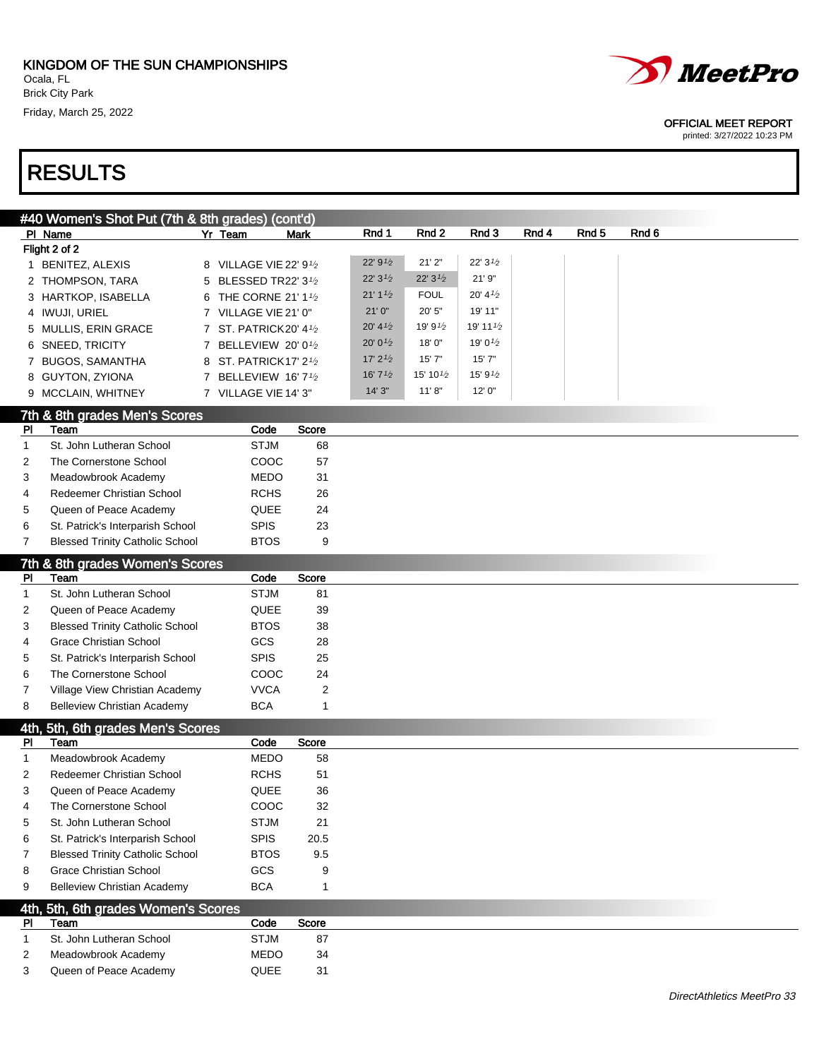

#### OFFICIAL MEET REPORT

|                | #40 Women's Shot Put (7th & 8th grades) (cont'd) |                        |                |                       |                      |                      |       |                  |                            |
|----------------|--------------------------------------------------|------------------------|----------------|-----------------------|----------------------|----------------------|-------|------------------|----------------------------|
|                | PI Name                                          | Yr Team                | <b>Mark</b>    | Rnd 1                 | Rnd 2                | Rnd 3                | Rnd 4 | Rnd <sub>5</sub> | Rnd 6                      |
|                | Flight 2 of 2                                    |                        |                |                       |                      |                      |       |                  |                            |
|                | 1 BENITEZ, ALEXIS                                | 8 VILLAGE VIE 22' 91/2 |                | 22' $9^{1/2}$         | 21'2"                | 22'3'2               |       |                  |                            |
|                | 2 THOMPSON, TARA                                 | 5 BLESSED TR22' 31/2   |                | 22'3'2                | 22'3'2               | 21' 9"               |       |                  |                            |
|                | 3 HARTKOP, ISABELLA                              | 6 THE CORNE 21' 11/2   |                | 21' 1'2               | <b>FOUL</b>          | 20' 4 $\frac{1}{2}$  |       |                  |                            |
|                | 4 IWUJI, URIEL                                   | 7 VILLAGE VIE 21' 0"   |                | 21'0''                | 20' 5"               | 19' 11"              |       |                  |                            |
|                | 5 MULLIS, ERIN GRACE                             | 7 ST. PATRICK20' 41/2  |                | 20' 4'2               | 19' 91/2             | 19' 11 $\frac{1}{2}$ |       |                  |                            |
|                | 6 SNEED, TRICITY                                 | 7 BELLEVIEW 20' 01/2   |                | 20' 0 $\frac{1}{2}$   | 18' 0"               | 19' 0 $\frac{1}{2}$  |       |                  |                            |
|                | 7 BUGOS, SAMANTHA                                | 8 ST. PATRICK17' 21/2  |                | $17'$ 2 $\frac{1}{2}$ | 15' 7"               | 15' 7"               |       |                  |                            |
|                | 8 GUYTON, ZYIONA                                 | 7 BELLEVIEW 16' 71/2   |                | 16' $7\frac{1}{2}$    | 15' 10 $\frac{1}{2}$ | 15' 9 $\frac{1}{2}$  |       |                  |                            |
|                | 9 MCCLAIN, WHITNEY                               | 7 VILLAGE VIE 14' 3"   |                | 14'3''                | 11' 8''              | 12' 0"               |       |                  |                            |
|                |                                                  |                        |                |                       |                      |                      |       |                  |                            |
|                | 7th & 8th grades Men's Scores                    |                        |                |                       |                      |                      |       |                  |                            |
| PI             | Team                                             | Code                   | Score          |                       |                      |                      |       |                  |                            |
| $\mathbf{1}$   | St. John Lutheran School                         | <b>STJM</b>            | 68             |                       |                      |                      |       |                  |                            |
| 2              | The Cornerstone School                           | COOC                   | 57             |                       |                      |                      |       |                  |                            |
| 3              | Meadowbrook Academy                              | <b>MEDO</b>            | 31             |                       |                      |                      |       |                  |                            |
| 4              | Redeemer Christian School                        | <b>RCHS</b>            | 26             |                       |                      |                      |       |                  |                            |
| 5              | Queen of Peace Academy                           | QUEE                   | 24             |                       |                      |                      |       |                  |                            |
| 6              | St. Patrick's Interparish School                 | <b>SPIS</b>            | 23             |                       |                      |                      |       |                  |                            |
| $\overline{7}$ | <b>Blessed Trinity Catholic School</b>           | <b>BTOS</b>            | 9              |                       |                      |                      |       |                  |                            |
|                | 7th & 8th grades Women's Scores                  |                        |                |                       |                      |                      |       |                  |                            |
| PI             | Team                                             | Code                   | Score          |                       |                      |                      |       |                  |                            |
| $\mathbf{1}$   | St. John Lutheran School                         | <b>STJM</b>            | 81             |                       |                      |                      |       |                  |                            |
| 2              | Queen of Peace Academy                           | QUEE                   | 39             |                       |                      |                      |       |                  |                            |
| 3              | <b>Blessed Trinity Catholic School</b>           | <b>BTOS</b>            | 38             |                       |                      |                      |       |                  |                            |
| 4              | <b>Grace Christian School</b>                    | <b>GCS</b>             | 28             |                       |                      |                      |       |                  |                            |
| 5              | St. Patrick's Interparish School                 | <b>SPIS</b>            | 25             |                       |                      |                      |       |                  |                            |
| 6              | The Cornerstone School                           | COOC                   | 24             |                       |                      |                      |       |                  |                            |
|                |                                                  |                        |                |                       |                      |                      |       |                  |                            |
| 7              | Village View Christian Academy                   | <b>VVCA</b>            | $\overline{2}$ |                       |                      |                      |       |                  |                            |
| 8              | <b>Belleview Christian Academy</b>               | <b>BCA</b>             | 1              |                       |                      |                      |       |                  |                            |
|                | 4th, 5th, 6th grades Men's Scores                |                        |                |                       |                      |                      |       |                  |                            |
| PI             | Team                                             | Code                   | Score          |                       |                      |                      |       |                  |                            |
| 1              | Meadowbrook Academy                              | <b>MEDO</b>            | 58             |                       |                      |                      |       |                  |                            |
| 2              | Redeemer Christian School                        | <b>RCHS</b>            | 51             |                       |                      |                      |       |                  |                            |
| 3              | Queen of Peace Academy                           | QUEE                   | 36             |                       |                      |                      |       |                  |                            |
| 4              | The Cornerstone School                           | COOC                   | 32             |                       |                      |                      |       |                  |                            |
| 5              | St. John Lutheran School                         | <b>STJM</b>            | 21             |                       |                      |                      |       |                  |                            |
| 6              | St. Patrick's Interparish School                 | <b>SPIS</b>            | 20.5           |                       |                      |                      |       |                  |                            |
| 7              | <b>Blessed Trinity Catholic School</b>           | <b>BTOS</b>            | 9.5            |                       |                      |                      |       |                  |                            |
| 8              | <b>Grace Christian School</b>                    | GCS                    | 9              |                       |                      |                      |       |                  |                            |
| 9              | <b>Belleview Christian Academy</b>               | <b>BCA</b>             | $\mathbf{1}$   |                       |                      |                      |       |                  |                            |
|                |                                                  |                        |                |                       |                      |                      |       |                  |                            |
|                | 4th, 5th, 6th grades Women's Scores              |                        |                |                       |                      |                      |       |                  |                            |
| PI             | Team                                             | Code                   | Score          |                       |                      |                      |       |                  |                            |
| $\mathbf{1}$   | St. John Lutheran School                         | <b>STJM</b>            | 87             |                       |                      |                      |       |                  |                            |
| 2              | Meadowbrook Academy                              | MEDO                   | 34             |                       |                      |                      |       |                  |                            |
| 3              | Queen of Peace Academy                           | QUEE                   | 31             |                       |                      |                      |       |                  |                            |
|                |                                                  |                        |                |                       |                      |                      |       |                  | DirectAthletics MeetPro 33 |